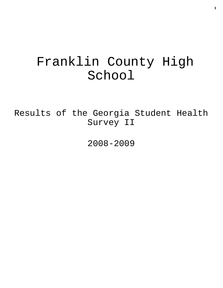# Franklin County High School

Results of the Georgia Student Health Survey II

2008-2009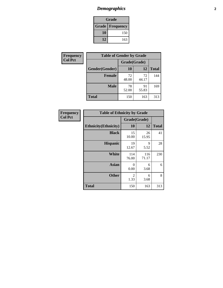# *Demographics* **2**

| Grade                    |     |  |  |  |
|--------------------------|-----|--|--|--|
| <b>Grade   Frequency</b> |     |  |  |  |
| 10                       | 150 |  |  |  |
| 12                       | 163 |  |  |  |

| Frequency      | <b>Table of Gender by Grade</b> |              |             |              |  |  |
|----------------|---------------------------------|--------------|-------------|--------------|--|--|
| <b>Col Pct</b> |                                 | Grade(Grade) |             |              |  |  |
|                | Gender(Gender)                  | 10           | 12          | <b>Total</b> |  |  |
|                | <b>Female</b>                   | 72<br>48.00  | 72<br>44.17 | 144          |  |  |
|                | <b>Male</b>                     | 78<br>52.00  | 91<br>55.83 | 169          |  |  |
|                | <b>Total</b>                    | 150          | 163         | 313          |  |  |

| <b>Frequency</b> |
|------------------|
| <b>Col Pct</b>   |

| <b>Table of Ethnicity by Grade</b> |              |              |              |  |  |  |
|------------------------------------|--------------|--------------|--------------|--|--|--|
|                                    | Grade(Grade) |              |              |  |  |  |
| <b>Ethnicity</b> (Ethnicity)       | 10           | 12           | <b>Total</b> |  |  |  |
| <b>Black</b>                       | 15<br>10.00  | 26<br>15.95  | 41           |  |  |  |
| <b>Hispanic</b>                    | 19<br>12.67  | 9<br>5.52    | 28           |  |  |  |
| White                              | 114<br>76.00 | 116<br>71.17 | 230          |  |  |  |
| <b>Asian</b>                       | 0<br>0.00    | 6<br>3.68    | 6            |  |  |  |
| <b>Other</b>                       | 2<br>1.33    | 6<br>3.68    | 8            |  |  |  |
| <b>Total</b>                       | 150          | 163          | 313          |  |  |  |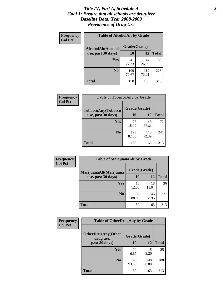#### *Title IV, Part A, Schedule A* **3** *Goal 1: Ensure that all schools are drug-free Baseline Data: Year 2008-2009 Prevalence of Drug Use*

| Frequency<br><b>Col Pct</b> | <b>Table of AlcoholAlt by Grade</b> |              |              |              |  |  |
|-----------------------------|-------------------------------------|--------------|--------------|--------------|--|--|
|                             | AlcoholAlt(Alcohol                  | Grade(Grade) |              |              |  |  |
|                             | use, past 30 days)                  | <b>10</b>    | 12           | <b>Total</b> |  |  |
|                             | <b>Yes</b>                          | 41<br>27.33  | 44<br>26.99  | 85           |  |  |
|                             | N <sub>0</sub>                      | 109<br>72.67 | 119<br>73.01 | 228          |  |  |
|                             | Total                               | 150          | 163          | 313          |  |  |

| Frequency      | <b>Table of TobaccoAny by Grade</b> |              |              |              |  |  |
|----------------|-------------------------------------|--------------|--------------|--------------|--|--|
| <b>Col Pct</b> | <b>TobaccoAny(Tobacco</b>           | Grade(Grade) |              |              |  |  |
|                | use, past 30 days)                  | 10           | 12           | <b>Total</b> |  |  |
|                | Yes                                 | 27<br>18.00  | 45<br>27.61  | 72           |  |  |
|                | N <sub>0</sub>                      | 123<br>82.00 | 118<br>72.39 | 241          |  |  |
|                | Total                               | 150          | 163          | 313          |  |  |

| Frequency<br><b>Col Pct</b> | <b>Table of MarijuanaAlt by Grade</b> |              |              |              |  |
|-----------------------------|---------------------------------------|--------------|--------------|--------------|--|
|                             | MarijuanaAlt(Marijuana                | Grade(Grade) |              |              |  |
|                             | use, past 30 days)                    | 10           | 12           | <b>Total</b> |  |
|                             | <b>Yes</b>                            | 18<br>12.00  | 18<br>11.04  | 36           |  |
|                             | N <sub>0</sub>                        | 132<br>88.00 | 145<br>88.96 | 277          |  |
|                             | <b>Total</b>                          | 150          | 163          | 313          |  |

| <b>Frequency</b> | <b>Table of OtherDrugAny by Grade</b>                  |              |              |              |  |
|------------------|--------------------------------------------------------|--------------|--------------|--------------|--|
| <b>Col Pct</b>   | <b>OtherDrugAny(Other</b><br>Grade(Grade)<br>drug use, |              |              |              |  |
|                  | past 30 days)                                          | 10           | 12           | <b>Total</b> |  |
|                  | Yes                                                    | 10<br>6.67   | 15<br>9.20   | 25           |  |
|                  | N <sub>0</sub>                                         | 140<br>93.33 | 148<br>90.80 | 288          |  |
|                  | <b>Total</b>                                           | 150          | 163          | 313          |  |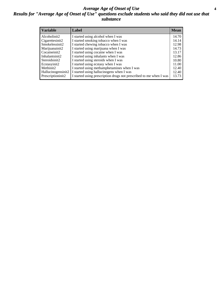#### *Average Age of Onset of Use* **4** *Results for "Average Age of Onset of Use" questions exclude students who said they did not use that substance*

| <b>Variable</b>    | Label                                                              | <b>Mean</b> |
|--------------------|--------------------------------------------------------------------|-------------|
| Alcoholinit2       | I started using alcohol when I was                                 | 14.70       |
| Cigarettesinit2    | I started smoking tobacco when I was                               | 14.14       |
| Smokelessinit2     | I started chewing tobacco when I was                               | 12.98       |
| Marijuanainit2     | I started using marijuana when I was                               | 14.73       |
| Cocaineinit2       | I started using cocaine when I was                                 | 13.17       |
| Inhalantsinit2     | I started using inhalants when I was                               | 12.86       |
| Steroidsinit2      | I started using steroids when I was                                | 10.80       |
| Ecstasyinit2       | I started using ecstasy when I was                                 | 11.00       |
| Methinit2          | I started using methamphetamines when I was                        | 12.40       |
| Hallucinogensinit2 | I started using hallucinogens when I was                           | 12.40       |
| Prescriptioninit2  | I started using prescription drugs not prescribed to me when I was | 13.73       |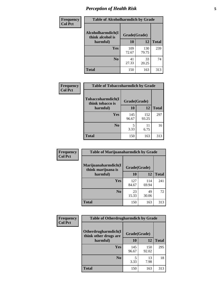# *Perception of Health Risk* **5**

| Frequency      | <b>Table of Alcoholharmdich by Grade</b> |              |             |              |  |
|----------------|------------------------------------------|--------------|-------------|--------------|--|
| <b>Col Pct</b> | Alcoholharmdich(I<br>think alcohol is    | Grade(Grade) |             |              |  |
|                | harmful)                                 | 10           | 12          | <b>Total</b> |  |
|                | <b>Yes</b>                               | 109          | 130         | 239          |  |
|                |                                          | 72.67        | 79.75       |              |  |
|                | N <sub>0</sub>                           | 41<br>27.33  | 33<br>20.25 | 74           |  |
|                | <b>Total</b>                             | 150          | 163         | 313          |  |

| <b>Frequency</b> | <b>Table of Tobaccoharmdich by Grade</b> |              |              |              |  |
|------------------|------------------------------------------|--------------|--------------|--------------|--|
| <b>Col Pct</b>   | Tobaccoharmdich(I<br>think tobacco is    | Grade(Grade) |              |              |  |
|                  | harmful)                                 | 10           | 12           | <b>Total</b> |  |
|                  | Yes                                      | 145<br>96.67 | 152<br>93.25 | 297          |  |
|                  | N <sub>0</sub>                           | 5<br>3.33    | 11<br>6.75   | 16           |  |
|                  | Total                                    | 150          | 163          | 313          |  |

| Frequency      | <b>Table of Marijuanaharmdich by Grade</b>                |              |              |              |  |  |
|----------------|-----------------------------------------------------------|--------------|--------------|--------------|--|--|
| <b>Col Pct</b> | Marijuanaharmdich(I<br>Grade(Grade)<br>think marijuana is |              |              |              |  |  |
|                | harmful)                                                  | 10           | 12           | <b>Total</b> |  |  |
|                | <b>Yes</b>                                                | 127<br>84.67 | 114<br>69.94 | 241          |  |  |
|                | N <sub>0</sub>                                            | 23<br>15.33  | 49<br>30.06  | 72           |  |  |
|                | <b>Total</b>                                              | 150          | 163          | 313          |  |  |

| Frequency      | <b>Table of Otherdrugharmdich by Grade</b>   |              |              |              |  |  |  |
|----------------|----------------------------------------------|--------------|--------------|--------------|--|--|--|
| <b>Col Pct</b> | Otherdrugharmdich(I<br>think other drugs are | Grade(Grade) |              |              |  |  |  |
|                | harmful)                                     | 10           | 12           | <b>Total</b> |  |  |  |
|                | <b>Yes</b>                                   | 145<br>96.67 | 150<br>92.02 | 295          |  |  |  |
|                | N <sub>0</sub>                               | 3.33         | 13<br>7.98   | 18           |  |  |  |
|                | <b>Total</b>                                 | 150          | 163          | 313          |  |  |  |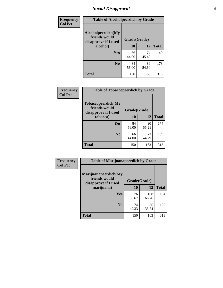# *Social Disapproval* **6**

| Frequency      | <b>Table of Alcoholpeerdich by Grade</b>                    |              |             |              |  |  |  |  |
|----------------|-------------------------------------------------------------|--------------|-------------|--------------|--|--|--|--|
| <b>Col Pct</b> | Alcoholpeerdich(My<br>friends would<br>disapprove if I used | Grade(Grade) |             |              |  |  |  |  |
|                | alcohol)                                                    | 10           | 12          | <b>Total</b> |  |  |  |  |
|                | <b>Yes</b>                                                  | 66<br>44.00  | 74<br>45.40 | 140          |  |  |  |  |
|                | N <sub>0</sub>                                              | 84<br>56.00  | 89<br>54.60 | 173          |  |  |  |  |
|                | <b>Total</b>                                                | 150          | 163         | 313          |  |  |  |  |

| <b>Frequency</b> |
|------------------|
| <b>Col Pct</b>   |

| <b>Table of Tobaccopeerdich by Grade</b>                            |              |             |              |  |  |  |  |
|---------------------------------------------------------------------|--------------|-------------|--------------|--|--|--|--|
| <b>Tobaccopeerdich</b> (My<br>friends would<br>disapprove if I used | Grade(Grade) |             |              |  |  |  |  |
| tobacco)                                                            | 10           | 12          | <b>Total</b> |  |  |  |  |
| Yes                                                                 | 84<br>56.00  | 90<br>55.21 | 174          |  |  |  |  |
| N <sub>0</sub>                                                      | 66<br>44.00  | 73<br>44.79 | 139          |  |  |  |  |
| <b>Total</b>                                                        | 150          | 163         | 313          |  |  |  |  |

| Frequency      | <b>Table of Marijuanapeerdich by Grade</b>                    |              |              |              |  |  |  |  |
|----------------|---------------------------------------------------------------|--------------|--------------|--------------|--|--|--|--|
| <b>Col Pct</b> | Marijuanapeerdich(My<br>friends would<br>disapprove if I used | Grade(Grade) |              |              |  |  |  |  |
|                | marijuana)                                                    | 10           | 12           | <b>Total</b> |  |  |  |  |
|                | <b>Yes</b>                                                    | 76<br>50.67  | 108<br>66.26 | 184          |  |  |  |  |
|                | N <sub>0</sub>                                                | 74<br>49.33  | 55<br>33.74  | 129          |  |  |  |  |
|                | <b>Total</b>                                                  | 150          | 163          | 313          |  |  |  |  |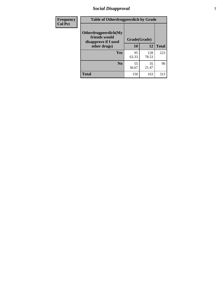# *Social Disapproval* **7**

| Frequency      | <b>Table of Otherdrugpeerdich by Grade</b>                    |              |              |              |  |  |  |  |
|----------------|---------------------------------------------------------------|--------------|--------------|--------------|--|--|--|--|
| <b>Col Pct</b> | Otherdrugpeerdich(My<br>friends would<br>disapprove if I used | Grade(Grade) |              |              |  |  |  |  |
|                | other drugs)                                                  | 10           | 12           | <b>Total</b> |  |  |  |  |
|                | Yes                                                           | 95<br>63.33  | 128<br>78.53 | 223          |  |  |  |  |
|                | N <sub>0</sub>                                                | 55<br>36.67  | 35<br>21.47  | 90           |  |  |  |  |
|                | <b>Total</b>                                                  | 150          | 163          | 313          |  |  |  |  |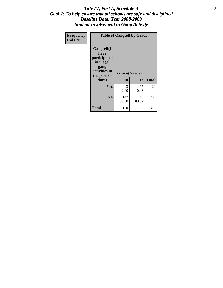#### Title IV, Part A, Schedule A **8** *Goal 2: To help ensure that all schools are safe and disciplined Baseline Data: Year 2008-2009 Student Involvement in Gang Activity*

| Frequency      | <b>Table of Gangself by Grade</b>                                                                 |                    |              |              |
|----------------|---------------------------------------------------------------------------------------------------|--------------------|--------------|--------------|
| <b>Col Pct</b> | Gangself(I<br>have<br>participated<br>in illegal<br>gang<br>activities in<br>the past 30<br>days) | Grade(Grade)<br>10 | 12           | <b>Total</b> |
|                | Yes                                                                                               | 3<br>2.00          | 17<br>10.43  | 20           |
|                | N <sub>0</sub>                                                                                    | 147<br>98.00       | 146<br>89.57 | 293          |
|                | <b>Total</b>                                                                                      | 150                | 163          | 313          |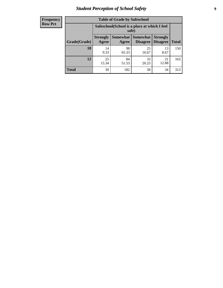# *Student Perception of School Safety* **9**

| <b>Frequency</b><br>Row Pct |
|-----------------------------|
|                             |

| <b>Table of Grade by Safeschool</b> |                                                                                                                                                  |             |             |             |     |  |  |
|-------------------------------------|--------------------------------------------------------------------------------------------------------------------------------------------------|-------------|-------------|-------------|-----|--|--|
|                                     | Safeschool (School is a place at which I feel<br>safe)                                                                                           |             |             |             |     |  |  |
| Grade(Grade)                        | <b>Somewhat</b><br><b>Somewhat</b><br><b>Strongly</b><br><b>Strongly</b><br><b>Disagree</b><br>Agree<br><b>Disagree</b><br><b>Total</b><br>Agree |             |             |             |     |  |  |
| <b>10</b>                           | 14<br>9.33                                                                                                                                       | 98<br>65.33 | 25<br>16.67 | 13<br>8.67  | 150 |  |  |
| 12                                  | 25<br>15.34                                                                                                                                      | 84<br>51.53 | 33<br>20.25 | 21<br>12.88 | 163 |  |  |
| <b>Total</b>                        | 39                                                                                                                                               | 182         | 58          | 34          | 313 |  |  |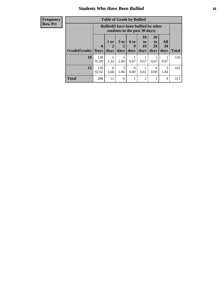#### *Students Who Have Been Bullied* **10**

| <b>Frequency</b> |
|------------------|
| Row Pct          |

| <b>Table of Grade by Bullied</b> |                             |                                                                               |                              |                   |                        |                        |                          |              |
|----------------------------------|-----------------------------|-------------------------------------------------------------------------------|------------------------------|-------------------|------------------------|------------------------|--------------------------|--------------|
|                                  |                             | <b>Bullied</b> (I have been bullied by other<br>students in the past 30 days) |                              |                   |                        |                        |                          |              |
| Grade(Grade)                     | $\mathbf{0}$<br><b>Days</b> | 1 or<br>2<br>days                                                             | 3 <sub>to</sub><br>5<br>days | 6 to<br>9<br>davs | 10<br>to<br>19<br>days | 20<br>to<br>29<br>days | All<br><b>30</b><br>days | <b>Total</b> |
| 10                               | 138<br>92.00                | 5<br>3.33                                                                     | 3<br>2.00                    | 0.67              | 0.67                   | 0.67                   | 0.67                     | 150          |
| 12                               | 150<br>92.02                | 6<br>3.68                                                                     | 3<br>1.84                    | 0<br>0.00         | 0.61                   | $\Omega$<br>0.00       | 3<br>1.84                | 163          |
| Total                            | 288                         | 11                                                                            | 6                            |                   | 2                      | 1                      | 4                        | 313          |

 $\blacksquare$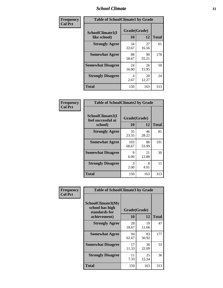### *School Climate* **11**

| Frequency      | <b>Table of SchoolClimate1 by Grade</b> |                    |             |              |  |  |  |  |
|----------------|-----------------------------------------|--------------------|-------------|--------------|--|--|--|--|
| <b>Col Pct</b> | SchoolClimate1(I<br>like school)        | Grade(Grade)<br>10 | 12          | <b>Total</b> |  |  |  |  |
|                | <b>Strongly Agree</b>                   | 34<br>22.67        | 27<br>16.56 | 61           |  |  |  |  |
|                | <b>Somewhat Agree</b>                   | 88<br>58.67        | 90<br>55.21 | 178          |  |  |  |  |
|                | <b>Somewhat Disagree</b>                | 24<br>16.00        | 26<br>15.95 | 50           |  |  |  |  |
|                | <b>Strongly Disagree</b>                | 4<br>2.67          | 20<br>12.27 | 24           |  |  |  |  |
|                | <b>Total</b>                            | 150                | 163         | 313          |  |  |  |  |

| Frequency      | <b>Table of SchoolClimate2 by Grade</b>           |                    |             |              |
|----------------|---------------------------------------------------|--------------------|-------------|--------------|
| <b>Col Pct</b> | SchoolClimate2(I<br>feel successful at<br>school) | Grade(Grade)<br>10 | 12          | <b>Total</b> |
|                | <b>Strongly Agree</b>                             | 35<br>23.33        | 46<br>28.22 | 81           |
|                | <b>Somewhat Agree</b>                             | 103<br>68.67       | 88<br>53.99 | 191          |
|                | <b>Somewhat Disagree</b>                          | 9<br>6.00          | 21<br>12.88 | 30           |
|                | <b>Strongly Disagree</b>                          | 3<br>2.00          | 8<br>4.91   | 11           |
|                | <b>Total</b>                                      | 150                | 163         | 313          |

| Frequency<br><b>Col Pct</b> | <b>Table of SchoolClimate3 by Grade</b>               |              |             |              |
|-----------------------------|-------------------------------------------------------|--------------|-------------|--------------|
|                             | SchoolClimate3(My<br>school has high<br>standards for | Grade(Grade) |             |              |
|                             | achievement)                                          | <b>10</b>    | 12          | <b>Total</b> |
|                             | <b>Strongly Agree</b>                                 | 28<br>18.67  | 19<br>11.66 | 47           |
|                             | <b>Somewhat Agree</b>                                 | 94<br>62.67  | 83<br>50.92 | 177          |
|                             | <b>Somewhat Disagree</b>                              | 17<br>11.33  | 36<br>22.09 | 53           |
|                             | <b>Strongly Disagree</b>                              | 11<br>7.33   | 25<br>15.34 | 36           |
|                             | Total                                                 | 150          | 163         | 313          |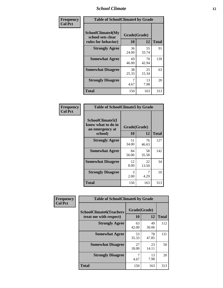### *School Climate* **12**

| Frequency      |                                                                      | <b>Table of SchoolClimate4 by Grade</b> |             |              |  |
|----------------|----------------------------------------------------------------------|-----------------------------------------|-------------|--------------|--|
| <b>Col Pct</b> | <b>SchoolClimate4(My</b><br>school sets clear<br>rules for behavior) | Grade(Grade)<br>10                      | 12          | <b>Total</b> |  |
|                | <b>Strongly Agree</b>                                                | 36<br>24.00                             | 55<br>33.74 | 91           |  |
|                | <b>Somewhat Agree</b>                                                | 69<br>46.00                             | 70<br>42.94 | 139          |  |
|                | <b>Somewhat Disagree</b>                                             | 38<br>25.33                             | 25<br>15.34 | 63           |  |
|                | <b>Strongly Disagree</b>                                             | 7<br>4.67                               | 13<br>7.98  | 20           |  |
|                | Total                                                                | 150                                     | 163         | 313          |  |

| <b>Table of SchoolClimate5 by Grade</b>                              |                    |             |              |  |
|----------------------------------------------------------------------|--------------------|-------------|--------------|--|
| SchoolClimate5(I<br>know what to do in<br>an emergency at<br>school) | Grade(Grade)<br>10 | 12          | <b>Total</b> |  |
|                                                                      | 51                 | 76          | 127          |  |
| <b>Strongly Agree</b>                                                | 34.00              | 46.63       |              |  |
| <b>Somewhat Agree</b>                                                | 84<br>56.00        | 58<br>35.58 | 142          |  |
| <b>Somewhat Disagree</b>                                             | 12<br>8.00         | 22<br>13.50 | 34           |  |
| <b>Strongly Disagree</b>                                             | 3<br>2.00          | 4.29        | 10           |  |
| Total                                                                | 150                | 163         | 313          |  |

| Frequency      | <b>Table of SchoolClimate6 by Grade</b>                  |                    |             |              |
|----------------|----------------------------------------------------------|--------------------|-------------|--------------|
| <b>Col Pct</b> | <b>SchoolClimate6(Teachers</b><br>treat me with respect) | Grade(Grade)<br>10 | 12          | <b>Total</b> |
|                | <b>Strongly Agree</b>                                    | 63<br>42.00        | 49<br>30.06 | 112          |
|                | <b>Somewhat Agree</b>                                    | 53<br>35.33        | 78<br>47.85 | 131          |
|                | <b>Somewhat Disagree</b>                                 | 27<br>18.00        | 23<br>14.11 | 50           |
|                | <b>Strongly Disagree</b>                                 | 7<br>4.67          | 13<br>7.98  | 20           |
|                | <b>Total</b>                                             | 150                | 163         | 313          |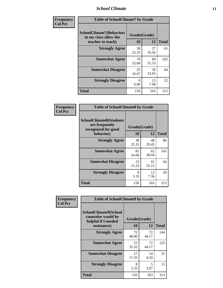### *School Climate* **13**

| Frequency      | <b>Table of SchoolClimate7 by Grade</b>                                       |                     |             |              |
|----------------|-------------------------------------------------------------------------------|---------------------|-------------|--------------|
| <b>Col Pct</b> | <b>SchoolClimate7(Behaviors</b><br>in my class allow the<br>teacher to teach) | Grade(Grade)<br>10  | 12          | <b>Total</b> |
|                | <b>Strongly Agree</b>                                                         | 38<br>25.33         | 27<br>16.56 | 65           |
|                | <b>Somewhat Agree</b>                                                         | 78<br>52.00         | 84<br>51.53 | 162          |
|                | <b>Somewhat Disagree</b>                                                      | 25<br>16.67         | 39<br>23.93 | 64           |
|                | <b>Strongly Disagree</b>                                                      | $\mathbf Q$<br>6.00 | 13<br>7.98  | 22           |
|                | <b>Total</b>                                                                  | 150                 | 163         | 313          |

| Frequency      | <b>Table of SchoolClimate8 by Grade</b>                                 |              |             |              |
|----------------|-------------------------------------------------------------------------|--------------|-------------|--------------|
| <b>Col Pct</b> | <b>SchoolClimate8(Students</b><br>are frequently<br>recognized for good | Grade(Grade) |             |              |
|                | behavior)                                                               | 10           | 12          | <b>Total</b> |
|                | <b>Strongly Agree</b>                                                   | 38<br>25.33  | 48<br>29.45 | 86           |
|                | <b>Somewhat Agree</b>                                                   | 81<br>54.00  | 62<br>38.04 | 143          |
|                | <b>Somewhat Disagree</b>                                                | 23<br>15.33  | 41<br>25.15 | 64           |
|                | <b>Strongly Disagree</b>                                                | 8<br>5.33    | 12<br>7.36  | 20           |
|                | <b>Total</b>                                                            | 150          | 163         | 313          |

| Frequency      | <b>Table of SchoolClimate9 by Grade</b>                                           |                    |             |              |
|----------------|-----------------------------------------------------------------------------------|--------------------|-------------|--------------|
| <b>Col Pct</b> | SchoolClimate9(School<br>counselor would be<br>helpful if I needed<br>assistance) | Grade(Grade)<br>10 | 12          | <b>Total</b> |
|                | <b>Strongly Agree</b>                                                             | 72<br>48.00        | 72<br>44.17 | 144          |
|                | <b>Somewhat Agree</b>                                                             | 53<br>35.33        | 72<br>44.17 | 125          |
|                | <b>Somewhat Disagree</b>                                                          | 17<br>11.33        | 14<br>8.59  | 31           |
|                | <b>Strongly Disagree</b>                                                          | 8<br>5.33          | 5<br>3.07   | 13           |
|                | <b>Total</b>                                                                      | 150                | 163         | 313          |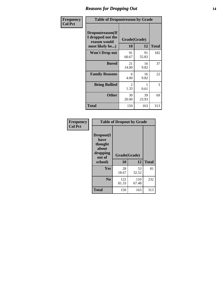### *Reasons for Dropping Out* **14**

| Frequency      | <b>Table of Dropoutreason by Grade</b>                                   |                        |             |              |
|----------------|--------------------------------------------------------------------------|------------------------|-------------|--------------|
| <b>Col Pct</b> | Dropoutreason(If<br>I dropped out the<br>reason would<br>most likely be) | Grade(Grade)<br>10     | 12          | <b>Total</b> |
|                | Won't Drop out                                                           | 91<br>60.67            | 91<br>55.83 | 182          |
|                | <b>Bored</b>                                                             | 21<br>14.00            | 16<br>9.82  | 37           |
|                | <b>Family Reasons</b>                                                    | 6<br>4.00              | 16<br>9.82  | 22           |
|                | <b>Being Bullied</b>                                                     | $\mathfrak{D}$<br>1.33 | 0.61        | 3            |
|                | <b>Other</b>                                                             | 30<br>20.00            | 39<br>23.93 | 69           |
|                | <b>Total</b>                                                             | 150                    | 163         | 313          |

| Frequency      | <b>Table of Dropout by Grade</b>                                       |                          |       |              |  |  |
|----------------|------------------------------------------------------------------------|--------------------------|-------|--------------|--|--|
| <b>Col Pct</b> | Dropout(I<br>have<br>thought<br>about<br>dropping<br>out of<br>school) | Grade(Grade)<br>10<br>12 |       | <b>Total</b> |  |  |
|                |                                                                        |                          |       |              |  |  |
|                | Yes                                                                    | 28                       | 53    | 81           |  |  |
|                |                                                                        | 18.67                    | 32.52 |              |  |  |
|                | N <sub>0</sub>                                                         | 122                      | 110   | 232          |  |  |
|                |                                                                        | 81.33                    |       |              |  |  |
|                | <b>Total</b>                                                           |                          | 67.48 |              |  |  |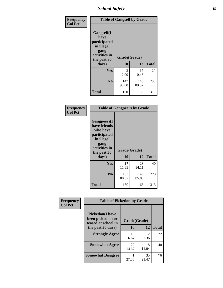*School Safety* **15**

| Frequency      | <b>Table of Gangself by Grade</b>                                                                 |                    |              |              |
|----------------|---------------------------------------------------------------------------------------------------|--------------------|--------------|--------------|
| <b>Col Pct</b> | Gangself(I<br>have<br>participated<br>in illegal<br>gang<br>activities in<br>the past 30<br>days) | Grade(Grade)<br>10 | 12           | <b>Total</b> |
|                | Yes                                                                                               | 3<br>2.00          | 17<br>10.43  | 20           |
|                | N <sub>0</sub>                                                                                    | 147<br>98.00       | 146<br>89.57 | 293          |
|                | <b>Total</b>                                                                                      | 150                | 163          | 313          |

| Frequency<br><b>Col Pct</b> | <b>Table of Gangpeers by Grade</b>                                                                                             |                    |              |              |
|-----------------------------|--------------------------------------------------------------------------------------------------------------------------------|--------------------|--------------|--------------|
|                             | <b>Gangpeers</b> (I<br>have friends<br>who have<br>participated<br>in illegal<br>gang<br>activities in<br>the past 30<br>days) | Grade(Grade)<br>10 | 12           | <b>Total</b> |
|                             | <b>Yes</b>                                                                                                                     | 17<br>11.33        | 23<br>14.11  | 40           |
|                             | N <sub>0</sub>                                                                                                                 | 133<br>88.67       | 140<br>85.89 | 273          |
|                             | <b>Total</b>                                                                                                                   | 150                | 163          | 313          |

| Frequency      |                                                                    | <b>Table of Pickedon by Grade</b> |             |              |  |  |  |  |
|----------------|--------------------------------------------------------------------|-----------------------------------|-------------|--------------|--|--|--|--|
| <b>Col Pct</b> | <b>Pickedon(I have</b><br>been picked on or<br>teased at school in | Grade(Grade)                      |             |              |  |  |  |  |
|                | the past 30 days)                                                  | 10                                | 12          | <b>Total</b> |  |  |  |  |
|                | <b>Strongly Agree</b>                                              | 10<br>6.67                        | 12<br>7.36  | 22           |  |  |  |  |
|                | <b>Somewhat Agree</b>                                              | 22<br>14.67                       | 18<br>11.04 | 40           |  |  |  |  |
|                | <b>Somewhat Disagree</b>                                           | 41<br>27.33                       | 35<br>21.47 | 76           |  |  |  |  |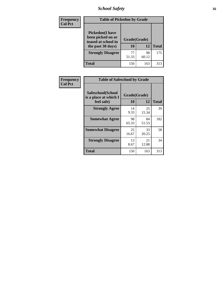# *School Safety* **16**

| Frequency<br><b>Col Pct</b> | <b>Table of Pickedon by Grade</b>                                                        |                    |             |              |  |  |  |  |
|-----------------------------|------------------------------------------------------------------------------------------|--------------------|-------------|--------------|--|--|--|--|
|                             | <b>Pickedon</b> (I have<br>been picked on or<br>teased at school in<br>the past 30 days) | Grade(Grade)<br>10 | 12          | <b>Total</b> |  |  |  |  |
|                             | <b>Strongly Disagree</b>                                                                 | 77<br>51.33        | 98<br>60.12 | 175          |  |  |  |  |
|                             | Total                                                                                    | 150                | 163         | 313          |  |  |  |  |

| Frequency      |                                                          | <b>Table of Safeschool by Grade</b> |             |              |  |  |  |  |  |
|----------------|----------------------------------------------------------|-------------------------------------|-------------|--------------|--|--|--|--|--|
| <b>Col Pct</b> | Safeschool(School<br>is a place at which I<br>feel safe) | Grade(Grade)<br>10                  | 12          | <b>Total</b> |  |  |  |  |  |
|                | <b>Strongly Agree</b>                                    | 14<br>9.33                          | 25<br>15.34 | 39           |  |  |  |  |  |
|                | <b>Somewhat Agree</b>                                    | 98<br>65.33                         | 84<br>51.53 | 182          |  |  |  |  |  |
|                | <b>Somewhat Disagree</b>                                 | 25<br>16.67                         | 33<br>20.25 | 58           |  |  |  |  |  |
|                | <b>Strongly Disagree</b>                                 | 13<br>8.67                          | 21<br>12.88 | 34           |  |  |  |  |  |
|                | <b>Total</b>                                             | 150                                 | 163         | 313          |  |  |  |  |  |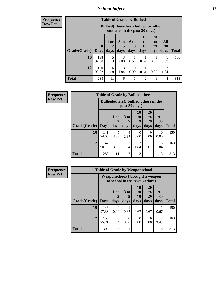*School Safety* **17**

| <b>Frequend</b><br>Row Pct |
|----------------------------|

| $\overline{\textbf{c}\textbf{y}}$ | <b>Table of Grade by Bullied</b> |                            |                                                                               |              |                   |                        |                               |                          |              |
|-----------------------------------|----------------------------------|----------------------------|-------------------------------------------------------------------------------|--------------|-------------------|------------------------|-------------------------------|--------------------------|--------------|
| þ,                                |                                  |                            | <b>Bullied</b> (I have been bullied by other<br>students in the past 30 days) |              |                   |                        |                               |                          |              |
|                                   | Grade(Grade)                     | $\mathbf 0$<br><b>Days</b> | 1 or<br>days                                                                  | 3 to<br>days | 6 to<br>9<br>days | 10<br>to<br>19<br>days | <b>20</b><br>to<br>29<br>days | All<br><b>30</b><br>days | <b>Total</b> |
|                                   | 10                               | 138<br>92.00               | 5<br>3.33                                                                     | 3<br>2.00    | 0.67              | 0.67                   | 0.67                          | 0.67                     | 150          |
|                                   | 12                               | 150<br>92.02               | 6<br>3.68                                                                     | 3<br>1.84    | $\Omega$<br>0.00  | 0.61                   | 0<br>0.00                     | $\mathcal{R}$<br>1.84    | 163          |
|                                   | <b>Total</b>                     | 288                        | 11                                                                            | 6            | 1                 | $\mathfrak{D}$         |                               | 4                        | 313          |

| <b>Frequency</b> | <b>Table of Grade by Bulliedothers</b> |                                               |              |                   |                        |                                           |                   |              |  |  |
|------------------|----------------------------------------|-----------------------------------------------|--------------|-------------------|------------------------|-------------------------------------------|-------------------|--------------|--|--|
| <b>Row Pct</b>   |                                        | <b>Bulliedothers</b> (I bullied others in the |              |                   |                        |                                           |                   |              |  |  |
|                  | <b>Grade</b> (Grade) Days              | $\mathbf{0}$                                  | 1 or<br>days | 3 to<br>5<br>days | 10<br>to<br>19<br>days | <b>20</b><br>t <sub>0</sub><br>29<br>days | All<br>30<br>days | <b>Total</b> |  |  |
|                  | 10                                     | 141<br>94.00                                  | 5<br>3.33    | 4<br>2.67         | $\Omega$<br>0.00       | 0<br>0.00                                 | $\Omega$<br>0.00  | 150          |  |  |
|                  | 12                                     | 147<br>90.18                                  | 6<br>3.68    | 3<br>1.84         | 3<br>1.84              | 0.61                                      | 3<br>1.84         | 163          |  |  |
|                  | <b>Total</b>                           | 288                                           | 11           | 7                 | 3                      | 1                                         | 3                 | 313          |  |  |

| <b>Frequency</b> |              | <b>Table of Grade by Weaponschool</b> |                                                                   |                              |                                         |                                    |                   |              |  |
|------------------|--------------|---------------------------------------|-------------------------------------------------------------------|------------------------------|-----------------------------------------|------------------------------------|-------------------|--------------|--|
| <b>Row Pct</b>   |              |                                       | Weaponschool(I brought a weapon<br>to school in the past 30 days) |                              |                                         |                                    |                   |              |  |
|                  | Grade(Grade) | $\bf{0}$<br><b>Days</b>               | 1 or<br>days                                                      | 3 <sub>to</sub><br>5<br>days | <b>10</b><br>$\mathbf{t}$<br>19<br>days | 20<br>t <sub>0</sub><br>29<br>days | All<br>30<br>days | <b>Total</b> |  |
|                  | 10           | 146<br>97.33                          | 0<br>0.00                                                         | 0.67                         | 0.67                                    | 0.67                               | 0.67              | 150          |  |
|                  | 12           | 156<br>95.71                          | 3<br>1.84                                                         | $\Omega$<br>0.00             | 0<br>0.00                               | 0<br>0.00                          | 4<br>2.45         | 163          |  |
|                  | <b>Total</b> | 302                                   | 3                                                                 |                              |                                         | 1                                  | 5                 | 313          |  |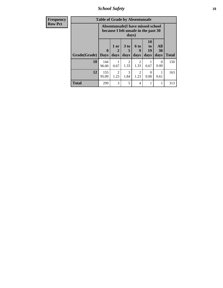*School Safety* **18**

| <b>Frequency</b> |              | <b>Table of Grade by Absentunsafe</b>                                              |                                     |                              |                                     |                        |                   |              |
|------------------|--------------|------------------------------------------------------------------------------------|-------------------------------------|------------------------------|-------------------------------------|------------------------|-------------------|--------------|
| <b>Row Pct</b>   |              | Absentunsafe(I have missed school<br>because I felt unsafe in the past 30<br>days) |                                     |                              |                                     |                        |                   |              |
|                  | Grade(Grade) | $\mathbf 0$<br><b>Days</b>                                                         | 1 or<br>2<br>days                   | 3 <sub>to</sub><br>5<br>days | 6 <sup>to</sup><br>9<br>days        | 10<br>to<br>19<br>days | All<br>30<br>days | <b>Total</b> |
|                  | 10           | 144<br>96.00                                                                       | 0.67                                | $\mathfrak{D}$<br>1.33       | $\mathcal{D}_{\mathcal{L}}$<br>1.33 | 0.67                   | 0<br>0.00         | 150          |
|                  | 12           | 155<br>95.09                                                                       | $\mathcal{D}_{\mathcal{A}}$<br>1.23 | $\mathcal{R}$<br>1.84        | $\mathcal{D}_{\mathcal{L}}$<br>1.23 | $\Omega$<br>0.00       | 0.61              | 163          |
|                  | <b>Total</b> | 299                                                                                | 3                                   | 5                            | 4                                   |                        | 1                 | 313          |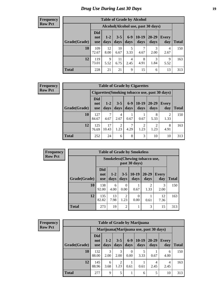# *Drug Use During Last 30 Days* **19**

#### **Frequency Row Pct**

| <b>Table of Grade by Alcohol</b> |                                 |                                     |                 |                 |                 |               |              |       |  |  |
|----------------------------------|---------------------------------|-------------------------------------|-----------------|-----------------|-----------------|---------------|--------------|-------|--|--|
|                                  |                                 | Alcohol (Alcohol use, past 30 days) |                 |                 |                 |               |              |       |  |  |
| Grade(Grade)                     | <b>Did</b><br>not<br><b>use</b> | $1 - 2$<br>days                     | $3 - 5$<br>days | $6 - 9$<br>days | $10-19$<br>days | 20-29<br>days | Every<br>day | Total |  |  |
| 10                               | 109<br>72.67                    | 12<br>8.00                          | 10<br>6.67      | 5<br>3.33       | 7<br>4.67       | 3<br>2.00     | 4<br>2.67    | 150   |  |  |
| 12                               | 119<br>73.01                    | 9<br>5.52                           | 11<br>6.75      | 4<br>2.45       | 8<br>4.91       | 3<br>1.84     | 9<br>5.52    | 163   |  |  |
| <b>Total</b>                     | 228                             | 21                                  | 21              | 9               | 15              | 6             | 13           | 313   |  |  |

#### **Frequency Row Pct**

| <b>Table of Grade by Cigarettes</b> |                                 |                                                |                 |               |                        |                   |                     |              |  |  |  |
|-------------------------------------|---------------------------------|------------------------------------------------|-----------------|---------------|------------------------|-------------------|---------------------|--------------|--|--|--|
|                                     |                                 | Cigarettes (Smoking tobacco use, past 30 days) |                 |               |                        |                   |                     |              |  |  |  |
| Grade(Grade)                        | <b>Did</b><br>not<br><b>use</b> | $1-2$<br>days                                  | $3 - 5$<br>days | $6-9$<br>days | $10-19$<br>days        | $20 - 29$<br>days | <b>Every</b><br>day | <b>Total</b> |  |  |  |
| 10                                  | 127<br>84.67                    | 4.67                                           | 4<br>2.67       | 0.67          | 0.67                   | 8<br>5.33         | 2<br>1.33           | 150          |  |  |  |
| 12                                  | 125<br>76.69                    | 17<br>10.43                                    | 2<br>1.23       | 4.29          | $\overline{2}$<br>1.23 | ↑<br>1.23         | 8<br>4.91           | 163          |  |  |  |
| <b>Total</b>                        | 252                             | 24                                             | 6               | 8             | 3                      | 10                | 10                  | 313          |  |  |  |

| Frequency      |              | <b>Table of Grade by Smokeless</b> |                 |                        |                                                        |                        |              |              |  |  |  |
|----------------|--------------|------------------------------------|-----------------|------------------------|--------------------------------------------------------|------------------------|--------------|--------------|--|--|--|
| <b>Row Pct</b> |              |                                    |                 |                        | <b>Smokeless</b> (Chewing tobaccouse,<br>past 30 days) |                        |              |              |  |  |  |
|                | Grade(Grade) | <b>Did</b><br>not<br><b>use</b>    | $1 - 2$<br>days | $3 - 5$<br>days        | $10-19$<br>days                                        | $20 - 29$<br>days      | Every<br>day | <b>Total</b> |  |  |  |
|                | 10           | 138<br>92.00                       | 6<br>4.00       | 0<br>0.00              | 0.67                                                   | $\overline{2}$<br>1.33 | 3<br>2.00    | 150          |  |  |  |
|                | 12           | 135<br>82.82                       | 13<br>7.98      | $\overline{2}$<br>1.23 | $\theta$<br>0.00                                       | 0.61                   | 12<br>7.36   | 163          |  |  |  |
|                | <b>Total</b> | 273                                | 19              | $\overline{2}$         |                                                        | 3                      | 15           | 313          |  |  |  |

| <b>Frequency</b> |
|------------------|
| <b>Row Pct</b>   |

| <b>Table of Grade by Marijuana</b> |                                 |                                         |                        |                 |                 |               |                     |              |  |
|------------------------------------|---------------------------------|-----------------------------------------|------------------------|-----------------|-----------------|---------------|---------------------|--------------|--|
|                                    |                                 | Marijuana (Marijuana use, past 30 days) |                        |                 |                 |               |                     |              |  |
| Grade(Grade)                       | <b>Did</b><br>not<br><b>use</b> | $1-2$<br>days                           | $3 - 5$<br>days        | $6 - 9$<br>days | $10-19$<br>days | 20-29<br>days | <b>Every</b><br>day | <b>Total</b> |  |
| 10                                 | 132<br>88.00                    | 3<br>2.00                               | 3<br>2.00              | 0<br>0.00       | 5<br>3.33       | 0.67          | 6<br>4.00           | 150          |  |
| 12                                 | 145<br>88.96                    | 6<br>3.68                               | $\overline{c}$<br>1.23 | 0.61            | 0.61            | 4<br>2.45     | 4<br>2.45           | 163          |  |
| <b>Total</b>                       | 277                             | 9                                       | 5                      | 1               | 6               | 5             | 10                  | 313          |  |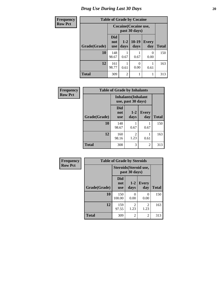# *Drug Use During Last 30 Days* 20

| <b>Frequency</b> | <b>Table of Grade by Cocaine</b> |                                 |                 |                                        |                     |              |  |  |  |
|------------------|----------------------------------|---------------------------------|-----------------|----------------------------------------|---------------------|--------------|--|--|--|
| <b>Row Pct</b>   |                                  |                                 |                 | Cocaine (Cocaine use,<br>past 30 days) |                     |              |  |  |  |
|                  | Grade(Grade)                     | <b>Did</b><br>not<br><b>use</b> | $1 - 2$<br>days | $10-19$<br>days                        | <b>Every</b><br>day | <b>Total</b> |  |  |  |
|                  | 10                               | 148<br>98.67                    | 0.67            | 0.67                                   | 0<br>0.00           | 150          |  |  |  |
|                  | 12                               | 161<br>98.77                    | 0.61            | 0.00                                   | 0.61                | 163          |  |  |  |
|                  | <b>Total</b>                     | 309                             | $\overline{2}$  |                                        | 1                   | 313          |  |  |  |

| Frequency      | <b>Table of Grade by Inhalants</b> |                                 |                                                  |                     |              |  |  |  |  |
|----------------|------------------------------------|---------------------------------|--------------------------------------------------|---------------------|--------------|--|--|--|--|
| <b>Row Pct</b> |                                    |                                 | <b>Inhalants</b> (Inhalant<br>use, past 30 days) |                     |              |  |  |  |  |
|                | Grade(Grade)                       | <b>Did</b><br>not<br><b>use</b> | $1 - 2$<br>days                                  | <b>Every</b><br>day | <b>Total</b> |  |  |  |  |
|                | 10                                 | 148<br>98.67                    | 0.67                                             | 0.67                | 150          |  |  |  |  |
|                | 12                                 | 160<br>98.16                    | 2<br>1.23                                        | 0.61                | 163          |  |  |  |  |
|                | Total                              | 308                             | 3                                                | 2                   | 313          |  |  |  |  |

| Frequency      | <b>Table of Grade by Steroids</b> |                                 |                                         |                     |              |  |  |  |
|----------------|-----------------------------------|---------------------------------|-----------------------------------------|---------------------|--------------|--|--|--|
| <b>Row Pct</b> |                                   |                                 | Steroids (Steroid use,<br>past 30 days) |                     |              |  |  |  |
|                | Grade(Grade)                      | <b>Did</b><br>not<br><b>use</b> | $1 - 2$<br>days                         | <b>Every</b><br>day | <b>Total</b> |  |  |  |
|                | 10                                | 150<br>100.00                   | $\Omega$<br>0.00                        | 0<br>0.00           | 150          |  |  |  |
|                | 12                                | 159<br>97.55                    | 2<br>1.23                               | 2<br>1.23           | 163          |  |  |  |
|                | <b>Total</b>                      | 309                             | $\overline{2}$                          | 2                   | 313          |  |  |  |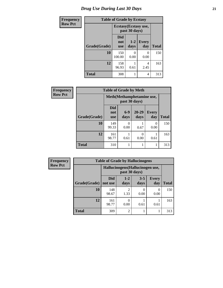# *Drug Use During Last 30 Days* **21**

| <b>Frequency</b> |              | <b>Table of Grade by Ecstasy</b>       |                 |                     |              |  |  |  |
|------------------|--------------|----------------------------------------|-----------------|---------------------|--------------|--|--|--|
| <b>Row Pct</b>   |              | Ecstasy (Ecstasy use,<br>past 30 days) |                 |                     |              |  |  |  |
|                  | Grade(Grade) | <b>Did</b><br>not<br><b>use</b>        | $1 - 2$<br>days | <b>Every</b><br>day | <b>Total</b> |  |  |  |
|                  | 10           | 150<br>100.00                          | 0<br>0.00       | ∩<br>0.00           | 150          |  |  |  |
|                  | 12           | 158<br>96.93                           | 0.61            | 4<br>2.45           | 163          |  |  |  |
|                  | <b>Total</b> | 308                                    |                 | 4                   | 313          |  |  |  |

| <b>Frequency</b> | <b>Table of Grade by Meth</b> |                                 |                                            |                   |                     |              |  |  |
|------------------|-------------------------------|---------------------------------|--------------------------------------------|-------------------|---------------------|--------------|--|--|
| <b>Row Pct</b>   |                               |                                 | Meth(Methamphetamine use,<br>past 30 days) |                   |                     |              |  |  |
|                  | Grade(Grade)                  | <b>Did</b><br>not<br><b>use</b> | $6-9$<br>days                              | $20 - 29$<br>days | <b>Every</b><br>day | <b>Total</b> |  |  |
|                  | 10                            | 149<br>99.33                    | 0<br>0.00                                  | 0.67              | 0<br>0.00           | 150          |  |  |
|                  | 12                            | 161<br>98.77                    | 0.61                                       | 0<br>0.00         | 0.61                | 163          |  |  |
|                  | <b>Total</b>                  | 310                             |                                            |                   |                     | 313          |  |  |

| <b>Frequency</b> | <b>Table of Grade by Hallucinogens</b> |                       |                 |                                  |                     |              |  |
|------------------|----------------------------------------|-----------------------|-----------------|----------------------------------|---------------------|--------------|--|
| <b>Row Pct</b>   |                                        |                       | past 30 days)   | Hallucinogens (Hallucinogen use, |                     |              |  |
|                  | Grade(Grade)                           | <b>Did</b><br>not use | $1 - 2$<br>days | $3 - 5$<br>days                  | <b>Every</b><br>day | <b>Total</b> |  |
|                  | 10                                     | 148<br>98.67          | 2<br>1.33       | 0.00                             | 0<br>0.00           | 150          |  |
|                  | 12                                     | 161<br>98.77          | 0.00            | 0.61                             | 0.61                | 163          |  |
|                  | <b>Total</b>                           | 309                   | $\mathfrak{D}$  |                                  |                     | 313          |  |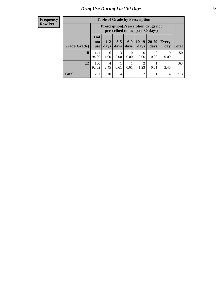| <b>Frequency</b> |
|------------------|
| <b>Row Pct</b>   |

| <b>Table of Grade by Prescription</b> |                                 |                                                                                |                 |                 |                        |               |              |       |  |
|---------------------------------------|---------------------------------|--------------------------------------------------------------------------------|-----------------|-----------------|------------------------|---------------|--------------|-------|--|
|                                       |                                 | <b>Prescription</b> (Prescription drugs not<br>prescribed to me, past 30 days) |                 |                 |                        |               |              |       |  |
| Grade(Grade)                          | <b>Did</b><br>not<br><b>use</b> | $1 - 2$<br>days                                                                | $3 - 5$<br>days | $6 - 9$<br>days | $10-19$<br>days        | 20-29<br>days | Every<br>day | Total |  |
| 10                                    | 141<br>94.00                    | 6<br>4.00                                                                      | 3<br>2.00       | 0<br>0.00       | 0<br>0.00              | 0<br>0.00     | 0<br>0.00    | 150   |  |
| 12                                    | 150<br>92.02                    | 4<br>2.45                                                                      | 0.61            | 0.61            | $\mathfrak{D}$<br>1.23 | 0.61          | 4<br>2.45    | 163   |  |
| <b>Total</b>                          | 291                             | 10                                                                             | 4               | 1               | $\overline{2}$         |               | 4            | 313   |  |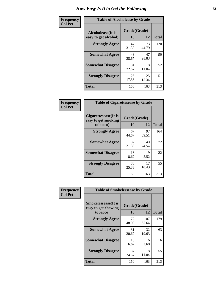| Frequency      | <b>Table of Alcoholease by Grade</b>              |                    |             |              |  |  |  |
|----------------|---------------------------------------------------|--------------------|-------------|--------------|--|--|--|
| <b>Col Pct</b> | <b>Alcoholease</b> (It is<br>easy to get alcohol) | Grade(Grade)<br>10 | 12          | <b>Total</b> |  |  |  |
|                | <b>Strongly Agree</b>                             | 47<br>31.33        | 73<br>44.79 | 120          |  |  |  |
|                | <b>Somewhat Agree</b>                             | 43<br>28.67        | 47<br>28.83 | 90           |  |  |  |
|                | <b>Somewhat Disagree</b>                          | 34<br>22.67        | 18<br>11.04 | 52           |  |  |  |
|                | <b>Strongly Disagree</b>                          | 26<br>17.33        | 25<br>15.34 | 51           |  |  |  |
|                | <b>Total</b>                                      | 150                | 163         | 313          |  |  |  |

| Frequency      | <b>Table of Cigarettesease by Grade</b>                 |                    |             |              |  |  |  |
|----------------|---------------------------------------------------------|--------------------|-------------|--------------|--|--|--|
| <b>Col Pct</b> | Cigarettesease(It is<br>easy to get smoking<br>tobacco) | Grade(Grade)<br>10 | 12          | <b>Total</b> |  |  |  |
|                | <b>Strongly Agree</b>                                   | 67<br>44.67        | 97<br>59.51 | 164          |  |  |  |
|                | <b>Somewhat Agree</b>                                   | 32<br>21.33        | 40<br>24.54 | 72           |  |  |  |
|                | <b>Somewhat Disagree</b>                                | 13<br>8.67         | 9<br>5.52   | 22           |  |  |  |
|                | <b>Strongly Disagree</b>                                | 38<br>25.33        | 17<br>10.43 | 55           |  |  |  |
|                | <b>Total</b>                                            | 150                | 163         | 313          |  |  |  |

| Frequency      | <b>Table of Smokelessease by Grade</b>                         |                    |              |     |  |  |  |  |  |
|----------------|----------------------------------------------------------------|--------------------|--------------|-----|--|--|--|--|--|
| <b>Col Pct</b> | <b>Smokelessease</b> (It is<br>easy to get chewing<br>tobacco) | Grade(Grade)<br>10 | <b>Total</b> |     |  |  |  |  |  |
|                | <b>Strongly Agree</b>                                          | 72<br>48.00        | 107<br>65.64 | 179 |  |  |  |  |  |
|                | <b>Somewhat Agree</b>                                          | 31<br>20.67        | 32<br>19.63  | 63  |  |  |  |  |  |
|                | <b>Somewhat Disagree</b>                                       | 10<br>6.67         | 6<br>3.68    | 16  |  |  |  |  |  |
|                | <b>Strongly Disagree</b>                                       | 37<br>24.67        | 18<br>11.04  | 55  |  |  |  |  |  |
|                | <b>Total</b>                                                   | 150                | 163          | 313 |  |  |  |  |  |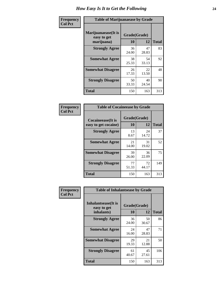| Frequency      | <b>Table of Marijuanaease by Grade</b>           |                    |             |              |  |  |  |  |  |
|----------------|--------------------------------------------------|--------------------|-------------|--------------|--|--|--|--|--|
| <b>Col Pct</b> | Marijuanaease(It is<br>easy to get<br>marijuana) | Grade(Grade)<br>10 | 12          | <b>Total</b> |  |  |  |  |  |
|                | <b>Strongly Agree</b>                            | 36<br>24.00        | 47<br>28.83 | 83           |  |  |  |  |  |
|                | <b>Somewhat Agree</b>                            | 38<br>25.33        | 54<br>33.13 | 92           |  |  |  |  |  |
|                | <b>Somewhat Disagree</b>                         | 26<br>17.33        | 22<br>13.50 | 48           |  |  |  |  |  |
|                | <b>Strongly Disagree</b>                         | 50<br>33.33        | 40<br>24.54 | 90           |  |  |  |  |  |
|                | <b>Total</b>                                     | 150                | 163         | 313          |  |  |  |  |  |

| <b>Table of Cocaineease by Grade</b>      |                    |             |              |  |  |  |  |  |  |  |
|-------------------------------------------|--------------------|-------------|--------------|--|--|--|--|--|--|--|
| Cocaineease(It is<br>easy to get cocaine) | Grade(Grade)<br>10 | 12          | <b>Total</b> |  |  |  |  |  |  |  |
| <b>Strongly Agree</b>                     | 13<br>8.67         | 24<br>14.72 | 37           |  |  |  |  |  |  |  |
| <b>Somewhat Agree</b>                     | 21<br>14.00        | 31<br>19.02 | 52           |  |  |  |  |  |  |  |
| <b>Somewhat Disagree</b>                  | 39<br>26.00        | 36<br>22.09 | 75           |  |  |  |  |  |  |  |
| <b>Strongly Disagree</b>                  | 77<br>51.33        | 72<br>44.17 | 149          |  |  |  |  |  |  |  |
| <b>Total</b>                              | 150                | 163         | 313          |  |  |  |  |  |  |  |

| Frequency      | <b>Table of Inhalantsease by Grade</b>                   |                           |             |              |
|----------------|----------------------------------------------------------|---------------------------|-------------|--------------|
| <b>Col Pct</b> | <b>Inhalantsease</b> (It is<br>easy to get<br>inhalants) | Grade(Grade)<br><b>10</b> | 12          | <b>Total</b> |
|                | <b>Strongly Agree</b>                                    | 36<br>24.00               | 50<br>30.67 | 86           |
|                | <b>Somewhat Agree</b>                                    | 24<br>16.00               | 47<br>28.83 | 71           |
|                | <b>Somewhat Disagree</b>                                 | 29<br>19.33               | 21<br>12.88 | 50           |
|                | <b>Strongly Disagree</b>                                 | 61<br>40.67               | 45<br>27.61 | 106          |
|                | Total                                                    | 150                       | 163         | 313          |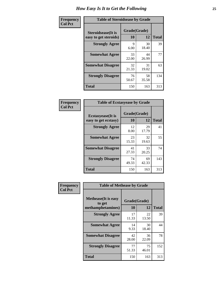| Frequency      | <b>Table of Steroidsease by Grade</b>               |                    |             |              |  |  |  |  |  |  |
|----------------|-----------------------------------------------------|--------------------|-------------|--------------|--|--|--|--|--|--|
| <b>Col Pct</b> | <b>Steroidsease</b> (It is<br>easy to get steroids) | Grade(Grade)<br>10 | 12          | <b>Total</b> |  |  |  |  |  |  |
|                | <b>Strongly Agree</b>                               | 9<br>6.00          | 39          |              |  |  |  |  |  |  |
|                | <b>Somewhat Agree</b>                               | 33<br>22.00        | 44<br>26.99 | 77           |  |  |  |  |  |  |
|                | <b>Somewhat Disagree</b>                            | 32<br>21.33        | 31<br>19.02 | 63           |  |  |  |  |  |  |
|                | <b>Strongly Disagree</b>                            | 76<br>50.67        | 58<br>35.58 | 134          |  |  |  |  |  |  |
|                | <b>Total</b>                                        | 150                | 163         | 313          |  |  |  |  |  |  |

| Frequency      | <b>Table of Ecstasyease by Grade</b>              |                           |             |              |
|----------------|---------------------------------------------------|---------------------------|-------------|--------------|
| <b>Col Pct</b> | <b>Ecstasyease</b> (It is<br>easy to get ecstasy) | Grade(Grade)<br><b>10</b> | 12          | <b>Total</b> |
|                | <b>Strongly Agree</b>                             | 12<br>8.00                | 29<br>17.79 | 41           |
|                | <b>Somewhat Agree</b>                             | 23<br>15.33               | 32<br>19.63 | 55           |
|                | <b>Somewhat Disagree</b>                          | 41<br>27.33               | 33<br>20.25 | 74           |
|                | <b>Strongly Disagree</b>                          | 74<br>49.33               | 69<br>42.33 | 143          |
|                | <b>Total</b>                                      | 150                       | 163         | 313          |

| Frequency<br><b>Col Pct</b> | <b>Table of Methease by Grade</b>                          |                    |             |              |
|-----------------------------|------------------------------------------------------------|--------------------|-------------|--------------|
|                             | <b>Methease</b> (It is easy<br>to get<br>methamphetamines) | Grade(Grade)<br>10 | 12          | <b>Total</b> |
|                             | <b>Strongly Agree</b>                                      | 17<br>11.33        | 22<br>13.50 | 39           |
|                             | <b>Somewhat Agree</b>                                      | 14<br>9.33         | 30<br>18.40 | 44           |
|                             | <b>Somewhat Disagree</b>                                   | 42<br>28.00        | 36<br>22.09 | 78           |
|                             | <b>Strongly Disagree</b>                                   | 77<br>51.33        | 75<br>46.01 | 152          |
|                             | Total                                                      | 150                | 163         | 313          |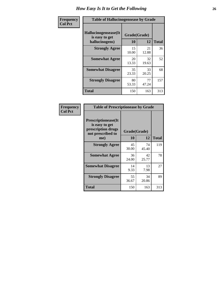| <b>Frequency</b> | <b>Table of Hallucinogensease by Grade</b>                |                    |             |              |  |  |  |  |  |  |
|------------------|-----------------------------------------------------------|--------------------|-------------|--------------|--|--|--|--|--|--|
| <b>Col Pct</b>   | Hallucinogensease(It)<br>is easy to get<br>hallucinogens) | Grade(Grade)<br>10 | 12          | <b>Total</b> |  |  |  |  |  |  |
|                  | <b>Strongly Agree</b>                                     | 15<br>10.00        | 21<br>12.88 | 36           |  |  |  |  |  |  |
|                  | <b>Somewhat Agree</b>                                     | 20<br>13.33        | 32<br>19.63 | 52           |  |  |  |  |  |  |
|                  | <b>Somewhat Disagree</b>                                  | 35<br>23.33        | 33<br>20.25 | 68           |  |  |  |  |  |  |
|                  | <b>Strongly Disagree</b>                                  | 80<br>53.33        | 77<br>47.24 | 157          |  |  |  |  |  |  |
|                  | <b>Total</b>                                              | 150                | 163         | 313          |  |  |  |  |  |  |

| Frequency<br>  Col Pct |
|------------------------|
|                        |

| <b>Table of Prescriptionease by Grade</b>                                                      |             |                    |              |  |  |  |  |  |  |
|------------------------------------------------------------------------------------------------|-------------|--------------------|--------------|--|--|--|--|--|--|
| <b>Prescriptionease(It</b><br>is easy to get<br>prescription drugs<br>not prescribed to<br>me) | 10          | Grade(Grade)<br>12 | <b>Total</b> |  |  |  |  |  |  |
| <b>Strongly Agree</b>                                                                          | 45<br>30.00 | 74<br>45.40        | 119          |  |  |  |  |  |  |
| <b>Somewhat Agree</b>                                                                          | 36<br>24.00 | 42<br>25.77        | 78           |  |  |  |  |  |  |
| <b>Somewhat Disagree</b>                                                                       | 14<br>9.33  | 13<br>7.98         | 27           |  |  |  |  |  |  |
| <b>Strongly Disagree</b>                                                                       | 55<br>36.67 | 34<br>20.86        | 89           |  |  |  |  |  |  |
| <b>Total</b>                                                                                   | 150         | 163                | 313          |  |  |  |  |  |  |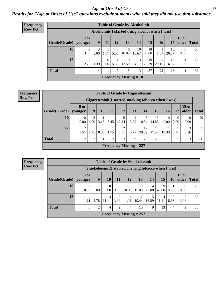#### *Age at Onset of Use* **27** *Results for "Age at Onset of Use" questions exclude students who said they did not use that substance*

| <b>Frequency</b> |                                                  | <b>Table of Grade by Alcoholinit</b> |      |          |           |                           |             |             |             |             |                       |              |
|------------------|--------------------------------------------------|--------------------------------------|------|----------|-----------|---------------------------|-------------|-------------|-------------|-------------|-----------------------|--------------|
| <b>Row Pct</b>   | Alcoholinit (I started using alcohol when I was) |                                      |      |          |           |                           |             |             |             |             |                       |              |
|                  | Grade(Grade)                                     | <b>8 or</b><br>younger               | 9    | 11       | 12        | 13                        | 14          | 15          | <b>16</b>   | 17          | <b>18 or</b><br>older | <b>Total</b> |
|                  | 10                                               | 3.33                                 | 5.00 | 1.67     | 3<br>5.00 | 6<br>10.00                | 10<br>16.67 | 18<br>30.00 | 1.67        | 16<br>26.67 | $\theta$<br>0.00      | 60           |
|                  | 12                                               | 2<br>2.78                            | 1.39 | $0.00\,$ | 4<br>5.56 | 9<br>12.50                | 3<br>4.17   | 19<br>26.39 | 21<br>29.17 | 12<br>16.67 | 1.39                  | 72           |
|                  | <b>Total</b>                                     | $\overline{4}$                       | 4    |          | 7         | 15                        | 13          | 37          | 22          | 28          |                       | 132          |
|                  |                                                  |                                      |      |          |           | Frequency Missing $= 181$ |             |             |             |             |                       |              |

| <b>Frequency</b>                                                        |              |                        |      |                  |      |                                |            | <b>Table of Grade by Cigarettesinit</b> |             |                  |                      |                       |              |
|-------------------------------------------------------------------------|--------------|------------------------|------|------------------|------|--------------------------------|------------|-----------------------------------------|-------------|------------------|----------------------|-----------------------|--------------|
| <b>Row Pct</b><br>Cigarettesinit (I started smoking tobacco when I was) |              |                        |      |                  |      |                                |            |                                         |             |                  |                      |                       |              |
|                                                                         | Grade(Grade) | <b>8 or</b><br>younger | 9    | 10               | 11   | 12                             | 13         | 14                                      | 15          | <b>16</b>        | 17                   | <b>18 or</b><br>older | <b>Total</b> |
|                                                                         | 10           | $\theta$<br>0.00       |      | $6.90 \mid 3.45$ | 3.45 | 17.24                          | 4<br>13.79 | 10.34                                   | 13<br>44.83 | $\Omega$<br>0.00 | $\Omega$<br>$0.00\,$ | $\mathbf{U}$<br>0.00  | 29           |
|                                                                         | 12           | $\overline{2}$<br>3.51 | 1.75 | $\Omega$<br>0.00 | 1.75 | 2<br>3.51                      | 8.77       | 17<br>29.82                             | 10<br>17.54 | 11<br>19.30      | 8.77                 | 5.26                  | 57           |
|                                                                         | <b>Total</b> | 2                      | 3    |                  | 2    | 7                              | 9          | 20                                      | 23          | 11               | 5                    | 3                     | 86           |
|                                                                         |              |                        |      |                  |      | <b>Frequency Missing = 227</b> |            |                                         |             |                  |                      |                       |              |

**Frequency Row Pct**

| <b>Table of Grade by Smokelessinit</b> |                 |                                                                                                                 |                  |                  |                           |            |            |            |      |                  |    |  |
|----------------------------------------|-----------------|-----------------------------------------------------------------------------------------------------------------|------------------|------------------|---------------------------|------------|------------|------------|------|------------------|----|--|
|                                        |                 | Smokelessinit(I started chewing tobacco when I was)                                                             |                  |                  |                           |            |            |            |      |                  |    |  |
| Grade(Grade)                           | 8 or<br>younger | <b>18 or</b><br>older<br>9<br><b>10</b><br>12<br>13<br>15<br><b>11</b><br>14<br><b>Total</b><br>16 <sup>1</sup> |                  |                  |                           |            |            |            |      |                  |    |  |
| 10                                     | 2<br>10.00      | 5.00                                                                                                            | $\Omega$<br>0.00 | $\Omega$<br>0.00 | $\Omega$<br>0.00          | 3<br>15.00 | 4<br>20.00 | 9<br>45.00 | 5.00 | $\theta$<br>0.00 | 20 |  |
| 12                                     | 4<br>11.11      | 2.78                                                                                                            | 4<br>11.11       | 2<br>5.56        | $\overline{4}$<br>11.11   | 7<br>19.44 | 13.89      | 4<br>11.11 | 8.33 | 5.56             | 36 |  |
| <b>Total</b>                           | 6               | 2                                                                                                               | 4                | 2                | 4                         | 10         | 9          | 13         | 4    | $\overline{2}$   | 56 |  |
|                                        |                 |                                                                                                                 |                  |                  | Frequency Missing $= 257$ |            |            |            |      |                  |    |  |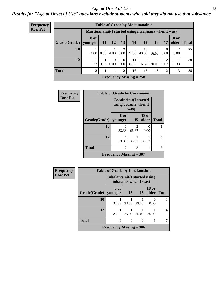#### *Age at Onset of Use* **28**

*Results for "Age at Onset of Use" questions exclude students who said they did not use that substance*

| Frequency      | <b>Table of Grade by Marijuanainit</b> |                 |                                                      |                  |                  |                           |             |            |                  |                       |              |
|----------------|----------------------------------------|-----------------|------------------------------------------------------|------------------|------------------|---------------------------|-------------|------------|------------------|-----------------------|--------------|
| <b>Row Pct</b> |                                        |                 | Marijuanainit (I started using marijuana when I was) |                  |                  |                           |             |            |                  |                       |              |
|                | Grade(Grade)                           | 8 or<br>younger | 11                                                   | <b>12</b>        | 13               | 14                        | 15          | <b>16</b>  | 17               | <b>18 or</b><br>older | <b>Total</b> |
|                | 10                                     | 4.00            | $\Omega$<br>0.00                                     | 4.00             | 2<br>8.00        | 5<br>20.00                | 10<br>40.00 | 4<br>16.00 | $\Omega$<br>0.00 | 2<br>8.00             | 25           |
|                | 12                                     | 3.33            | 3.33                                                 | $\theta$<br>0.00 | $\theta$<br>0.00 | 11<br>36.67               | 16.67       | 9<br>30.00 | 2<br>6.67        | 3.33                  | 30           |
|                | <b>Total</b>                           | 2               | 1                                                    |                  | 2                | 16                        | 15          | 13         | $\overline{2}$   | 3                     | 55           |
|                |                                        |                 |                                                      |                  |                  | Frequency Missing $= 258$ |             |            |                  |                       |              |

| Frequency      | <b>Table of Grade by Cocaineinit</b> |                                                       |                         |                       |              |  |  |  |  |
|----------------|--------------------------------------|-------------------------------------------------------|-------------------------|-----------------------|--------------|--|--|--|--|
| <b>Row Pct</b> |                                      | <b>Cocaineinit</b> (I started<br>using cocaine when I | was)                    |                       |              |  |  |  |  |
|                | Grade(Grade)   younger               | 8 or                                                  | 15                      | <b>18 or</b><br>older | <b>Total</b> |  |  |  |  |
|                | 10                                   | 33.33                                                 | $\mathfrak{D}$<br>66.67 | $\theta$<br>0.00      | 3            |  |  |  |  |
|                | 12                                   | 33.33                                                 | 33.33                   | 33.33                 | 3            |  |  |  |  |
|                | <b>Total</b>                         | 2                                                     | 3                       | 1                     | 6            |  |  |  |  |
|                |                                      | Frequency Missing $=$ 307                             |                         |                       |              |  |  |  |  |

| <b>Frequency</b> | <b>Table of Grade by Inhalantsinit</b> |                                                               |                |                |                       |              |  |  |
|------------------|----------------------------------------|---------------------------------------------------------------|----------------|----------------|-----------------------|--------------|--|--|
| <b>Row Pct</b>   |                                        | <b>Inhalantsinit(I started using</b><br>inhalants when I was) |                |                |                       |              |  |  |
|                  | Grade(Grade)                           | 8 or<br>younger                                               | 13             | 15             | <b>18 or</b><br>older | <b>Total</b> |  |  |
|                  | <b>10</b>                              | 33.33                                                         | 33.33          | 33.33          | 0.00                  | 3            |  |  |
|                  | 12                                     | 25.00                                                         | 25.00          | 25.00          | 25.00                 | 4            |  |  |
|                  | <b>Total</b>                           | $\overline{c}$                                                | $\overline{2}$ | $\mathfrak{D}$ |                       |              |  |  |
|                  |                                        | Frequency Missing $=$ 306                                     |                |                |                       |              |  |  |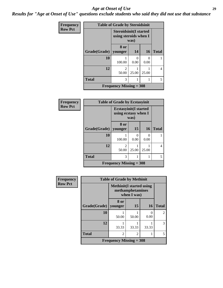#### *Age at Onset of Use* **29**

*Results for "Age at Onset of Use" questions exclude students who said they did not use that substance*

| Frequency      | <b>Table of Grade by Steroidsinit</b> |                                                        |       |                  |              |  |  |  |
|----------------|---------------------------------------|--------------------------------------------------------|-------|------------------|--------------|--|--|--|
| <b>Row Pct</b> |                                       | <b>Steroidsinit(I started</b><br>using steroids when I | was)  |                  |              |  |  |  |
|                | Grade(Grade)   younger                | 8 or                                                   | 14    | 16               | <b>Total</b> |  |  |  |
|                | 10                                    | 100.00                                                 | 0.00  | $\Omega$<br>0.00 |              |  |  |  |
|                | 12                                    | $\mathfrak{D}$<br>50.00                                | 25.00 | 25.00            | 4            |  |  |  |
|                | <b>Total</b>                          | 3                                                      |       |                  | 5            |  |  |  |
|                | Frequency Missing $=$ 308             |                                                        |       |                  |              |  |  |  |

| <b>Frequency</b> | <b>Table of Grade by Ecstasyinit</b> |                                                       |           |                      |              |  |  |  |
|------------------|--------------------------------------|-------------------------------------------------------|-----------|----------------------|--------------|--|--|--|
| <b>Row Pct</b>   |                                      | <b>Ecstasyinit</b> (I started<br>using ecstasy when I | was)      |                      |              |  |  |  |
|                  | Grade(Grade)                         | 8 or<br>younger                                       | 15        | <b>16</b>            | <b>Total</b> |  |  |  |
|                  | 10                                   | 100.00                                                | 0<br>0.00 | $\mathbf{0}$<br>0.00 |              |  |  |  |
|                  | 12                                   | $\mathfrak{D}$<br>50.00                               | 25.00     | 25.00                | 4            |  |  |  |
|                  | <b>Total</b>                         | 3                                                     |           |                      | 5            |  |  |  |
|                  |                                      | Frequency Missing $=$ 308                             |           |                      |              |  |  |  |

| <b>Frequency</b> |                           | <b>Table of Grade by Methinit</b> |                                 |           |                             |  |  |  |
|------------------|---------------------------|-----------------------------------|---------------------------------|-----------|-----------------------------|--|--|--|
| <b>Row Pct</b>   |                           | <b>Methinit(I started using</b>   | methamphetamines<br>when I was) |           |                             |  |  |  |
|                  | Grade(Grade)   younger    | 8 or                              | 15                              | <b>16</b> | <b>Total</b>                |  |  |  |
|                  | 10                        | 50.00                             | 50.00                           | 0<br>0.00 | $\mathcal{D}_{\mathcal{A}}$ |  |  |  |
|                  | 12                        | 33.33                             | 33.33                           | 33.33     | 3                           |  |  |  |
|                  | <b>Total</b>              | $\mathfrak{D}$                    | $\overline{2}$                  |           |                             |  |  |  |
|                  | Frequency Missing $=$ 308 |                                   |                                 |           |                             |  |  |  |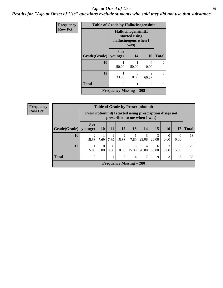#### Age at Onset of Use **30**

*Results for "Age at Onset of Use" questions exclude students who said they did not use that substance*

| Frequency      |                        | <b>Table of Grade by Hallucinogensinit</b> |                                                                      |                         |                |  |  |  |
|----------------|------------------------|--------------------------------------------|----------------------------------------------------------------------|-------------------------|----------------|--|--|--|
| <b>Row Pct</b> |                        |                                            | Hallucinogensinit(I<br>started using<br>hallucinogens when I<br>was) |                         |                |  |  |  |
|                | Grade(Grade)   younger | 8 or                                       | 14                                                                   | <b>16</b>               | <b>Total</b>   |  |  |  |
|                | 10                     | 50.00                                      | 50.00                                                                | 0<br>0.00               | $\mathfrak{D}$ |  |  |  |
|                | 12                     | 33.33                                      | 0<br>0.00                                                            | $\mathfrak{D}$<br>66.67 | 3              |  |  |  |
|                | <b>Total</b>           | $\mathfrak{D}$                             | 1                                                                    | $\mathfrak{D}$          | 5              |  |  |  |
|                |                        | Frequency Missing $=$ 308                  |                                                                      |                         |                |  |  |  |

| Frequency      | <b>Table of Grade by Prescriptioninit</b> |                 |                                                                                            |                  |                  |                           |            |            |            |                  |              |
|----------------|-------------------------------------------|-----------------|--------------------------------------------------------------------------------------------|------------------|------------------|---------------------------|------------|------------|------------|------------------|--------------|
| <b>Row Pct</b> |                                           |                 | Prescription in it (I started using prescription drugs not<br>prescribed to me when I was) |                  |                  |                           |            |            |            |                  |              |
|                | Grade(Grade)                              | 8 or<br>younger | <b>10</b>                                                                                  | 11               | 12               | 13                        | 14         | 15         | <b>16</b>  | 17               | <b>Total</b> |
|                | 10                                        | ∍<br>15.38      | 7.69                                                                                       | 7.69             | 2<br>15.38       | 7.69                      | 3<br>23.08 | 3<br>23.08 | 0<br>0.00  | $\theta$<br>0.00 | 13           |
|                | 12                                        | 5.00            | $\Omega$<br>0.00                                                                           | $\Omega$<br>0.00 | $\Omega$<br>0.00 | 3<br>15.00                | 4<br>20.00 | 6<br>30.00 | 3<br>15.00 | 3<br>15.00       | 20           |
|                | <b>Total</b>                              | 3               |                                                                                            |                  | 2                | 4                         | ⇁          | 9          | 3          | 3                | 33           |
|                |                                           |                 |                                                                                            |                  |                  | Frequency Missing $= 280$ |            |            |            |                  |              |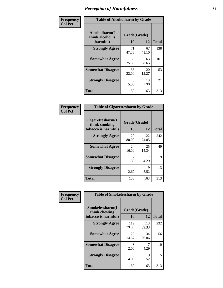| Frequency      | <b>Table of Alcoholharm by Grade</b>          |                    |             |              |  |  |  |
|----------------|-----------------------------------------------|--------------------|-------------|--------------|--|--|--|
| <b>Col Pct</b> | Alcoholharm(I<br>think alcohol is<br>harmful) | Grade(Grade)<br>10 | 12          | <b>Total</b> |  |  |  |
|                | <b>Strongly Agree</b>                         | 71<br>47.33        | 67<br>41.10 | 138          |  |  |  |
|                | <b>Somewhat Agree</b>                         | 38<br>25.33        | 63<br>38.65 | 101          |  |  |  |
|                | <b>Somewhat Disagree</b>                      | 33<br>22.00        | 20<br>12.27 | 53           |  |  |  |
|                | <b>Strongly Disagree</b>                      | 8<br>5.33          | 13<br>7.98  | 21           |  |  |  |
|                | <b>Total</b>                                  | 150                | 163         | 313          |  |  |  |

| <b>Table of Cigarettesharm by Grade</b>                  |                        |              |     |  |  |  |  |
|----------------------------------------------------------|------------------------|--------------|-----|--|--|--|--|
| Cigarettesharm(I<br>think smoking<br>tobacco is harmful) | Grade(Grade)<br>10     | <b>Total</b> |     |  |  |  |  |
| <b>Strongly Agree</b>                                    | 120<br>80.00           | 122<br>74.85 | 242 |  |  |  |  |
| <b>Somewhat Agree</b>                                    | 24<br>16.00            | 25<br>15.34  | 49  |  |  |  |  |
| <b>Somewhat Disagree</b>                                 | $\mathfrak{D}$<br>1.33 | 4.29         | 9   |  |  |  |  |
| <b>Strongly Disagree</b>                                 | 4<br>2.67              | 9<br>5.52    | 13  |  |  |  |  |
| <b>Total</b>                                             | 150                    | 163          | 313 |  |  |  |  |

| Frequency      | <b>Table of Smokelessharm by Grade</b>                  |                    |              |              |  |  |  |  |  |
|----------------|---------------------------------------------------------|--------------------|--------------|--------------|--|--|--|--|--|
| <b>Col Pct</b> | Smokelessharm(I<br>think chewing<br>tobacco is harmful) | Grade(Grade)<br>10 | 12           | <b>Total</b> |  |  |  |  |  |
|                | <b>Strongly Agree</b>                                   | 119<br>79.33       | 113<br>69.33 | 232          |  |  |  |  |  |
|                | <b>Somewhat Agree</b>                                   | 22<br>14.67        | 34<br>20.86  | 56           |  |  |  |  |  |
|                | <b>Somewhat Disagree</b>                                | 3<br>2.00          | 4.29         | 10           |  |  |  |  |  |
|                | <b>Strongly Disagree</b>                                | 6<br>4.00          | 9<br>5.52    | 15           |  |  |  |  |  |
|                | <b>Total</b>                                            | 150                | 163          | 313          |  |  |  |  |  |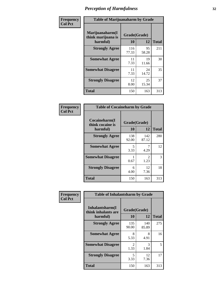| Frequency      | <b>Table of Marijuanaharm by Grade</b>            |                    |             |              |  |  |  |
|----------------|---------------------------------------------------|--------------------|-------------|--------------|--|--|--|
| <b>Col Pct</b> | Marijuanaharm(I<br>think marijuana is<br>harmful) | Grade(Grade)<br>10 | 12          | <b>Total</b> |  |  |  |
|                | <b>Strongly Agree</b>                             | 116<br>77.33       | 95<br>58.28 | 211          |  |  |  |
|                | <b>Somewhat Agree</b>                             | 11<br>7.33         | 19<br>11.66 | 30           |  |  |  |
|                | <b>Somewhat Disagree</b>                          | 11<br>7.33         | 24<br>14.72 | 35           |  |  |  |
|                | <b>Strongly Disagree</b>                          | 12<br>8.00         | 25<br>15.34 | 37           |  |  |  |
|                | <b>Total</b>                                      | 150                | 163         | 313          |  |  |  |

| <b>Table of Cocaineharm by Grade</b>          |                    |                        |              |  |  |
|-----------------------------------------------|--------------------|------------------------|--------------|--|--|
| Cocaineharm(I<br>think cocaine is<br>harmful) | Grade(Grade)<br>10 | 12                     | <b>Total</b> |  |  |
| <b>Strongly Agree</b>                         | 138<br>92.00       | 142<br>87.12           | 280          |  |  |
| <b>Somewhat Agree</b>                         | 5<br>3.33          | 4.29                   | 12           |  |  |
| <b>Somewhat Disagree</b>                      | 1<br>0.67          | $\mathfrak{D}$<br>1.23 | 3            |  |  |
| <b>Strongly Disagree</b>                      | 6<br>4.00          | 12<br>7.36             | 18           |  |  |
| <b>Total</b>                                  | 150                | 163                    | 313          |  |  |

| Frequency      | <b>Table of Inhalantsharm by Grade</b>             |                           |              |              |  |
|----------------|----------------------------------------------------|---------------------------|--------------|--------------|--|
| <b>Col Pct</b> | Inhalantsharm(I<br>think inhalants are<br>harmful) | Grade(Grade)<br><b>10</b> | 12           | <b>Total</b> |  |
|                | <b>Strongly Agree</b>                              | 135<br>90.00              | 140<br>85.89 | 275          |  |
|                | <b>Somewhat Agree</b>                              | 8<br>5.33                 | 8<br>4.91    | 16           |  |
|                | <b>Somewhat Disagree</b>                           | 2<br>1.33                 | 3<br>1.84    | 5            |  |
|                | <b>Strongly Disagree</b>                           | 5<br>3.33                 | 12<br>7.36   | 17           |  |
|                | <b>Total</b>                                       | 150                       | 163          | 313          |  |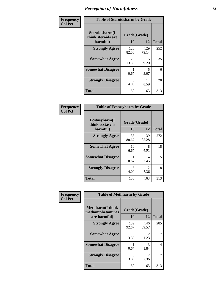| Frequency      | <b>Table of Steroidsharm by Grade</b>            |                    |                                  |              |
|----------------|--------------------------------------------------|--------------------|----------------------------------|--------------|
| <b>Col Pct</b> | Steroidsharm(I<br>think steroids are<br>harmful) | Grade(Grade)<br>10 | 12                               | <b>Total</b> |
|                | <b>Strongly Agree</b>                            | 123<br>82.00       | 129<br>79.14                     | 252          |
|                | <b>Somewhat Agree</b>                            | 20<br>13.33        | 15<br>9.20                       | 35           |
|                | <b>Somewhat Disagree</b>                         | 0.67               | $\overline{\phantom{1}}$<br>3.07 | 6            |
|                | <b>Strongly Disagree</b>                         | 6<br>4.00          | 14<br>8.59                       | 20           |
|                | <b>Total</b>                                     | 150                | 163                              | 313          |

| <b>Table of Ecstasyharm by Grade</b>          |                    |              |     |  |  |  |
|-----------------------------------------------|--------------------|--------------|-----|--|--|--|
| Ecstasyharm(I<br>think ecstasy is<br>harmful) | Grade(Grade)<br>10 | <b>Total</b> |     |  |  |  |
| <b>Strongly Agree</b>                         | 133<br>88.67       | 139<br>85.28 | 272 |  |  |  |
| <b>Somewhat Agree</b>                         | 10<br>6.67         | 8<br>4.91    | 18  |  |  |  |
| <b>Somewhat Disagree</b>                      | 1<br>0.67          | 4<br>2.45    | 5   |  |  |  |
| <b>Strongly Disagree</b>                      | 6<br>4.00          | 12<br>7.36   | 18  |  |  |  |
| Total                                         | 150                | 163          | 313 |  |  |  |

| Frequency      | <b>Table of Methharm by Grade</b>                            |                    |                       |              |  |
|----------------|--------------------------------------------------------------|--------------------|-----------------------|--------------|--|
| <b>Col Pct</b> | <b>Methharm</b> (I think<br>methamphetamines<br>are harmful) | Grade(Grade)<br>10 | 12                    | <b>Total</b> |  |
|                | <b>Strongly Agree</b>                                        | 139<br>92.67       | 146<br>89.57          | 285          |  |
|                | <b>Somewhat Agree</b>                                        | 5<br>3.33          | $\mathcal{L}$<br>1.23 |              |  |
|                | <b>Somewhat Disagree</b>                                     | 0.67               | 3<br>1.84             | 4            |  |
|                | <b>Strongly Disagree</b>                                     | 5<br>3.33          | 12<br>7.36            | 17           |  |
|                | <b>Total</b>                                                 | 150                | 163                   | 313          |  |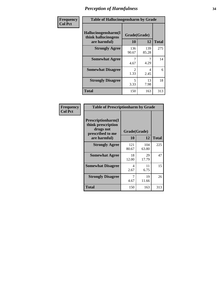| Frequency      | <b>Table of Hallucinogensharm by Grade</b>                 |                                  |              |              |
|----------------|------------------------------------------------------------|----------------------------------|--------------|--------------|
| <b>Col Pct</b> | Hallucinogensharm(I<br>think hallucinogens<br>are harmful) | Grade(Grade)<br>10               | 12           | <b>Total</b> |
|                | <b>Strongly Agree</b>                                      | 136<br>90.67                     | 139<br>85.28 | 275          |
|                | <b>Somewhat Agree</b>                                      | 4.67                             | 7<br>4.29    | 14           |
|                | <b>Somewhat Disagree</b>                                   | $\mathfrak{D}$<br>1.33           | 4<br>2.45    | 6            |
|                | <b>Strongly Disagree</b>                                   | $\overline{\phantom{0}}$<br>3.33 | 13<br>7.98   | 18           |
|                | <b>Total</b>                                               | 150                              | 163          | 313          |

| <b>Table of Prescriptionharm by Grade</b>                                 |              |              |              |  |  |
|---------------------------------------------------------------------------|--------------|--------------|--------------|--|--|
| Prescriptionharm(I<br>think prescription<br>drugs not<br>prescribed to me | Grade(Grade) |              |              |  |  |
| are harmful)                                                              | 10           | 12           | <b>Total</b> |  |  |
| <b>Strongly Agree</b>                                                     | 121<br>80.67 | 104<br>63.80 | 225          |  |  |
| <b>Somewhat Agree</b>                                                     | 18<br>12.00  | 29<br>17.79  | 47           |  |  |
| <b>Somewhat Disagree</b>                                                  | 4<br>2.67    | 11<br>6.75   | 15           |  |  |
| <b>Strongly Disagree</b>                                                  | 7<br>4.67    | 19<br>11.66  | 26           |  |  |
| Total                                                                     | 150          | 163          | 313          |  |  |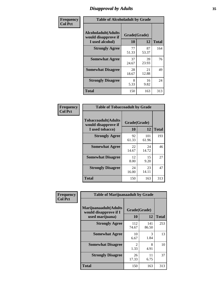# *Disapproval by Adults* **35**

| Frequency      | <b>Table of Alcoholadult by Grade</b>                                 |                    |             |              |  |
|----------------|-----------------------------------------------------------------------|--------------------|-------------|--------------|--|
| <b>Col Pct</b> | <b>Alcoholadult</b> (Adults<br>would disapprove if<br>I used alcohol) | Grade(Grade)<br>10 | 12          | <b>Total</b> |  |
|                | <b>Strongly Agree</b>                                                 | 77<br>51.33        | 87<br>53.37 | 164          |  |
|                | <b>Somewhat Agree</b>                                                 | 37<br>24.67        | 39<br>23.93 | 76           |  |
|                | <b>Somewhat Disagree</b>                                              | 28<br>18.67        | 21<br>12.88 | 49           |  |
|                | <b>Strongly Disagree</b>                                              | 8<br>5.33          | 16<br>9.82  | 24           |  |
|                | <b>Total</b>                                                          | 150                | 163         | 313          |  |

| <b>Table of Tobaccoadult by Grade</b>                                |                    |              |              |  |  |
|----------------------------------------------------------------------|--------------------|--------------|--------------|--|--|
| <b>Tobaccoadult(Adults</b><br>would disapprove if<br>I used tobacco) | Grade(Grade)<br>10 | 12           | <b>Total</b> |  |  |
| <b>Strongly Agree</b>                                                | 92<br>61.33        | 101<br>61.96 | 193          |  |  |
| <b>Somewhat Agree</b>                                                | 22<br>14.67        | 24<br>14.72  | 46           |  |  |
| <b>Somewhat Disagree</b>                                             | 12<br>8.00         | 15<br>9.20   | 27           |  |  |
| <b>Strongly Disagree</b>                                             | 24<br>16.00        | 23<br>14.11  | 47           |  |  |
| <b>Total</b>                                                         | 150                | 163          | 313          |  |  |

| Frequency      | <b>Table of Marijuanaadult by Grade</b>                           |                        |              |              |  |
|----------------|-------------------------------------------------------------------|------------------------|--------------|--------------|--|
| <b>Col Pct</b> | Marijuanaadult(Adults<br>would disapprove if I<br>used marijuana) | Grade(Grade)<br>10     | 12           | <b>Total</b> |  |
|                | <b>Strongly Agree</b>                                             | 112<br>74.67           | 141<br>86.50 | 253          |  |
|                | <b>Somewhat Agree</b>                                             | 10<br>6.67             | 3<br>1.84    | 13           |  |
|                | <b>Somewhat Disagree</b>                                          | $\mathfrak{D}$<br>1.33 | 8<br>4.91    | 10           |  |
|                | <b>Strongly Disagree</b>                                          | 26<br>17.33            | 11<br>6.75   | 37           |  |
|                | <b>Total</b>                                                      | 150                    | 163          | 313          |  |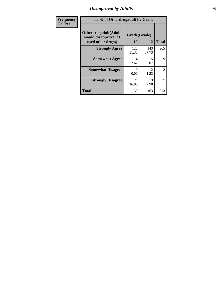### *Disapproval by Adults* **36**

| <b>Frequency</b> | <b>Table of Otherdrugadult by Grade</b>                                     |                    |              |                |
|------------------|-----------------------------------------------------------------------------|--------------------|--------------|----------------|
| <b>Col Pct</b>   | <b>Otherdrugadult</b> (Adults<br>would disapprove if I<br>used other drugs) | Grade(Grade)<br>10 | 12           | <b>Total</b>   |
|                  | <b>Strongly Agree</b>                                                       | 122<br>81.33       | 143<br>87.73 | 265            |
|                  | <b>Somewhat Agree</b>                                                       | 4<br>2.67          | 5<br>3.07    | 9              |
|                  | <b>Somewhat Disagree</b>                                                    | 0<br>0.00          | 2<br>1.23    | $\overline{2}$ |
|                  | <b>Strongly Disagree</b>                                                    | 24<br>16.00        | 13<br>7.98   | 37             |
|                  | <b>Total</b>                                                                | 150                | 163          | 313            |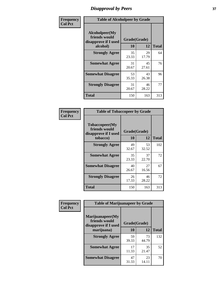# *Disapproval by Peers* **37**

| Frequency      | <b>Table of Alcoholpeer by Grade</b>                    |              |             |              |  |
|----------------|---------------------------------------------------------|--------------|-------------|--------------|--|
| <b>Col Pct</b> | Alcoholpeer(My<br>friends would<br>disapprove if I used | Grade(Grade) |             |              |  |
|                | alcohol)                                                | 10           | 12          | <b>Total</b> |  |
|                | <b>Strongly Agree</b>                                   | 35<br>23.33  | 29<br>17.79 | 64           |  |
|                | <b>Somewhat Agree</b>                                   | 31<br>20.67  | 45<br>27.61 | 76           |  |
|                | <b>Somewhat Disagree</b>                                | 53<br>35.33  | 43<br>26.38 | 96           |  |
|                | <b>Strongly Disagree</b>                                | 31<br>20.67  | 46<br>28.22 | 77           |  |
|                | Total                                                   | 150          | 163         | 313          |  |

| Frequency      | <b>Table of Tobaccopeer by Grade</b>                                |                    |             |              |
|----------------|---------------------------------------------------------------------|--------------------|-------------|--------------|
| <b>Col Pct</b> | Tobaccopeer(My<br>friends would<br>disapprove if I used<br>tobacco) | Grade(Grade)<br>10 | 12          | <b>Total</b> |
|                | <b>Strongly Agree</b>                                               | 49<br>32.67        | 53<br>32.52 | 102          |
|                | <b>Somewhat Agree</b>                                               | 35<br>23.33        | 37<br>22.70 | 72           |
|                | <b>Somewhat Disagree</b>                                            | 40<br>26.67        | 27<br>16.56 | 67           |
|                | <b>Strongly Disagree</b>                                            | 26<br>17.33        | 46<br>28.22 | 72           |
|                | Total                                                               | 150                | 163         | 313          |

| Frequency      | <b>Table of Marijuanapeer by Grade</b>                    |              |             |              |
|----------------|-----------------------------------------------------------|--------------|-------------|--------------|
| <b>Col Pct</b> | Marijuanapeer(My<br>friends would<br>disapprove if I used | Grade(Grade) |             |              |
|                | marijuana)                                                | <b>10</b>    | 12          | <b>Total</b> |
|                | <b>Strongly Agree</b>                                     | 59<br>39.33  | 73<br>44.79 | 132          |
|                | <b>Somewhat Agree</b>                                     | 17<br>11.33  | 35<br>21.47 | 52           |
|                | <b>Somewhat Disagree</b>                                  | 47<br>31.33  | 23<br>14.11 | 70           |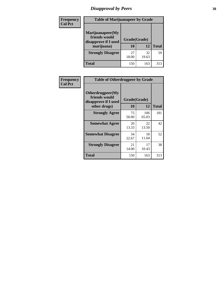# *Disapproval by Peers* **38**

| Frequency<br><b>Col Pct</b> | <b>Table of Marijuanapeer by Grade</b>                                  |                    |             |              |
|-----------------------------|-------------------------------------------------------------------------|--------------------|-------------|--------------|
|                             | Marijuanapeer(My<br>friends would<br>disapprove if I used<br>marijuana) | Grade(Grade)<br>10 | 12          | <b>Total</b> |
|                             | <b>Strongly Disagree</b>                                                | 27<br>18.00        | 32<br>19.63 | 59           |
|                             | Total                                                                   | 150                | 163         | 313          |

| Frequency      | <b>Table of Otherdrugpeer by Grade</b>                                    |                    |              |              |
|----------------|---------------------------------------------------------------------------|--------------------|--------------|--------------|
| <b>Col Pct</b> | Otherdrugpeer(My<br>friends would<br>disapprove if I used<br>other drugs) | Grade(Grade)<br>10 | 12           | <b>Total</b> |
|                | <b>Strongly Agree</b>                                                     | 75<br>50.00        | 106<br>65.03 | 181          |
|                | <b>Somewhat Agree</b>                                                     | 20<br>13.33        | 22<br>13.50  | 42           |
|                | <b>Somewhat Disagree</b>                                                  | 34<br>22.67        | 18<br>11.04  | 52           |
|                | <b>Strongly Disagree</b>                                                  | 21<br>14.00        | 17<br>10.43  | 38           |
|                | <b>Total</b>                                                              | 150                | 163          | 313          |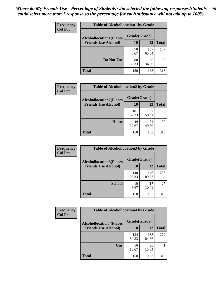| Frequency<br><b>Col Pct</b> | <b>Table of Alcohollocation1 by Grade</b> |              |              |              |
|-----------------------------|-------------------------------------------|--------------|--------------|--------------|
|                             | <b>Alcohollocation1(Places</b>            | Grade(Grade) |              |              |
|                             | <b>Friends Use Alcohol)</b>               | 10           | 12           | <b>Total</b> |
|                             |                                           | 70<br>46.67  | 107<br>65.64 | 177          |
|                             | Do Not Use                                | 80<br>53.33  | 56<br>34.36  | 136          |
|                             | <b>Total</b>                              | 150          | 163          | 313          |

| Frequency      | <b>Table of Alcohollocation2 by Grade</b>                     |                    |             |              |
|----------------|---------------------------------------------------------------|--------------------|-------------|--------------|
| <b>Col Pct</b> | <b>Alcohollocation2(Places</b><br><b>Friends Use Alcohol)</b> | Grade(Grade)<br>10 | <b>12</b>   | <b>Total</b> |
|                |                                                               | 101<br>67.33       | 82<br>50.31 | 183          |
|                | Home                                                          | 49<br>32.67        | 81<br>49.69 | 130          |
|                | <b>Total</b>                                                  | 150                | 163         | 313          |

| Frequency<br><b>Col Pct</b> | <b>Table of Alcohollocation 3 by Grade</b>                    |                    |              |              |
|-----------------------------|---------------------------------------------------------------|--------------------|--------------|--------------|
|                             | <b>Alcohollocation3(Places</b><br><b>Friends Use Alcohol)</b> | Grade(Grade)<br>10 | 12           | <b>Total</b> |
|                             |                                                               | 140<br>93.33       | 146<br>89.57 | 286          |
|                             | <b>School</b>                                                 | 10<br>6.67         | 17<br>10.43  | 27           |
|                             | <b>Total</b>                                                  | 150                | 163          | 313          |

| <b>Frequency</b> | <b>Table of Alcohollocation4 by Grade</b> |              |              |              |
|------------------|-------------------------------------------|--------------|--------------|--------------|
| <b>Col Pct</b>   | <b>Alcohollocation4(Places</b>            | Grade(Grade) |              |              |
|                  | <b>Friends Use Alcohol)</b>               | 10           | 12           | <b>Total</b> |
|                  |                                           | 134<br>89.33 | 138<br>84.66 | 272          |
|                  | Car                                       | 16<br>10.67  | 25<br>15.34  | 41           |
|                  | <b>Total</b>                              | 150          | 163          | 313          |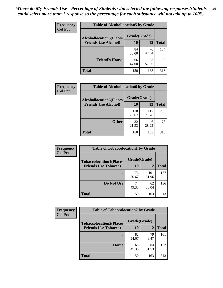| Frequency<br><b>Col Pct</b> | <b>Table of Alcohollocation5 by Grade</b><br>Grade(Grade)<br><b>Alcohollocation5(Places</b> |             |             |              |
|-----------------------------|---------------------------------------------------------------------------------------------|-------------|-------------|--------------|
|                             |                                                                                             |             |             |              |
|                             | <b>Friends Use Alcohol)</b>                                                                 | 10          | 12          | <b>Total</b> |
|                             |                                                                                             | 84<br>56.00 | 70<br>42.94 | 154          |
|                             | <b>Friend's House</b>                                                                       | 66<br>44.00 | 93<br>57.06 | 159          |
|                             | <b>Total</b>                                                                                | 150         | 163         | 313          |

| <b>Frequency</b> | <b>Table of Alcohollocation6 by Grade</b> |              |              |              |
|------------------|-------------------------------------------|--------------|--------------|--------------|
| <b>Col Pct</b>   | <b>Alcohollocation6(Places</b>            | Grade(Grade) |              |              |
|                  | <b>Friends Use Alcohol)</b>               | 10           | 12           | <b>Total</b> |
|                  |                                           | 118<br>78.67 | 117<br>71.78 | 235          |
|                  | <b>Other</b>                              | 32<br>21.33  | 46<br>28.22  | 78           |
|                  | <b>Total</b>                              | 150          | 163          | 313          |

| <b>Frequency</b> | <b>Table of Tobaccolocation1 by Grade</b> |              |              |              |
|------------------|-------------------------------------------|--------------|--------------|--------------|
| <b>Col Pct</b>   | <b>Tobaccolocation1(Places</b>            | Grade(Grade) |              |              |
|                  | <b>Friends Use Tobacco)</b>               | 10           | 12           | <b>Total</b> |
|                  |                                           | 76<br>50.67  | 101<br>61.96 | 177          |
|                  | Do Not Use                                | 74<br>49.33  | 62<br>38.04  | 136          |
|                  | <b>Total</b>                              | 150          | 163          | 313          |

| Frequency      | <b>Table of Tobaccolocation2 by Grade</b>                     |                    |             |              |  |
|----------------|---------------------------------------------------------------|--------------------|-------------|--------------|--|
| <b>Col Pct</b> | <b>Tobaccolocation2(Places</b><br><b>Friends Use Tobacco)</b> | Grade(Grade)<br>10 | 12          | <b>Total</b> |  |
|                |                                                               |                    |             |              |  |
|                |                                                               | 82<br>54.67        | 79<br>48.47 | 161          |  |
|                | Home                                                          | 68<br>45.33        | 84<br>51.53 | 152          |  |
|                | <b>Total</b>                                                  | 150                | 163         | 313          |  |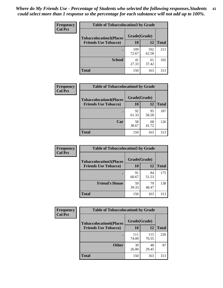| Frequency      | <b>Table of Tobaccolocation 3 by Grade</b> |              |              |              |
|----------------|--------------------------------------------|--------------|--------------|--------------|
| <b>Col Pct</b> | <b>Tobaccolocation3(Places</b>             | Grade(Grade) |              |              |
|                | <b>Friends Use Tobacco)</b>                | 10           | 12           | <b>Total</b> |
|                |                                            | 109<br>72.67 | 102<br>62.58 | 211          |
|                | <b>School</b>                              | 41<br>27.33  | 61<br>37.42  | 102          |
|                | <b>Total</b>                               | 150          | 163          | 313          |

| Frequency      | <b>Table of Tobaccolocation4 by Grade</b> |              |             |              |
|----------------|-------------------------------------------|--------------|-------------|--------------|
| <b>Col Pct</b> | <b>Tobaccolocation4(Places</b>            | Grade(Grade) |             |              |
|                | <b>Friends Use Tobacco)</b>               | 10           | 12          | <b>Total</b> |
|                |                                           | 92<br>61.33  | 95<br>58.28 | 187          |
|                | Car                                       | 58<br>38.67  | 68<br>41.72 | 126          |
|                | <b>Total</b>                              | 150          | 163         | 313          |

| Frequency      | <b>Table of Tobaccolocation5 by Grade</b>                     |                    |             |              |
|----------------|---------------------------------------------------------------|--------------------|-------------|--------------|
| <b>Col Pct</b> | <b>Tobaccolocation5(Places</b><br><b>Friends Use Tobacco)</b> | Grade(Grade)<br>10 | 12          | <b>Total</b> |
|                |                                                               |                    |             |              |
|                |                                                               | 91<br>60.67        | 84<br>51.53 | 175          |
|                | <b>Friend's House</b>                                         | 59<br>39.33        | 79<br>48.47 | 138          |
|                | <b>Total</b>                                                  | 150                | 163         | 313          |

| <b>Frequency</b> | <b>Table of Tobaccolocation6 by Grade</b> |              |              |              |  |
|------------------|-------------------------------------------|--------------|--------------|--------------|--|
| <b>Col Pct</b>   | <b>Tobaccolocation6(Places</b>            | Grade(Grade) |              |              |  |
|                  | <b>Friends Use Tobacco)</b>               | 10           | 12           | <b>Total</b> |  |
|                  |                                           | 111<br>74.00 | 115<br>70.55 | 226          |  |
|                  | <b>Other</b>                              | 39<br>26.00  | 48<br>29.45  | 87           |  |
|                  | <b>Total</b>                              | 150          | 163          | 313          |  |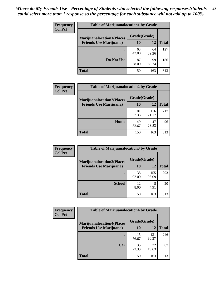| <b>Frequency</b> | <b>Table of Marijuanalocation1 by Grade</b> |              |             |              |
|------------------|---------------------------------------------|--------------|-------------|--------------|
| <b>Col Pct</b>   | <b>Marijuanalocation1(Places</b>            | Grade(Grade) |             |              |
|                  | <b>Friends Use Marijuana</b> )              | <b>10</b>    | 12          | <b>Total</b> |
|                  |                                             | 63<br>42.00  | 64<br>39.26 | 127          |
|                  | Do Not Use                                  | 87<br>58.00  | 99<br>60.74 | 186          |
|                  | <b>Total</b>                                | 150          | 163         | 313          |

| Frequency      | <b>Table of Marijuanalocation2 by Grade</b>                        |                           |              |              |
|----------------|--------------------------------------------------------------------|---------------------------|--------------|--------------|
| <b>Col Pct</b> | <b>Marijuanalocation2(Places</b><br><b>Friends Use Marijuana</b> ) | Grade(Grade)<br><b>10</b> | 12           | <b>Total</b> |
|                |                                                                    | 101<br>67.33              | 116<br>71.17 | 217          |
|                | Home                                                               | 49<br>32.67               | 47<br>28.83  | 96           |
|                | <b>Total</b>                                                       | 150                       | 163          | 313          |

| Frequency<br><b>Col Pct</b> | <b>Table of Marijuanalocation3 by Grade</b> |              |              |              |
|-----------------------------|---------------------------------------------|--------------|--------------|--------------|
|                             | <b>Marijuanalocation3(Places</b>            | Grade(Grade) |              |              |
|                             | <b>Friends Use Marijuana</b> )              | 10           | 12           | <b>Total</b> |
|                             |                                             | 138<br>92.00 | 155<br>95.09 | 293          |
|                             | <b>School</b>                               | 12<br>8.00   | 8<br>4.91    | 20           |
|                             | <b>Total</b>                                | 150          | 163          | 313          |

| Frequency      | <b>Table of Marijuanalocation4 by Grade</b> |              |              |              |
|----------------|---------------------------------------------|--------------|--------------|--------------|
| <b>Col Pct</b> | <b>Marijuanalocation4(Places</b>            | Grade(Grade) |              |              |
|                | <b>Friends Use Marijuana</b> )              | <b>10</b>    | 12           | <b>Total</b> |
|                |                                             | 115<br>76.67 | 131<br>80.37 | 246          |
|                | Car                                         | 35<br>23.33  | 32<br>19.63  | 67           |
|                | <b>Total</b>                                | 150          | 163          | 313          |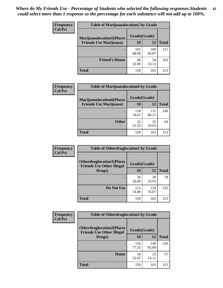| <b>Frequency</b> | <b>Table of Marijuanalocation5 by Grade</b> |              |              |              |
|------------------|---------------------------------------------|--------------|--------------|--------------|
| <b>Col Pct</b>   | <b>Marijuanalocation5</b> (Places           | Grade(Grade) |              |              |
|                  | <b>Friends Use Marijuana</b> )              | 10           | 12           | <b>Total</b> |
|                  |                                             | 102<br>68.00 | 109<br>66.87 | 211          |
|                  | <b>Friend's House</b>                       | 48<br>32.00  | 54<br>33.13  | 102          |
|                  | <b>Total</b>                                | 150          | 163          | 313          |

| Frequency<br><b>Col Pct</b> | <b>Table of Marijuanalocation6 by Grade</b>                        |                           |              |              |
|-----------------------------|--------------------------------------------------------------------|---------------------------|--------------|--------------|
|                             | <b>Marijuanalocation6(Places</b><br><b>Friends Use Marijuana</b> ) | Grade(Grade)<br><b>10</b> | 12           | <b>Total</b> |
|                             |                                                                    |                           |              |              |
|                             |                                                                    | 118<br>78.67              | 131<br>80.37 | 249          |
|                             | <b>Other</b>                                                       | 32<br>21.33               | 32<br>19.63  | 64           |
|                             | <b>Total</b>                                                       | 150                       | 163          | 313          |

| Frequency      | <b>Table of Otherdruglocation1 by Grade</b>                          |              |              |              |
|----------------|----------------------------------------------------------------------|--------------|--------------|--------------|
| <b>Col Pct</b> | <b>Otherdruglocation1(Places</b><br><b>Friends Use Other Illegal</b> | Grade(Grade) |              |              |
|                | Drugs)                                                               | 10           | 12           | <b>Total</b> |
|                |                                                                      | 39<br>26.00  | 39<br>23.93  | 78           |
|                | Do Not Use                                                           | 111<br>74.00 | 124<br>76.07 | 235          |
|                | <b>Total</b>                                                         | 150          | 163          | 313          |

| <b>Frequency</b> | <b>Table of Otherdruglocation2 by Grade</b>                          |              |              |              |
|------------------|----------------------------------------------------------------------|--------------|--------------|--------------|
| <b>Col Pct</b>   | <b>Otherdruglocation2(Places</b><br><b>Friends Use Other Illegal</b> | Grade(Grade) |              |              |
|                  | Drugs)                                                               | 10           | 12           | <b>Total</b> |
|                  |                                                                      | 116<br>77.33 | 140<br>85.89 | 256          |
|                  | <b>Home</b>                                                          | 34<br>22.67  | 23<br>14.11  | 57           |
|                  | <b>Total</b>                                                         | 150          | 163          | 313          |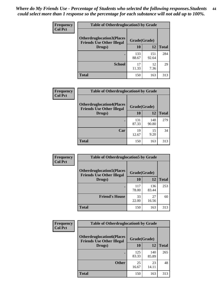| <b>Frequency</b> | <b>Table of Otherdruglocation 3 by Grade</b>                         |              |              |              |
|------------------|----------------------------------------------------------------------|--------------|--------------|--------------|
| <b>Col Pct</b>   | <b>Otherdruglocation3(Places</b><br><b>Friends Use Other Illegal</b> | Grade(Grade) |              |              |
|                  | Drugs)                                                               | 10           | 12           | <b>Total</b> |
|                  |                                                                      | 133<br>88.67 | 151<br>92.64 | 284          |
|                  | <b>School</b>                                                        | 17<br>11.33  | 12<br>7.36   | 29           |
|                  | <b>Total</b>                                                         | 150          | 163          | 313          |

| Frequency<br><b>Col Pct</b> | <b>Table of Otherdruglocation4 by Grade</b>                          |              |              |              |
|-----------------------------|----------------------------------------------------------------------|--------------|--------------|--------------|
|                             | <b>Otherdruglocation4(Places</b><br><b>Friends Use Other Illegal</b> | Grade(Grade) |              |              |
|                             | Drugs)                                                               | 10           | 12           | <b>Total</b> |
|                             |                                                                      | 131<br>87.33 | 148<br>90.80 | 279          |
|                             | Car                                                                  | 19<br>12.67  | 15<br>9.20   | 34           |
|                             | <b>Total</b>                                                         | 150          | 163          | 313          |

| Frequency      | <b>Table of Otherdruglocation5 by Grade</b>                          |              |              |              |
|----------------|----------------------------------------------------------------------|--------------|--------------|--------------|
| <b>Col Pct</b> | <b>Otherdruglocation5(Places</b><br><b>Friends Use Other Illegal</b> | Grade(Grade) |              |              |
|                | Drugs)                                                               | 10           | 12           | <b>Total</b> |
|                |                                                                      | 117<br>78.00 | 136<br>83.44 | 253          |
|                | <b>Friend's House</b>                                                | 33<br>22.00  | 27<br>16.56  | 60           |
|                | <b>Total</b>                                                         | 150          | 163          | 313          |

| Frequency      | <b>Table of Otherdruglocation6 by Grade</b>                          |              |              |              |
|----------------|----------------------------------------------------------------------|--------------|--------------|--------------|
| <b>Col Pct</b> | <b>Otherdruglocation6(Places</b><br><b>Friends Use Other Illegal</b> | Grade(Grade) |              |              |
|                | Drugs)                                                               | 10           | 12           | <b>Total</b> |
|                |                                                                      | 125<br>83.33 | 140<br>85.89 | 265          |
|                | <b>Other</b>                                                         | 25<br>16.67  | 23<br>14.11  | 48           |
|                | <b>Total</b>                                                         | 150          | 163          | 313          |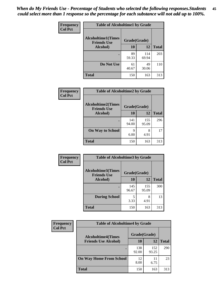| Frequency      | <b>Table of Alcoholtime1 by Grade</b>           |              |              |              |
|----------------|-------------------------------------------------|--------------|--------------|--------------|
| <b>Col Pct</b> | <b>Alcoholtime1(Times</b><br><b>Friends Use</b> | Grade(Grade) |              |              |
|                | Alcohol)                                        | 10           | 12           | <b>Total</b> |
|                |                                                 | 89<br>59.33  | 114<br>69.94 | 203          |
|                | Do Not Use                                      | 61<br>40.67  | 49<br>30.06  | 110          |
|                | <b>Total</b>                                    | 150          | 163          | 313          |

| Frequency      | <b>Table of Alcoholtime2 by Grade</b>           |              |              |              |
|----------------|-------------------------------------------------|--------------|--------------|--------------|
| <b>Col Pct</b> | <b>Alcoholtime2(Times</b><br><b>Friends Use</b> | Grade(Grade) |              |              |
|                | Alcohol)                                        | 10           | 12           | <b>Total</b> |
|                |                                                 | 141<br>94.00 | 155<br>95.09 | 296          |
|                | <b>On Way to School</b>                         | q<br>6.00    | 8<br>4.91    | 17           |
|                | <b>Total</b>                                    | 150          | 163          | 313          |

| Frequency      | <b>Table of Alcoholtime3 by Grade</b>           |              |              |              |
|----------------|-------------------------------------------------|--------------|--------------|--------------|
| <b>Col Pct</b> | <b>Alcoholtime3(Times</b><br><b>Friends Use</b> | Grade(Grade) |              |              |
|                | Alcohol)                                        | 10           | 12           | <b>Total</b> |
|                |                                                 | 145<br>96.67 | 155<br>95.09 | 300          |
|                | <b>During School</b>                            | 5<br>3.33    | 8<br>4.91    | 13           |
|                | <b>Total</b>                                    | 150          | 163          | 313          |

| <b>Frequency</b> | <b>Table of Alcoholtime4 by Grade</b> |              |              |              |
|------------------|---------------------------------------|--------------|--------------|--------------|
| <b>Col Pct</b>   | <b>Alcoholtime4(Times</b>             | Grade(Grade) |              |              |
|                  | <b>Friends Use Alcohol)</b>           | 10           | 12           | <b>Total</b> |
|                  | ٠                                     | 138<br>92.00 | 152<br>93.25 | 290          |
|                  | <b>On Way Home From School</b>        | 12<br>8.00   | 11<br>6.75   | 23           |
|                  | <b>Total</b>                          | 150          | 163          | 313          |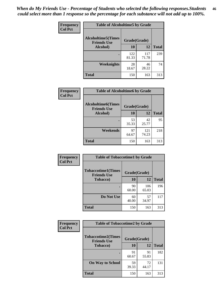*When do My Friends Use - Percentage of Students who selected the following responses.Students could select more than 1 response so the percentage for each substance will not add up to 100%.* **46**

| Frequency      | <b>Table of Alcoholtime5 by Grade</b>            |              |              |              |
|----------------|--------------------------------------------------|--------------|--------------|--------------|
| <b>Col Pct</b> | <b>Alcoholtime5</b> (Times<br><b>Friends Use</b> | Grade(Grade) |              |              |
|                | Alcohol)                                         | 10           | 12           | <b>Total</b> |
|                |                                                  | 122<br>81.33 | 117<br>71.78 | 239          |
|                | Weeknights                                       | 28<br>18.67  | 46<br>28.22  | 74           |
|                | <b>Total</b>                                     | 150          | 163          | 313          |

| Frequency      | <b>Table of Alcoholtime6 by Grade</b>           |              |              |              |
|----------------|-------------------------------------------------|--------------|--------------|--------------|
| <b>Col Pct</b> | <b>Alcoholtime6(Times</b><br><b>Friends Use</b> | Grade(Grade) |              |              |
|                | Alcohol)                                        | 10           | 12           | <b>Total</b> |
|                |                                                 | 53<br>35.33  | 42<br>25.77  | 95           |
|                | Weekends                                        | 97<br>64.67  | 121<br>74.23 | 218          |
|                | <b>Total</b>                                    | 150          | 163          | 313          |

| <b>Frequency</b> | <b>Table of Tobaccotime1 by Grade</b>           |              |              |              |
|------------------|-------------------------------------------------|--------------|--------------|--------------|
| <b>Col Pct</b>   | <b>Tobaccotime1(Times</b><br><b>Friends Use</b> | Grade(Grade) |              |              |
|                  | <b>Tobacco</b> )                                | 10           | 12           | <b>Total</b> |
|                  |                                                 | 90<br>60.00  | 106<br>65.03 | 196          |
|                  | Do Not Use                                      | 60<br>40.00  | 57<br>34.97  | 117          |
|                  | <b>Total</b>                                    | 150          | 163          | 313          |

| <b>Frequency</b> | <b>Table of Tobaccotime2 by Grade</b>           |              |             |              |
|------------------|-------------------------------------------------|--------------|-------------|--------------|
| <b>Col Pct</b>   | <b>Tobaccotime2(Times</b><br><b>Friends Use</b> | Grade(Grade) |             |              |
|                  | <b>Tobacco</b> )                                | 10           | 12          | <b>Total</b> |
|                  | ٠                                               | 91<br>60.67  | 91<br>55.83 | 182          |
|                  | <b>On Way to School</b>                         | 59<br>39.33  | 72<br>44.17 | 131          |
|                  | <b>Total</b>                                    | 150          | 163         | 313          |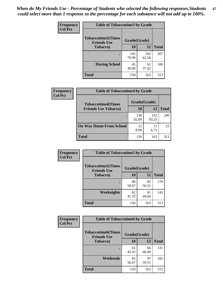*When do My Friends Use - Percentage of Students who selected the following responses.Students could select more than 1 response so the percentage for each substance will not add up to 100%.* **47**

| <b>Frequency</b> | <b>Table of Tobaccotime3 by Grade</b>           |              |              |              |  |
|------------------|-------------------------------------------------|--------------|--------------|--------------|--|
| <b>Col Pct</b>   | <b>Tobaccotime3(Times</b><br><b>Friends Use</b> | Grade(Grade) |              |              |  |
|                  | <b>Tobacco</b> )                                | 10           | 12           | <b>Total</b> |  |
|                  |                                                 | 105<br>70.00 | 102<br>62.58 | 207          |  |
|                  | <b>During School</b>                            | 45<br>30.00  | 61<br>37.42  | 106          |  |
|                  | <b>Total</b>                                    | 150          | 163          | 313          |  |

| <b>Frequency</b><br><b>Col Pct</b> | <b>Table of Tobaccotime4 by Grade</b> |              |              |              |
|------------------------------------|---------------------------------------|--------------|--------------|--------------|
|                                    | <b>Tobaccotime4(Times</b>             | Grade(Grade) |              |              |
|                                    | <b>Friends Use Tobacco)</b>           | 10           | 12           | <b>Total</b> |
|                                    |                                       | 138<br>92.00 | 152<br>93.25 | 290          |
|                                    | <b>On Way Home From School</b>        | 12<br>8.00   | 11<br>6.75   | 23           |
|                                    | <b>Total</b>                          | 150          | 163          | 313          |

| <b>Frequency</b> | <b>Table of Tobaccotime5 by Grade</b>           |              |             |              |
|------------------|-------------------------------------------------|--------------|-------------|--------------|
| <b>Col Pct</b>   | <b>Tobaccotime5(Times</b><br><b>Friends Use</b> | Grade(Grade) |             |              |
|                  | <b>Tobacco</b> )                                | 10           | 12          | <b>Total</b> |
|                  |                                                 | 88<br>58.67  | 82<br>50.31 | 170          |
|                  | Weeknights                                      | 62<br>41.33  | 81<br>49.69 | 143          |
|                  | <b>Total</b>                                    | 150          | 163         | 313          |

| <b>Frequency</b> | <b>Table of Tobaccotime6 by Grade</b>           |              |             |              |
|------------------|-------------------------------------------------|--------------|-------------|--------------|
| <b>Col Pct</b>   | <b>Tobaccotime6(Times</b><br><b>Friends Use</b> | Grade(Grade) |             |              |
|                  | <b>Tobacco</b> )                                | 10           | 12          | <b>Total</b> |
|                  | ٠                                               | 65<br>43.33  | 66<br>40.49 | 131          |
|                  | Weekends                                        | 85<br>56.67  | 97<br>59.51 | 182          |
|                  | <b>Total</b>                                    | 150          | 163         | 313          |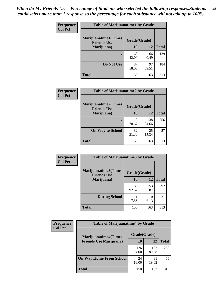| Frequency      | <b>Table of Marijuanatime1 by Grade</b>           |              |             |              |
|----------------|---------------------------------------------------|--------------|-------------|--------------|
| <b>Col Pct</b> | <b>Marijuanatime1(Times</b><br><b>Friends Use</b> | Grade(Grade) |             |              |
|                | Marijuana)                                        | 10           | 12          | <b>Total</b> |
|                |                                                   | 63<br>42.00  | 66<br>40.49 | 129          |
|                | Do Not Use                                        | 87<br>58.00  | 97<br>59.51 | 184          |
|                | <b>Total</b>                                      | 150          | 163         | 313          |

| Frequency      | <b>Table of Marijuanatime2 by Grade</b>           |              |              |              |
|----------------|---------------------------------------------------|--------------|--------------|--------------|
| <b>Col Pct</b> | <b>Marijuanatime2(Times</b><br><b>Friends Use</b> | Grade(Grade) |              |              |
|                | Marijuana)                                        | 10           | 12           | <b>Total</b> |
|                |                                                   | 118<br>78.67 | 138<br>84.66 | 256          |
|                | <b>On Way to School</b>                           | 32<br>21.33  | 25<br>15.34  | 57           |
|                | <b>Total</b>                                      | 150          | 163          | 313          |

| Frequency      | <b>Table of Marijuanatime3 by Grade</b>    |              |              |              |
|----------------|--------------------------------------------|--------------|--------------|--------------|
| <b>Col Pct</b> | Marijuanatime3(Times<br><b>Friends Use</b> | Grade(Grade) |              |              |
|                | Marijuana)                                 | 10           | 12           | <b>Total</b> |
|                |                                            | 139<br>92.67 | 153<br>93.87 | 292          |
|                | <b>During School</b>                       | 11<br>7.33   | 10<br>6.13   | 21           |
|                | <b>Total</b>                               | 150          | 163          | 313          |

| <b>Frequency</b><br><b>Col Pct</b> | <b>Table of Marijuanatime4 by Grade</b> |              |              |              |
|------------------------------------|-----------------------------------------|--------------|--------------|--------------|
|                                    | <b>Marijuanatime4(Times</b>             | Grade(Grade) |              |              |
|                                    | <b>Friends Use Marijuana</b> )          | 10           | 12           | <b>Total</b> |
|                                    |                                         | 126<br>84.00 | 132<br>80.98 | 258          |
|                                    | <b>On Way Home From School</b>          | 24<br>16.00  | 31<br>19.02  | 55           |
|                                    | <b>Total</b>                            | 150          | 163          | 313          |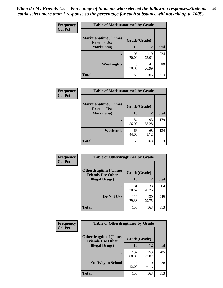| Frequency      | <b>Table of Marijuanatime5 by Grade</b>            |              |              |              |
|----------------|----------------------------------------------------|--------------|--------------|--------------|
| <b>Col Pct</b> | <b>Marijuanatime5</b> (Times<br><b>Friends Use</b> | Grade(Grade) |              |              |
|                | Marijuana)                                         | 10           | 12           | <b>Total</b> |
|                |                                                    | 105<br>70.00 | 119<br>73.01 | 224          |
|                | <b>Weeknights</b>                                  | 45<br>30.00  | 44<br>26.99  | 89           |
|                | <b>Total</b>                                       | 150          | 163          | 313          |

| Frequency      | <b>Table of Marijuanatime6 by Grade</b>            |              |             |              |
|----------------|----------------------------------------------------|--------------|-------------|--------------|
| <b>Col Pct</b> | <b>Marijuanatime6</b> (Times<br><b>Friends Use</b> | Grade(Grade) |             |              |
|                | Marijuana)                                         | 10           | 12          | <b>Total</b> |
|                |                                                    | 84<br>56.00  | 95<br>58.28 | 179          |
|                | Weekends                                           | 66<br>44.00  | 68<br>41.72 | 134          |
|                | <b>Total</b>                                       | 150          | 163         | 313          |

| <b>Frequency</b> | <b>Table of Otherdrugtime1 by Grade</b>                 |              |              |              |
|------------------|---------------------------------------------------------|--------------|--------------|--------------|
| <b>Col Pct</b>   | <b>Otherdrugtime1(Times</b><br><b>Friends Use Other</b> | Grade(Grade) |              |              |
|                  | <b>Illegal Drugs</b> )                                  | 10           | 12           | <b>Total</b> |
|                  |                                                         | 31<br>20.67  | 33<br>20.25  | 64           |
|                  | Do Not Use                                              | 119<br>79.33 | 130<br>79.75 | 249          |
|                  | Total                                                   | 150          | 163          | 313          |

| <b>Frequency</b> | <b>Table of Otherdrugtime2 by Grade</b>                 |              |              |              |  |  |
|------------------|---------------------------------------------------------|--------------|--------------|--------------|--|--|
| <b>Col Pct</b>   | <b>Otherdrugtime2(Times</b><br><b>Friends Use Other</b> | Grade(Grade) |              |              |  |  |
|                  | <b>Illegal Drugs</b> )                                  | 10           | 12           | <b>Total</b> |  |  |
|                  |                                                         | 132<br>88.00 | 153<br>93.87 | 285          |  |  |
|                  | <b>On Way to School</b>                                 | 18<br>12.00  | 10<br>6.13   | 28           |  |  |
|                  | Total                                                   | 150          | 163          | 313          |  |  |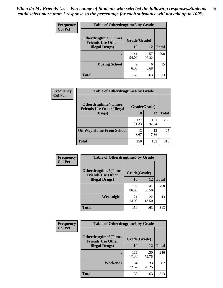| <b>Frequency</b> | <b>Table of Otherdrugtime3 by Grade</b>                                 |              |              |              |  |  |
|------------------|-------------------------------------------------------------------------|--------------|--------------|--------------|--|--|
| <b>Col Pct</b>   | <b>Otherdrugtime3(Times</b><br>Grade(Grade)<br><b>Friends Use Other</b> |              |              |              |  |  |
|                  | <b>Illegal Drugs</b> )                                                  | 10           | 12           | <b>Total</b> |  |  |
|                  |                                                                         | 141<br>94.00 | 157<br>96.32 | 298          |  |  |
|                  | <b>During School</b>                                                    | 9<br>6.00    | 6<br>3.68    | 15           |  |  |
|                  | <b>Total</b>                                                            | 150          | 163          | 313          |  |  |

| <b>Frequency</b> | <b>Table of Otherdrugtime4 by Grade</b>                         |              |              |              |  |  |  |
|------------------|-----------------------------------------------------------------|--------------|--------------|--------------|--|--|--|
| <b>Col Pct</b>   | <b>Otherdrugtime4(Times</b><br><b>Friends Use Other Illegal</b> | Grade(Grade) |              |              |  |  |  |
|                  | Drugs)                                                          | 10           | 12           | <b>Total</b> |  |  |  |
|                  | $\bullet$                                                       | 137<br>91.33 | 151<br>92.64 | 288          |  |  |  |
|                  | <b>On Way Home From School</b>                                  | 13<br>8.67   | 12<br>7.36   | 25           |  |  |  |
|                  | <b>Total</b>                                                    | 150          | 163          | 313          |  |  |  |

| <b>Frequency</b> | <b>Table of Otherdrugtime5 by Grade</b>                  |              |              |              |  |  |  |
|------------------|----------------------------------------------------------|--------------|--------------|--------------|--|--|--|
| <b>Col Pct</b>   | <b>Otherdrugtime5</b> (Times<br><b>Friends Use Other</b> | Grade(Grade) |              |              |  |  |  |
|                  | <b>Illegal Drugs</b> )                                   | 10           | 12           | <b>Total</b> |  |  |  |
|                  |                                                          | 129<br>86.00 | 141<br>86.50 | 270          |  |  |  |
|                  | Weeknights                                               | 21<br>14.00  | 22<br>13.50  | 43           |  |  |  |
|                  | <b>Total</b>                                             | 150          | 163          | 313          |  |  |  |

| Frequency      | <b>Table of Otherdrugtime6 by Grade</b>                 |              |              |              |  |  |  |
|----------------|---------------------------------------------------------|--------------|--------------|--------------|--|--|--|
| <b>Col Pct</b> | <b>Otherdrugtime6(Times</b><br><b>Friends Use Other</b> | Grade(Grade) |              |              |  |  |  |
|                | <b>Illegal Drugs</b> )                                  | 10           | 12           | <b>Total</b> |  |  |  |
|                |                                                         | 116<br>77.33 | 130<br>79.75 | 246          |  |  |  |
|                | Weekends                                                | 34<br>22.67  | 33<br>20.25  | 67           |  |  |  |
|                | <b>Total</b>                                            | 150          | 163          | 313          |  |  |  |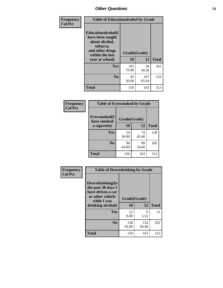| Frequency      | <b>Table of Educationalcohol by Grade</b>                                                                  |              |              |              |  |  |  |
|----------------|------------------------------------------------------------------------------------------------------------|--------------|--------------|--------------|--|--|--|
| <b>Col Pct</b> | Educationalcohol(I<br>have been taught<br>about alcohol,<br>tobacco,<br>and other drugs<br>within the last | Grade(Grade) |              |              |  |  |  |
|                | year at school)                                                                                            | 10           | 12           | <b>Total</b> |  |  |  |
|                | <b>Yes</b>                                                                                                 | 105<br>70.00 | 56<br>34.36  | 161          |  |  |  |
|                | N <sub>0</sub>                                                                                             | 45<br>30.00  | 107<br>65.64 | 152          |  |  |  |
|                | <b>Total</b>                                                                                               | 150          | 163          | 313          |  |  |  |

| Frequency      | <b>Table of Eversmoked by Grade</b>         |             |             |              |  |  |  |
|----------------|---------------------------------------------|-------------|-------------|--------------|--|--|--|
| <b>Col Pct</b> | Eversmoked(I<br>Grade(Grade)<br>have smoked |             |             |              |  |  |  |
|                | a cigarette)                                | 10          | 12          | <b>Total</b> |  |  |  |
|                | <b>Yes</b>                                  | 54<br>36.00 | 74<br>45.40 | 128          |  |  |  |
|                | N <sub>0</sub>                              | 96<br>64.00 | 89<br>54.60 | 185          |  |  |  |
|                | <b>Total</b>                                | 150         | 163         | 313          |  |  |  |

| Frequency      | <b>Table of Drovedrinking by Grade</b>                                                         |                          |              |              |  |  |  |
|----------------|------------------------------------------------------------------------------------------------|--------------------------|--------------|--------------|--|--|--|
| <b>Col Pct</b> | Drovedrinking(In<br>the past 30 days I<br>have driven a car<br>or other vehicle<br>while I was | Grade(Grade)<br>10<br>12 |              | <b>Total</b> |  |  |  |
|                | drinking alcohol)                                                                              |                          |              |              |  |  |  |
|                | Yes                                                                                            | 12                       | 9            | 21           |  |  |  |
|                |                                                                                                | 8.00                     | 5.52         |              |  |  |  |
|                | N <sub>0</sub>                                                                                 | 138<br>92.00             | 154<br>94.48 | 292          |  |  |  |
|                | <b>Total</b>                                                                                   | 150                      | 163          | 313          |  |  |  |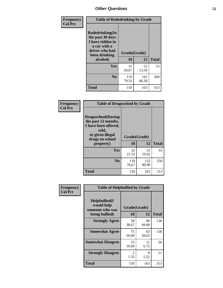| Frequency      | <b>Table of Rodedrinking by Grade</b>                                                                                  |                    |              |     |  |  |  |
|----------------|------------------------------------------------------------------------------------------------------------------------|--------------------|--------------|-----|--|--|--|
| <b>Col Pct</b> | Rodedrinking(In<br>the past 30 days<br>I have ridden in<br>a car with a<br>driver who had<br>been drinking<br>alcohol) | Grade(Grade)<br>10 | <b>Total</b> |     |  |  |  |
|                |                                                                                                                        |                    | 12           |     |  |  |  |
|                | <b>Yes</b>                                                                                                             | 31<br>20.67        | 22<br>13.50  | 53  |  |  |  |
|                | N <sub>0</sub>                                                                                                         | 119<br>79.33       | 141<br>86.50 | 260 |  |  |  |
|                | <b>Total</b>                                                                                                           | 150                | 163          | 313 |  |  |  |

#### **Frequency Col Pct**

| <b>Table of Drugsschool by Grade</b>                                                                                      |              |              |              |  |  |  |  |
|---------------------------------------------------------------------------------------------------------------------------|--------------|--------------|--------------|--|--|--|--|
| <b>Drugsschool</b> (During<br>the past 12 months,<br>I have been offered,<br>sold,<br>or given illegal<br>drugs on school | Grade(Grade) |              |              |  |  |  |  |
| property)                                                                                                                 | 10           | 12           | <b>Total</b> |  |  |  |  |
| Yes                                                                                                                       | 32<br>21.33  | 31<br>19.02  | 63           |  |  |  |  |
| N <sub>0</sub>                                                                                                            | 118<br>78.67 | 132<br>80.98 | 250          |  |  |  |  |
| Total                                                                                                                     | 150          | 163          | 313          |  |  |  |  |

| Frequency      | <b>Table of Helpbullied by Grade</b>                                   |                                 |             |              |  |  |  |
|----------------|------------------------------------------------------------------------|---------------------------------|-------------|--------------|--|--|--|
| <b>Col Pct</b> | $Helpb$ ullied $(I$<br>would help<br>someone who was<br>being bullied) | Grade(Grade)<br><b>10</b><br>12 |             | <b>Total</b> |  |  |  |
|                | <b>Strongly Agree</b>                                                  | 58<br>38.67                     | 80<br>49.08 | 138          |  |  |  |
|                | <b>Somewhat Agree</b>                                                  | 75<br>50.00                     | 63<br>38.65 | 138          |  |  |  |
|                | <b>Somewhat Disagree</b>                                               | 15<br>10.00                     | 11<br>6.75  | 26           |  |  |  |
|                | <b>Strongly Disagree</b>                                               | 2<br>1.33                       | 9<br>5.52   | 11           |  |  |  |
|                | Total                                                                  | 150                             | 163         | 313          |  |  |  |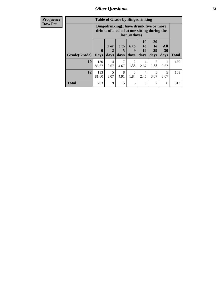| <b>Frequency</b><br><b>Row Pct</b> |                     | <b>Table of Grade by Bingedrinking</b><br>Bingedrinking(I have drunk five or more<br>drinks of alcohol at one sitting during the<br>last 30 days) |                   |                         |                          |                          |                               |                          |              |
|------------------------------------|---------------------|---------------------------------------------------------------------------------------------------------------------------------------------------|-------------------|-------------------------|--------------------------|--------------------------|-------------------------------|--------------------------|--------------|
|                                    | Grade(Grade)   Days | $\mathbf{0}$                                                                                                                                      | 1 or<br>2<br>days | 3 <sub>to</sub><br>days | <b>6 to</b><br>9<br>days | 10<br>to  <br>19<br>days | <b>20</b><br>to<br>29<br>days | All<br><b>30</b><br>days | <b>Total</b> |
|                                    | 10                  | 130<br>86.67                                                                                                                                      | 4<br>2.67         | 7<br>4.67               | 2<br>1.33                | 4<br>2.67                | $\overline{2}$<br>1.33        | 0.67                     | 150          |
|                                    | 12                  | 133<br>81.60                                                                                                                                      | 5<br>3.07         | 8<br>4.91               | 3<br>1.84                | 4<br>2.45                | 5<br>3.07                     | 5<br>3.07                | 163          |
|                                    | <b>Total</b>        | 263                                                                                                                                               | 9                 | 15                      | 5                        | 8                        |                               | 6                        | 313          |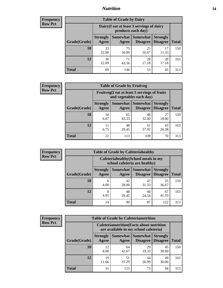### *Nutrition* **54**

| <b>Frequency</b><br>Row Pct |
|-----------------------------|
|                             |

| <b>Table of Grade by Dairy</b> |                          |                                                                                                          |             |             |     |  |  |  |
|--------------------------------|--------------------------|----------------------------------------------------------------------------------------------------------|-------------|-------------|-----|--|--|--|
|                                |                          | Dairy (I eat at least 3 servings of dairy<br>products each day)                                          |             |             |     |  |  |  |
| Grade(Grade)                   | <b>Strongly</b><br>Agree | Somewhat  <br><b>Somewhat</b><br><b>Strongly</b><br><b>Disagree</b><br>Disagree<br><b>Total</b><br>Agree |             |             |     |  |  |  |
| 10                             | 33<br>22.00              | 75<br>50.00                                                                                              | 25<br>16.67 | 17<br>11.33 | 150 |  |  |  |
| 12                             | 36<br>22.09              | 71<br>43.56                                                                                              | 28<br>17.18 | 28<br>17.18 | 163 |  |  |  |
| <b>Total</b>                   | 69                       | 146                                                                                                      | 53          | 45          | 313 |  |  |  |

| <b>Frequency</b> |
|------------------|
| <b>Row Pct</b>   |

| V | <b>Table of Grade by Fruitveg</b> |                          |                                                                                                              |             |             |     |  |  |
|---|-----------------------------------|--------------------------|--------------------------------------------------------------------------------------------------------------|-------------|-------------|-----|--|--|
|   |                                   |                          | Fruitveg(I eat at least 5 servings of fruits<br>and vegetables each day)                                     |             |             |     |  |  |
|   | Grade(Grade)                      | <b>Strongly</b><br>Agree | <b>Somewhat   Somewhat</b><br><b>Strongly</b><br><b>Disagree</b><br><b>Disagree</b><br><b>Total</b><br>Agree |             |             |     |  |  |
|   | 10                                | 10<br>6.67               | 65<br>43.33                                                                                                  | 48<br>32.00 | 27<br>18.00 | 150 |  |  |
|   | 12                                | 11<br>6.75               | 48<br>29.45                                                                                                  | 61<br>37.42 | 43<br>26.38 | 163 |  |  |
|   | <b>Total</b>                      | 21                       | 113                                                                                                          | 109         | 70          | 313 |  |  |

| <b>Frequency</b> | <b>Table of Grade by Cafeteriahealthy</b> |                          |                     |                                                                       |                                    |              |  |
|------------------|-------------------------------------------|--------------------------|---------------------|-----------------------------------------------------------------------|------------------------------------|--------------|--|
| <b>Row Pct</b>   |                                           |                          |                     | Cafeteriahealthy (School meals in my<br>school cafeteria are healthy) |                                    |              |  |
|                  | Grade(Grade)                              | <b>Strongly</b><br>Agree | Somewhat  <br>Agree | Somewhat<br><b>Disagree</b>                                           | <b>Strongly</b><br><b>Disagree</b> | <b>Total</b> |  |
|                  | 10                                        | 6<br>4.00                | 42<br>28.00         | 47<br>31.33                                                           | 55<br>36.67                        | 150          |  |
|                  | 12                                        | 8<br>4.91                | 48<br>29.45         | 40<br>24.54                                                           | 67<br>41.10                        | 163          |  |
|                  | Total                                     | 14                       | 90                  | 87                                                                    | 122                                | 313          |  |

| <b>Frequency</b> |  |
|------------------|--|
| <b>Row Pct</b>   |  |

|              |                                                                                           |                   | <b>Table of Grade by Cafeterianutrition</b> |                                    |              |  |  |
|--------------|-------------------------------------------------------------------------------------------|-------------------|---------------------------------------------|------------------------------------|--------------|--|--|
|              | <b>Cafeterianutrition</b> (Facts about nutrition<br>are available in my school cafeteria) |                   |                                             |                                    |              |  |  |
| Grade(Grade) | <b>Strongly</b><br>Agree                                                                  | Somewhat<br>Agree | <b>Somewhat</b><br><b>Disagree</b>          | <b>Strongly</b><br><b>Disagree</b> | <b>Total</b> |  |  |
| 10           | 12<br>8.00                                                                                | 64<br>42.67       | 29<br>19.33                                 | 45<br>30.00                        | 150          |  |  |
| 12           | 19<br>11.66                                                                               | 51<br>31.29       | 44<br>26.99                                 | 49<br>30.06                        | 163          |  |  |
| <b>Total</b> | 31                                                                                        | 115               | 73                                          | 94                                 | 313          |  |  |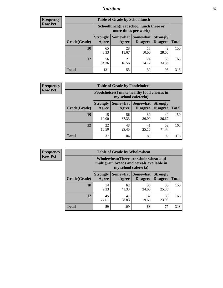### *Nutrition* **55**

| <b>Frequency</b> |
|------------------|
| Row Pct          |

| <b>Table of Grade by Schoollunch</b> |             |                                                                                                                                                                                                         |             |             |     |  |  |  |
|--------------------------------------|-------------|---------------------------------------------------------------------------------------------------------------------------------------------------------------------------------------------------------|-------------|-------------|-----|--|--|--|
|                                      |             | Schoollunch(I eat school lunch three or<br>more times per week)<br>Somewhat  <br><b>Somewhat</b><br><b>Strongly</b><br><b>Strongly</b><br><b>Disagree</b><br>Agree<br>Disagree<br><b>Total</b><br>Agree |             |             |     |  |  |  |
| Grade(Grade)                         |             |                                                                                                                                                                                                         |             |             |     |  |  |  |
| 10                                   | 65<br>43.33 | 28<br>18.67                                                                                                                                                                                             | 15<br>10.00 | 42<br>28.00 | 150 |  |  |  |
| 12                                   | 56<br>34.36 | 27<br>16.56                                                                                                                                                                                             | 24<br>14.72 | 56<br>34.36 | 163 |  |  |  |
| <b>Total</b>                         | 121         | 55                                                                                                                                                                                                      | 39          | 98          | 313 |  |  |  |

| <b>Frequency</b> |  |
|------------------|--|
| <b>Row Pct</b>   |  |

| <b>Table of Grade by Foodchoices</b> |                          |                                                                     |                                                |              |     |  |  |  |
|--------------------------------------|--------------------------|---------------------------------------------------------------------|------------------------------------------------|--------------|-----|--|--|--|
|                                      |                          | Foodchoices (I make healthy food choices in<br>my school cafeteria) |                                                |              |     |  |  |  |
| Grade(Grade)                         | <b>Strongly</b><br>Agree | <b>Somewhat   Somewhat</b><br>Agree                                 | <b>Strongly</b><br><b>Disagree</b><br>Disagree | <b>Total</b> |     |  |  |  |
| 10                                   | 15<br>10.00              | 56<br>37.33                                                         | 39<br>26.00                                    | 40<br>26.67  | 150 |  |  |  |
| 12                                   | 22<br>13.50              | 48<br>29.45                                                         | 41<br>25.15                                    | 52<br>31.90  | 163 |  |  |  |
| <b>Total</b>                         | 37                       | 104                                                                 | 80                                             | 92           | 313 |  |  |  |

| <b>Frequency</b> | <b>Table of Grade by Wholewheat</b> |                          |                     |                                                                                                             |                                    |              |  |
|------------------|-------------------------------------|--------------------------|---------------------|-------------------------------------------------------------------------------------------------------------|------------------------------------|--------------|--|
| <b>Row Pct</b>   |                                     |                          |                     | Wholewheat (There are whole wheat and<br>multigrain breads and cereals available in<br>my school cafeteria) |                                    |              |  |
|                  | Grade(Grade)                        | <b>Strongly</b><br>Agree | Somewhat  <br>Agree | <b>Somewhat</b><br><b>Disagree</b>                                                                          | <b>Strongly</b><br><b>Disagree</b> | <b>Total</b> |  |
|                  | 10                                  | 14<br>9.33               | 62<br>41.33         | 36<br>24.00                                                                                                 | 38<br>25.33                        | 150          |  |
|                  | 12                                  | 45<br>27.61              | 47<br>28.83         | 32<br>19.63                                                                                                 | 39<br>23.93                        | 163          |  |
|                  | <b>Total</b>                        | 59                       | 109                 | 68                                                                                                          | 77                                 | 313          |  |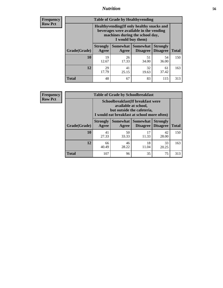### *Nutrition* **56**

**Frequency Row Pct**

| <b>Table of Grade by Healthyvending</b> |                                                                                                                                               |                          |                                    |                                    |              |
|-----------------------------------------|-----------------------------------------------------------------------------------------------------------------------------------------------|--------------------------|------------------------------------|------------------------------------|--------------|
|                                         | Healthyvending (If only healthy snacks and<br>beverages were available in the vending<br>machines during the school day,<br>I would buy them) |                          |                                    |                                    |              |
| Grade(Grade)                            | <b>Strongly</b><br>Agree                                                                                                                      | <b>Somewhat</b><br>Agree | <b>Somewhat</b><br><b>Disagree</b> | <b>Strongly</b><br><b>Disagree</b> | <b>Total</b> |
| 10                                      | 19<br>12.67                                                                                                                                   | 26<br>17.33              | 51<br>34.00                        | 54<br>36.00                        | 150          |
| 12                                      | 29<br>17.79                                                                                                                                   | 41<br>25.15              | 32<br>19.63                        | 61<br>37.42                        | 163          |
| <b>Total</b>                            | 48                                                                                                                                            | 67                       | 83                                 | 115                                | 313          |

**Frequency Row Pct**

| <b>Table of Grade by Schoolbreakfast</b> |                                                                                                                                        |             |                                        |                                    |              |  |
|------------------------------------------|----------------------------------------------------------------------------------------------------------------------------------------|-------------|----------------------------------------|------------------------------------|--------------|--|
|                                          | Schoolbreakfast(If breakfast were<br>available at school,<br>but outside the cafeteria,<br>I would eat breakfast at school more often) |             |                                        |                                    |              |  |
| Grade(Grade)                             | <b>Strongly</b><br>Agree                                                                                                               | Agree       | Somewhat   Somewhat<br><b>Disagree</b> | <b>Strongly</b><br><b>Disagree</b> | <b>Total</b> |  |
| 10                                       | 41<br>27.33                                                                                                                            | 50<br>33.33 | 17<br>11.33                            | 42<br>28.00                        | 150          |  |
| 12                                       | 66<br>40.49                                                                                                                            | 46<br>28.22 | 18<br>11.04                            | 33<br>20.25                        | 163          |  |
| <b>Total</b>                             | 107                                                                                                                                    | 96          | 35                                     | 75                                 | 313          |  |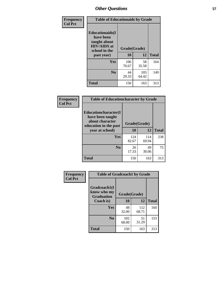| Frequency<br><b>Col Pct</b> | <b>Table of Educationaids by Grade</b>                                                                    |                    |              |              |
|-----------------------------|-----------------------------------------------------------------------------------------------------------|--------------------|--------------|--------------|
|                             | <b>Educationaids</b> (I<br>have been<br>taught about<br><b>HIV/AIDS</b> at<br>school in the<br>past year) | Grade(Grade)<br>10 | 12           | <b>Total</b> |
|                             | Yes                                                                                                       | 106<br>70.67       | 58<br>35.58  | 164          |
|                             | N <sub>0</sub>                                                                                            | 44<br>29.33        | 105<br>64.42 | 149          |
|                             | <b>Total</b>                                                                                              | 150                | 163          | 313          |

| Frequency<br><b>Col Pct</b> | <b>Table of Educationcharacter by Grade</b>                 |              |       |              |  |
|-----------------------------|-------------------------------------------------------------|--------------|-------|--------------|--|
|                             | Educationcharacter(I<br>have been taught<br>about character |              |       |              |  |
|                             | education in the past                                       | Grade(Grade) |       |              |  |
|                             | year at school)                                             | 10           | 12    | <b>Total</b> |  |
|                             | Yes                                                         | 124          | 114   | 238          |  |
|                             |                                                             | 82.67        | 69.94 |              |  |
|                             | N <sub>0</sub>                                              | 26           | 49    | 75           |  |
|                             |                                                             | 17.33        | 30.06 |              |  |
|                             | <b>Total</b>                                                | 150          | 163   | 313          |  |

| Frequency      | <b>Table of Gradcoach1 by Grade</b>              |              |              |              |
|----------------|--------------------------------------------------|--------------|--------------|--------------|
| <b>Col Pct</b> | Gradcoach1(I<br>know who my<br><b>Graduation</b> | Grade(Grade) |              |              |
|                | Coach is)                                        | 10           | 12           | <b>Total</b> |
|                | Yes                                              | 48<br>32.00  | 112<br>68.71 | 160          |
|                | N <sub>0</sub>                                   | 102<br>68.00 | 51<br>31.29  | 153          |
|                | <b>Total</b>                                     | 150          | 163          | 313          |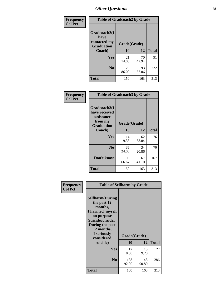| Frequency      | <b>Table of Gradcoach2 by Grade</b>       |              |             |              |
|----------------|-------------------------------------------|--------------|-------------|--------------|
| <b>Col Pct</b> |                                           |              |             |              |
|                | Gradcoach2(I                              |              |             |              |
|                | have<br>contacted my<br><b>Graduation</b> | Grade(Grade) |             |              |
|                | Coach)                                    | 10           | 12          | <b>Total</b> |
|                | Yes                                       | 21<br>14.00  | 70<br>42.94 | 91           |
|                | N <sub>0</sub>                            | 129<br>86.00 | 93<br>57.06 | 222          |
|                | <b>Total</b>                              | 150          | 163         | 313          |

| Frequency<br><b>Col Pct</b> | <b>Table of Gradcoach3 by Grade</b>                                         |              |             |              |  |
|-----------------------------|-----------------------------------------------------------------------------|--------------|-------------|--------------|--|
|                             | Gradcoach3(I<br>have received<br>assistance<br>from my<br><b>Graduation</b> | Grade(Grade) |             |              |  |
|                             | Coach)                                                                      | 10           | 12          | <b>Total</b> |  |
|                             | Yes                                                                         | 14<br>9.33   | 62<br>38.04 | 76           |  |
|                             | N <sub>0</sub>                                                              | 36<br>24.00  | 34<br>20.86 | 70           |  |
|                             | Don't know                                                                  | 100<br>66.67 | 67<br>41.10 | 167          |  |
|                             | <b>Total</b>                                                                | 150          | 163         | 313          |  |

| Frequency      | <b>Table of Selfharm by Grade</b>                                                                                                                                                      |                    |              |              |
|----------------|----------------------------------------------------------------------------------------------------------------------------------------------------------------------------------------|--------------------|--------------|--------------|
| <b>Col Pct</b> | <b>Selfharm</b> (During<br>the past 12<br>months,<br>I harmed myself<br>on purpose<br><b>Suicideconsider</b><br>During the past<br>12 months,<br>I seriously<br>considered<br>suicide) | Grade(Grade)<br>10 | 12           | <b>Total</b> |
|                | Yes                                                                                                                                                                                    | 12<br>8.00         | 15<br>9.20   | 27           |
|                | N <sub>0</sub>                                                                                                                                                                         | 138<br>92.00       | 148<br>90.80 | 286          |
|                | <b>Total</b>                                                                                                                                                                           | 150                | 163          | 313          |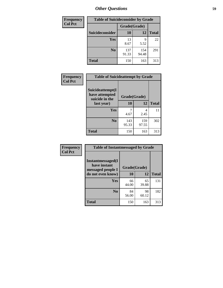| <b>Frequency</b> | <b>Table of Suicideconsider by Grade</b> |              |              |              |
|------------------|------------------------------------------|--------------|--------------|--------------|
| <b>Col Pct</b>   |                                          | Grade(Grade) |              |              |
|                  | <b>Suicideconsider</b>                   | <b>10</b>    | 12           | <b>Total</b> |
|                  | <b>Yes</b>                               | 13<br>8.67   | 9<br>5.52    | 22           |
|                  | N <sub>0</sub>                           | 137<br>91.33 | 154<br>94.48 | 291          |
|                  | <b>Total</b>                             | 150          | 163          | 313          |

| Frequency      | <b>Table of Suicideattempt by Grade</b>              |              |              |              |
|----------------|------------------------------------------------------|--------------|--------------|--------------|
| <b>Col Pct</b> | Suicideattempt(I<br>have attempted<br>suicide in the | Grade(Grade) |              |              |
|                | last year)                                           | 10           | 12           | <b>Total</b> |
|                | Yes                                                  | 4.67         | 4<br>2.45    | 11           |
|                | N <sub>0</sub>                                       | 143<br>95.33 | 159<br>97.55 | 302          |
|                | <b>Total</b>                                         | 150          | 163          | 313          |

| Frequency      | <b>Table of Instantmessaged by Grade</b>               |              |             |              |
|----------------|--------------------------------------------------------|--------------|-------------|--------------|
| <b>Col Pct</b> | Instantmessaged(I<br>have instant<br>messaged people I | Grade(Grade) |             |              |
|                | do not even know)                                      | 10           | 12          | <b>Total</b> |
|                | Yes                                                    | 66<br>44.00  | 65<br>39.88 | 131          |
|                | N <sub>0</sub>                                         | 84<br>56.00  | 98<br>60.12 | 182          |
|                | <b>Total</b>                                           | 150          | 163         | 313          |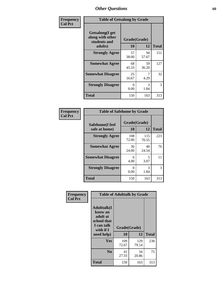| Frequency      | <b>Table of Getsalong by Grade</b>                          |              |             |              |
|----------------|-------------------------------------------------------------|--------------|-------------|--------------|
| <b>Col Pct</b> | <b>Getsalong</b> (I get<br>along with other<br>students and | Grade(Grade) |             |              |
|                | adults)                                                     | 10           | 12          | <b>Total</b> |
|                | <b>Strongly Agree</b>                                       | 57<br>38.00  | 94<br>57.67 | 151          |
|                | <b>Somewhat Agree</b>                                       | 68<br>45.33  | 59<br>36.20 | 127          |
|                | <b>Somewhat Disagree</b>                                    | 25<br>16.67  | 7<br>4.29   | 32           |
|                | <b>Strongly Disagree</b>                                    | 0<br>0.00    | 3<br>1.84   | 3            |
|                | <b>Total</b>                                                | 150          | 163         | 313          |

| Frequency      |                                  | <b>Table of Safehome by Grade</b> |              |              |  |  |  |
|----------------|----------------------------------|-----------------------------------|--------------|--------------|--|--|--|
| <b>Col Pct</b> | Safehome(I feel<br>safe at home) | Grade(Grade)<br>10                | 12           | <b>Total</b> |  |  |  |
|                | <b>Strongly Agree</b>            | 108<br>72.00                      | 115<br>70.55 | 223          |  |  |  |
|                | <b>Somewhat Agree</b>            | 36<br>24.00                       | 40<br>24.54  | 76           |  |  |  |
|                | <b>Somewhat Disagree</b>         | 6<br>4.00                         | 5<br>3.07    | 11           |  |  |  |
|                | <b>Strongly Disagree</b>         | $\mathcal{O}$<br>0.00             | 3<br>1.84    | 3            |  |  |  |
|                | <b>Total</b>                     | 150                               | 163          | 313          |  |  |  |

| Frequency      |                                                                                     | <b>Table of Adulttalk by Grade</b> |              |              |
|----------------|-------------------------------------------------------------------------------------|------------------------------------|--------------|--------------|
| <b>Col Pct</b> | <b>Adulttalk(I</b><br>know an<br>adult at<br>school that<br>I can talk<br>with if I | Grade(Grade)                       |              |              |
|                | need help)                                                                          | 10                                 | 12           | <b>Total</b> |
|                | <b>Yes</b>                                                                          | 109<br>72.67                       | 129<br>79.14 | 238          |
|                | N <sub>0</sub>                                                                      | 41<br>27.33                        | 34<br>20.86  | 75           |
|                | <b>Total</b>                                                                        | 150                                | 163          | 313          |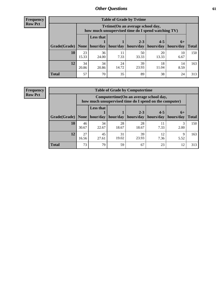**Frequency Row Pct**

| <b>Table of Grade by Tytime</b> |             |                                                                                         |             |             |                       |            |              |  |  |  |
|---------------------------------|-------------|-----------------------------------------------------------------------------------------|-------------|-------------|-----------------------|------------|--------------|--|--|--|
|                                 |             | Tvtime (On an average school day,<br>how much unsupervised time do I spend watching TV) |             |             |                       |            |              |  |  |  |
|                                 |             | <b>Less that</b><br>$2 - 3$<br>$4 - 5$<br>$6+$                                          |             |             |                       |            |              |  |  |  |
| Grade(Grade)   None             |             | hour/day                                                                                | hour/day    | hours/day   | hours/day   hours/day |            | <b>Total</b> |  |  |  |
| 10                              | 23<br>15.33 | 36<br>24.00                                                                             | 11<br>7.33  | 50<br>33.33 | 20<br>13.33           | 10<br>6.67 | 150          |  |  |  |
| 12                              | 34<br>20.86 | 34<br>20.86                                                                             | 24<br>14.72 | 39<br>23.93 | 18<br>11.04           | 14<br>8.59 | 163          |  |  |  |
| <b>Total</b>                    | 57          | 70                                                                                      | 35          | 89          | 38                    | 24         | 313          |  |  |  |

**Frequency Row Pct**

| <b>Table of Grade by Computertime</b> |             |                                                                                                   |             |                      |                      |                   |              |  |  |
|---------------------------------------|-------------|---------------------------------------------------------------------------------------------------|-------------|----------------------|----------------------|-------------------|--------------|--|--|
|                                       |             | Computertime (On an average school day,<br>how much unsupervised time do I spend on the computer) |             |                      |                      |                   |              |  |  |
| Grade(Grade)                          | None        | <b>Less that</b><br>hour/day                                                                      | hour/day    | $2 - 3$<br>hours/day | $4 - 5$<br>hours/day | $6+$<br>hours/day | <b>Total</b> |  |  |
| 10                                    | 46<br>30.67 | 34<br>22.67                                                                                       | 28<br>18.67 | 28<br>18.67          | 11<br>7.33           | 3<br>2.00         | 150          |  |  |
| 12                                    | 27<br>16.56 | 39<br>45<br>31<br>12<br>Q<br>23.93<br>19.02<br>5.52<br>27.61<br>7.36                              |             |                      |                      |                   |              |  |  |
| <b>Total</b>                          | 73          | 79                                                                                                | 59          | 67                   | 23                   | 12                | 313          |  |  |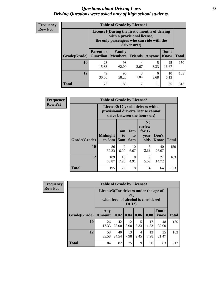#### *Questions about Driving Laws* **62** *Driving Questions were asked only of high school students.*

| <b>Frequency</b> |
|------------------|
| <b>Row Pct</b>   |

| <b>Table of Grade by License1</b> |                                                                    |                                                                                                                                           |                |               |               |              |  |  |  |
|-----------------------------------|--------------------------------------------------------------------|-------------------------------------------------------------------------------------------------------------------------------------------|----------------|---------------|---------------|--------------|--|--|--|
|                                   |                                                                    | License1(During the first 6 months of driving<br>with a provisional license,<br>the only passengers who can ride with the<br>driver are:) |                |               |               |              |  |  |  |
| Grade(Grade)                      | <b>Parent or</b><br><b>Guardian</b>                                | Family<br>  Members                                                                                                                       | <b>Friends</b> | <b>Anyone</b> | Don't<br>Know | <b>Total</b> |  |  |  |
| 10                                | 23<br>15.33                                                        | 93<br>62.00                                                                                                                               | 4<br>2.67      | 5<br>3.33     | 25<br>16.67   | 150          |  |  |  |
| 12                                | 49<br>3<br>95<br>10<br>6<br>1.84<br>58.28<br>30.06<br>3.68<br>6.13 |                                                                                                                                           |                |               |               |              |  |  |  |
| Total                             | 72                                                                 | 188                                                                                                                                       | 7              | 11            | 35            | 313          |  |  |  |

| <b>Frequency</b> | <b>Table of Grade by License2</b> |                                                                                                          |                              |                              |                                                      |                      |              |  |
|------------------|-----------------------------------|----------------------------------------------------------------------------------------------------------|------------------------------|------------------------------|------------------------------------------------------|----------------------|--------------|--|
| <b>Row Pct</b>   |                                   | License2(17 yr old drivers with a<br>provisional driver's license cannot<br>drive between the hours of:) |                              |                              |                                                      |                      |              |  |
|                  | <b>Grade(Grade)</b>               | <b>Midnight</b><br>to 6am                                                                                | 1am<br>t <sub>0</sub><br>5am | 1am<br>t <sub>0</sub><br>6am | N <sub>0</sub><br>curfew<br>for $17$<br>year<br>olds | Don't<br><b>Know</b> | <b>Total</b> |  |
|                  | 10                                | 86<br>57.33                                                                                              | 9<br>6.00                    | 10<br>6.67                   | 5<br>3.33                                            | 40<br>26.67          | 150          |  |
|                  | 12                                | 109<br>66.87                                                                                             | 13<br>7.98                   | 8<br>4.91                    | 9<br>5.52                                            | 24<br>14.72          | 163          |  |
|                  | <b>Total</b>                      | 195                                                                                                      | 22                           | 18                           | 14                                                   | 64                   | 313          |  |

| Frequency      | <b>Table of Grade by License3</b> |                                       |             |                 |                        |                                     |               |              |
|----------------|-----------------------------------|---------------------------------------|-------------|-----------------|------------------------|-------------------------------------|---------------|--------------|
| <b>Row Pct</b> |                                   | License3(For drivers under the age of |             | 21,<br>$DUI$ ?) |                        | what level of alcohol is considered |               |              |
|                | Grade(Grade)                      | Any<br><b>Amount</b>                  | 0.02        | 0.04            | 0.06                   | 0.08                                | Don't<br>know | <b>Total</b> |
|                | <b>10</b>                         | 26<br>17.33                           | 42<br>28.00 | 12<br>8.00      | 5<br>3.33              | 17<br>11.33                         | 48<br>32.00   | 150          |
|                | 12                                | 58<br>35.58                           | 40<br>24.54 | 13<br>7.98      | $\overline{4}$<br>2.45 | 13<br>7.98                          | 35<br>21.47   | 163          |
|                | <b>Total</b>                      | 84                                    | 82          | 25              | 9                      | 30                                  | 83            | 313          |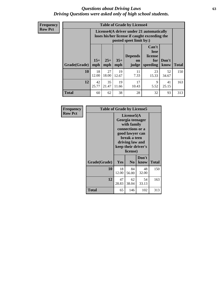#### *Questions about Driving Laws* **63** *Driving Questions were asked only of high school students.*

**Frequency Row Pct**

| <b>Table of Grade by License4</b> |              |                                                                                                                                                      |             |             |             |             |     |  |
|-----------------------------------|--------------|------------------------------------------------------------------------------------------------------------------------------------------------------|-------------|-------------|-------------|-------------|-----|--|
|                                   |              | License4(A driver under 21 automatically<br>loses his/her license if caught exceeding the<br>posted speet limit by:)                                 |             |             |             |             |     |  |
| Grade(Grade)                      | $15+$<br>mph | Can't<br>lose<br><b>Depends</b><br>license<br>$25+$<br>$35+$<br>Don't<br>for<br><b>on</b><br>speeding<br><b>Total</b><br>mph<br>know<br>mph<br>judge |             |             |             |             |     |  |
| 10                                | 18<br>12.00  | 27<br>18.00                                                                                                                                          | 19<br>12.67 | 11<br>7.33  | 23<br>15.33 | 52<br>34.67 | 150 |  |
| 12                                | 42<br>25.77  | 35<br>21.47                                                                                                                                          | 19<br>11.66 | 17<br>10.43 | 9<br>5.52   | 41<br>25.15 | 163 |  |
| <b>Total</b>                      | 60           | 62                                                                                                                                                   | 38          | 28          | 32          | 93          | 313 |  |

| Frequency      | <b>Table of Grade by License5</b> |                                                                                                                                                             |                |               |              |
|----------------|-----------------------------------|-------------------------------------------------------------------------------------------------------------------------------------------------------------|----------------|---------------|--------------|
| <b>Row Pct</b> |                                   | License5(A)<br>Georgia teenager<br>with family<br>connections or a<br>good lawyer can<br>break a teen<br>driving law and<br>keep their driver's<br>license) |                |               |              |
|                | Grade(Grade)                      | <b>Yes</b>                                                                                                                                                  | N <sub>0</sub> | Don't<br>know | <b>Total</b> |
|                | 10                                | 18<br>12.00                                                                                                                                                 | 84<br>56.00    | 48<br>32.00   | 150          |
|                | 12                                | 47<br>28.83                                                                                                                                                 | 62<br>38.04    | 54<br>33.13   | 163          |
|                | Total                             | 65                                                                                                                                                          | 146            | 102           | 313          |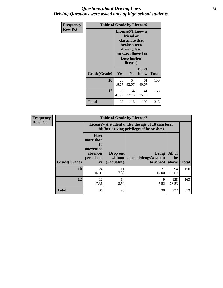#### *Questions about Driving Laws* **64** *Driving Questions were asked only of high school students.*

| <b>Frequency</b> | <b>Table of Grade by License6</b> |             |                                                                                                                           |                    |              |  |  |
|------------------|-----------------------------------|-------------|---------------------------------------------------------------------------------------------------------------------------|--------------------|--------------|--|--|
| <b>Row Pct</b>   |                                   |             | License <sub>6</sub> (I know a<br>friend or<br>classmate that<br>broke a teen<br>driving law,<br>keep his/her<br>license) | but was allowed to |              |  |  |
|                  | Grade(Grade)                      | Yes         | N <sub>0</sub>                                                                                                            | Don't<br>know      | <b>Total</b> |  |  |
|                  | 10                                | 25<br>16.67 | 64<br>42.67                                                                                                               | 61<br>40.67        | 150          |  |  |
|                  | 12                                | 68<br>41.72 | 54<br>33.13                                                                                                               | 41<br>25.15        | 163          |  |  |
|                  | <b>Total</b>                      | 93          | 118                                                                                                                       | 102                | 313          |  |  |

| <b>Frequency</b> | <b>Table of Grade by License7</b> |                                                                             |                                     |                                                                                               |                        |              |  |  |
|------------------|-----------------------------------|-----------------------------------------------------------------------------|-------------------------------------|-----------------------------------------------------------------------------------------------|------------------------|--------------|--|--|
| <b>Row Pct</b>   |                                   |                                                                             |                                     | License7(A student under the age of 18 cam loser<br>his/her driving privileges if he or she:) |                        |              |  |  |
|                  | Grade(Grade)                      | <b>Have</b><br>more than<br>10<br>unexcused<br>absences<br>per school<br>yr | Drop out<br>without  <br>graduating | <b>Bring</b><br>alcohol/drugs/weapon<br>to school                                             | All of<br>the<br>above | <b>Total</b> |  |  |
|                  | 10                                | 24<br>16.00                                                                 | 11<br>7.33                          | 21<br>14.00                                                                                   | 94<br>62.67            | 150          |  |  |
|                  | 12                                | 12<br>7.36                                                                  | 14<br>8.59                          | 9<br>5.52                                                                                     | 128<br>78.53           | 163          |  |  |
|                  | <b>Total</b>                      | 36                                                                          | 25                                  | 30                                                                                            | 222                    | 313          |  |  |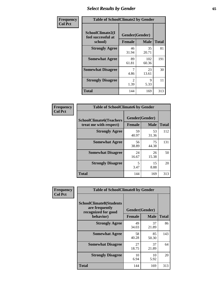## *Select Results by Gender* **65**

| Frequency      | <b>Table of SchoolClimate2 by Gender</b>          |                                 |              |              |  |
|----------------|---------------------------------------------------|---------------------------------|--------------|--------------|--|
| <b>Col Pct</b> | SchoolClimate2(I<br>feel successful at<br>school) | Gender(Gender)<br><b>Female</b> | <b>Male</b>  | <b>Total</b> |  |
|                | <b>Strongly Agree</b>                             | 46<br>31.94                     | 35<br>20.71  | 81           |  |
|                | <b>Somewhat Agree</b>                             | 89<br>61.81                     | 102<br>60.36 | 191          |  |
|                | <b>Somewhat Disagree</b>                          | 4.86                            | 23<br>13.61  | 30           |  |
|                | <b>Strongly Disagree</b>                          | $\mathcal{L}$<br>1.39           | 9<br>5.33    | 11           |  |
|                | <b>Total</b>                                      | 144                             | 169          | 313          |  |

| Frequency      | <b>Table of SchoolClimate6 by Gender</b>                 |                                 |             |              |  |
|----------------|----------------------------------------------------------|---------------------------------|-------------|--------------|--|
| <b>Col Pct</b> | <b>SchoolClimate6(Teachers</b><br>treat me with respect) | Gender(Gender)<br><b>Female</b> | <b>Male</b> | <b>Total</b> |  |
|                | <b>Strongly Agree</b>                                    | 59<br>40.97                     | 53<br>31.36 | 112          |  |
|                | <b>Somewhat Agree</b>                                    | 56<br>38.89                     | 75<br>44.38 | 131          |  |
|                | <b>Somewhat Disagree</b>                                 | 24<br>16.67                     | 26<br>15.38 | 50           |  |
|                | <b>Strongly Disagree</b>                                 | 5<br>3.47                       | 15<br>8.88  | 20           |  |
|                | <b>Total</b>                                             | 144                             | 169         | 313          |  |

| Frequency      | <b>Table of SchoolClimate8 by Gender</b>                                             |                                 |             |              |  |
|----------------|--------------------------------------------------------------------------------------|---------------------------------|-------------|--------------|--|
| <b>Col Pct</b> | <b>SchoolClimate8(Students</b><br>are frequently<br>recognized for good<br>behavior) | Gender(Gender)<br><b>Female</b> | <b>Male</b> | <b>Total</b> |  |
|                | <b>Strongly Agree</b>                                                                | 49<br>34.03                     | 37<br>21.89 | 86           |  |
|                | <b>Somewhat Agree</b>                                                                | 58<br>40.28                     | 85<br>50.30 | 143          |  |
|                | <b>Somewhat Disagree</b>                                                             | 27<br>18.75                     | 37<br>21.89 | 64           |  |
|                | <b>Strongly Disagree</b>                                                             | 10<br>6.94                      | 10<br>5.92  | 20           |  |
|                | Total                                                                                | 144                             | 169         | 313          |  |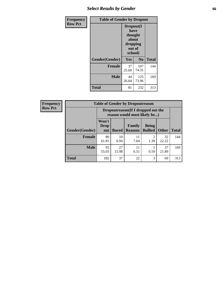## *Select Results by Gender* **66**

| Frequency      | <b>Table of Gender by Dropout</b> |                                                                        |                |              |
|----------------|-----------------------------------|------------------------------------------------------------------------|----------------|--------------|
| <b>Row Pct</b> |                                   | Dropout(I<br>have<br>thought<br>about<br>dropping<br>out of<br>school) |                |              |
|                | Gender(Gender)                    | Yes                                                                    | N <sub>0</sub> | <b>Total</b> |
|                | <b>Female</b>                     | 37<br>25.69                                                            | 107<br>74.31   | 144          |
|                | <b>Male</b>                       | 44<br>26.04                                                            | 125<br>73.96   | 169          |
|                | <b>Total</b>                      | 81                                                                     | 232            | 313          |

| <b>Frequency</b> | <b>Table of Gender by Dropoutreason</b> |                             |                                                                    |                                 |                                |              |              |
|------------------|-----------------------------------------|-----------------------------|--------------------------------------------------------------------|---------------------------------|--------------------------------|--------------|--------------|
| <b>Row Pct</b>   |                                         |                             | Dropoutreason(If I dropped out the<br>reason would most likely be) |                                 |                                |              |              |
|                  | Gender(Gender)                          | Won't<br><b>Drop</b><br>out | <b>Bored</b>                                                       | <b>Family</b><br><b>Reasons</b> | <b>Being</b><br><b>Bullied</b> | <b>Other</b> | <b>Total</b> |
|                  | Female                                  | 89<br>61.81                 | 10<br>6.94                                                         | 11<br>7.64                      | $\mathfrak{D}$<br>1.39         | 32<br>22.22  | 144          |
|                  | <b>Male</b>                             | 93<br>55.03                 | 27<br>15.98                                                        | 11<br>6.51                      | 0.59                           | 37<br>21.89  | 169          |
|                  | <b>Total</b>                            | 182                         | 37                                                                 | 22                              | 3                              | 69           | 313          |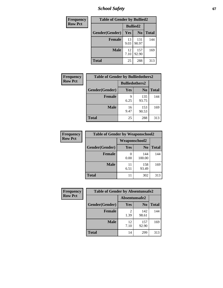*School Safety* **67**

| Frequency      | <b>Table of Gender by Bullied2</b> |                 |                |              |
|----------------|------------------------------------|-----------------|----------------|--------------|
| <b>Row Pct</b> |                                    | <b>Bullied2</b> |                |              |
|                | Gender(Gender)                     | Yes             | N <sub>0</sub> | <b>Total</b> |
|                | <b>Female</b>                      | 13<br>9.03      | 131<br>90.97   | 144          |
|                | <b>Male</b>                        | 12<br>7.10      | 157<br>92.90   | 169          |
|                | <b>Total</b>                       | 25              | 288            | 313          |

| <b>Frequency</b> | <b>Table of Gender by Bulliedothers2</b> |            |                       |              |
|------------------|------------------------------------------|------------|-----------------------|--------------|
| <b>Row Pct</b>   |                                          |            | <b>Bulliedothers2</b> |              |
|                  | Gender(Gender)                           | <b>Yes</b> | N <sub>0</sub>        | <b>Total</b> |
|                  | <b>Female</b>                            | q<br>6.25  | 135<br>93.75          | 144          |
|                  | Male                                     | 16<br>9.47 | 153<br>90.53          | 169          |
|                  | <b>Total</b>                             | 25         | 288                   | 313          |

| Frequency      | <b>Table of Gender by Weaponschool2</b> |               |                |              |
|----------------|-----------------------------------------|---------------|----------------|--------------|
| <b>Row Pct</b> |                                         | Weaponschool2 |                |              |
|                | Gender(Gender)                          | Yes           | N <sub>0</sub> | <b>Total</b> |
|                | <b>Female</b>                           | 0.00          | 144<br>100.00  | 144          |
|                | <b>Male</b>                             | 11<br>6.51    | 158<br>93.49   | 169          |
|                | <b>Total</b>                            | 11            | 302            | 313          |

| Frequency      | <b>Table of Gender by Absentunsafe2</b> |               |                |              |
|----------------|-----------------------------------------|---------------|----------------|--------------|
| <b>Row Pct</b> |                                         | Absentunsafe2 |                |              |
|                | Gender(Gender)                          | Yes           | N <sub>0</sub> | <b>Total</b> |
|                | <b>Female</b>                           | 1.39          | 142<br>98.61   | 144          |
|                | <b>Male</b>                             | 12<br>7.10    | 157<br>92.90   | 169          |
|                | <b>Total</b>                            | 14            | 299            | 313          |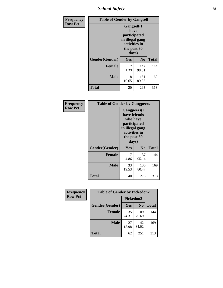*School Safety* **68**

| Frequency      | <b>Table of Gender by Gangself</b> |                                                                                                        |                |              |
|----------------|------------------------------------|--------------------------------------------------------------------------------------------------------|----------------|--------------|
| <b>Row Pct</b> |                                    | <b>Gangself</b> (I<br>have<br>participated<br>in illegal gang<br>activities in<br>the past 30<br>days) |                |              |
|                | Gender(Gender)                     | Yes                                                                                                    | N <sub>0</sub> | <b>Total</b> |
|                | <b>Female</b>                      | 2<br>1.39                                                                                              | 142<br>98.61   | 144          |
|                | <b>Male</b>                        | 18<br>10.65                                                                                            | 151<br>89.35   | 169          |
|                | <b>Total</b>                       | 20                                                                                                     | 293            | 313          |

| Frequency      | <b>Table of Gender by Gangpeers</b> |                                                                                                                             |                |              |
|----------------|-------------------------------------|-----------------------------------------------------------------------------------------------------------------------------|----------------|--------------|
| <b>Row Pct</b> |                                     | <b>Gangpeers</b> (I<br>have friends<br>who have<br>participated<br>in illegal gang<br>activities in<br>the past 30<br>days) |                |              |
|                | Gender(Gender)                      | Yes                                                                                                                         | N <sub>0</sub> | <b>Total</b> |
|                | <b>Female</b>                       | 7<br>4.86                                                                                                                   | 137<br>95.14   | 144          |
|                | <b>Male</b>                         | 33<br>19.53                                                                                                                 | 136<br>80.47   | 169          |
|                | Total                               | 40                                                                                                                          | 273            | 313          |

| Frequency      | <b>Table of Gender by Pickedon2</b> |             |                |              |
|----------------|-------------------------------------|-------------|----------------|--------------|
| <b>Row Pct</b> |                                     | Pickedon2   |                |              |
|                | Gender(Gender)                      | <b>Yes</b>  | N <sub>0</sub> | <b>Total</b> |
|                | <b>Female</b>                       | 35<br>24.31 | 109<br>75.69   | 144          |
|                | <b>Male</b>                         | 27<br>15.98 | 142<br>84.02   | 169          |
|                | <b>Total</b>                        | 62          | 251            | 313          |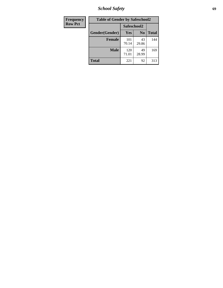*School Safety* **69**

| Frequency      | <b>Table of Gender by Safeschool2</b> |              |                |              |  |
|----------------|---------------------------------------|--------------|----------------|--------------|--|
| <b>Row Pct</b> |                                       | Safeschool2  |                |              |  |
|                | Gender(Gender)                        | Yes          | N <sub>0</sub> | <b>Total</b> |  |
|                | <b>Female</b>                         | 101<br>70.14 | 43<br>29.86    | 144          |  |
|                | Male                                  | 120<br>71.01 | 49<br>28.99    | 169          |  |
|                | <b>Total</b>                          | 221          | 92             | 313          |  |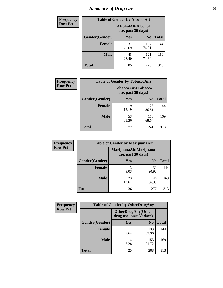# *Incidence of Drug Use* **70**

| <b>Frequency</b> | <b>Table of Gender by AlcoholAlt</b> |                                          |                |              |  |
|------------------|--------------------------------------|------------------------------------------|----------------|--------------|--|
| <b>Row Pct</b>   |                                      | AlcoholAlt(Alcohol<br>use, past 30 days) |                |              |  |
|                  | Gender(Gender)                       | <b>Yes</b>                               | N <sub>0</sub> | <b>Total</b> |  |
|                  | <b>Female</b>                        | 37<br>25.69                              | 107<br>74.31   | 144          |  |
|                  | <b>Male</b>                          | 48<br>28.40                              | 121<br>71.60   | 169          |  |
|                  | <b>Total</b>                         | 85                                       | 228            | 313          |  |

| Frequency      | <b>Table of Gender by TobaccoAny</b> |                    |                    |              |  |
|----------------|--------------------------------------|--------------------|--------------------|--------------|--|
| <b>Row Pct</b> |                                      | use, past 30 days) | TobaccoAny(Tobacco |              |  |
|                | Gender(Gender)                       | Yes                | N <sub>0</sub>     | <b>Total</b> |  |
|                | <b>Female</b>                        | 19<br>13.19        | 125<br>86.81       | 144          |  |
|                | <b>Male</b>                          | 53<br>31.36        | 116<br>68.64       | 169          |  |
|                | Total                                | 72                 | 241                | 313          |  |

| <b>Frequency</b> | <b>Table of Gender by MarijuanaAlt</b> |                                              |                |              |  |
|------------------|----------------------------------------|----------------------------------------------|----------------|--------------|--|
| <b>Row Pct</b>   |                                        | MarijuanaAlt(Marijuana<br>use, past 30 days) |                |              |  |
|                  | Gender(Gender)                         | <b>Yes</b>                                   | N <sub>0</sub> | <b>Total</b> |  |
|                  | <b>Female</b>                          | 13<br>9.03                                   | 131<br>90.97   | 144          |  |
|                  | <b>Male</b>                            | 23<br>13.61                                  | 146<br>86.39   | 169          |  |
|                  | <b>Total</b>                           | 36                                           | 277            | 313          |  |

| <b>Frequency</b> | <b>Table of Gender by OtherDrugAny</b> |                         |                            |              |
|------------------|----------------------------------------|-------------------------|----------------------------|--------------|
| <b>Row Pct</b>   |                                        | drug use, past 30 days) | <b>OtherDrugAny</b> (Other |              |
|                  | Gender(Gender)                         | <b>Yes</b>              | N <sub>0</sub>             | <b>Total</b> |
|                  | <b>Female</b>                          | 11<br>7.64              | 133<br>92.36               | 144          |
|                  | <b>Male</b>                            | 14<br>8.28              | 155<br>91.72               | 169          |
|                  | <b>Total</b>                           | 25                      | 288                        | 313          |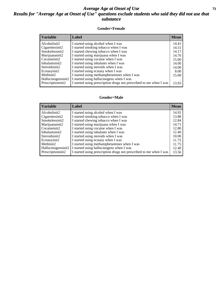#### *Average Age at Onset of Use* **71** *Results for "Average Age at Onset of Use" questions exclude students who said they did not use that substance*

#### **Gender=Female**

| <b>Variable</b>    | <b>Label</b>                                                       | <b>Mean</b> |
|--------------------|--------------------------------------------------------------------|-------------|
| Alcoholinit2       | I started using alcohol when I was                                 | 14.41       |
| Cigarettesinit2    | I started smoking tobacco when I was                               | 14.51       |
| Smokelessinit2     | I started chewing tobacco when I was                               | 14.17       |
| Marijuanainit2     | I started using marijuana when I was                               | 14.76       |
| Cocaineinit2       | I started using cocaine when I was                                 | 15.00       |
| Inhalantsinit2     | I started using inhalants when I was                               | 14.00       |
| Steroidsinit2      | I started using steroids when I was                                | 14.00       |
| Ecstasyinit2       | I started using ecstasy when I was                                 | 8.00        |
| Methinit2          | I started using methamphetamines when I was                        | 15.00       |
| Hallucinogensinit2 | I started using hallucinogens when I was                           |             |
| Prescription in t2 | I started using prescription drugs not prescribed to me when I was | 13.93       |

#### **Gender=Male**

| <b>Variable</b>                 | Label                                                              | <b>Mean</b> |
|---------------------------------|--------------------------------------------------------------------|-------------|
| Alcoholinit2                    | I started using alcohol when I was                                 | 14.92       |
| Cigarettesinit2                 | I started smoking tobacco when I was                               | 13.88       |
| Smokelessinit2                  | I started chewing tobacco when I was                               | 12.84       |
| Marijuanainit2                  | I started using marijuana when I was                               | 14.71       |
| Cocaineinit2                    | I started using cocaine when I was                                 | 12.80       |
| Inhalantsinit2                  | I started using inhalants when I was                               | 12.40       |
| Steroidsinit2                   | I started using steroids when I was                                | 10.00       |
| Ecstasyinit2                    | I started using ecstasy when I was                                 | 11.75       |
| Methinit2                       | I started using methamphetamines when I was                        | 11.75       |
| Hallucinogensinit2              | I started using hallucinogens when I was                           | 12.40       |
| Prescription in it <sub>2</sub> | I started using prescription drugs not prescribed to me when I was | 13.56       |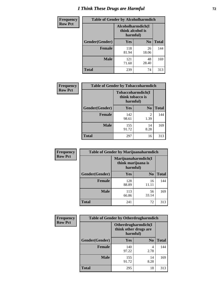# *I Think These Drugs are Harmful* **72**

| <b>Frequency</b> | <b>Table of Gender by Alcoholharmdich</b> |                  |                               |              |
|------------------|-------------------------------------------|------------------|-------------------------------|--------------|
| <b>Row Pct</b>   |                                           | think alcohol is | Alcoholharmdich(I<br>harmful) |              |
|                  | Gender(Gender)                            | Yes              | N <sub>0</sub>                | <b>Total</b> |
|                  | <b>Female</b>                             | 118<br>81.94     | 26<br>18.06                   | 144          |
|                  | <b>Male</b>                               | 121<br>71.60     | 48<br>28.40                   | 169          |
|                  | <b>Total</b>                              | 239              | 74                            | 313          |

| Frequency      | <b>Table of Gender by Tobaccoharmdich</b> |                  |                               |              |  |
|----------------|-------------------------------------------|------------------|-------------------------------|--------------|--|
| <b>Row Pct</b> |                                           | think tobacco is | Tobaccoharmdich(I<br>harmful) |              |  |
|                | Gender(Gender)                            | <b>Yes</b>       | N <sub>0</sub>                | <b>Total</b> |  |
|                | <b>Female</b>                             | 142<br>98.61     | 2<br>1.39                     | 144          |  |
|                | <b>Male</b>                               | 155<br>91.72     | 14<br>8.28                    | 169          |  |
|                | <b>Total</b>                              | 297              | 16                            | 313          |  |

| Frequency      | <b>Table of Gender by Marijuanaharmdich</b> |                                                       |                |              |  |
|----------------|---------------------------------------------|-------------------------------------------------------|----------------|--------------|--|
| <b>Row Pct</b> |                                             | Marijuanaharmdich(I<br>think marijuana is<br>harmful) |                |              |  |
|                | Gender(Gender)                              | <b>Yes</b>                                            | N <sub>0</sub> | <b>Total</b> |  |
|                | <b>Female</b>                               | 128<br>88.89                                          | 16<br>11.11    | 144          |  |
|                | <b>Male</b>                                 | 113<br>66.86                                          | 56<br>33.14    | 169          |  |
|                | <b>Total</b>                                | 241                                                   | 72             | 313          |  |

| Frequency      | <b>Table of Gender by Otherdrugharmdich</b> |                                                          |                |              |  |
|----------------|---------------------------------------------|----------------------------------------------------------|----------------|--------------|--|
| <b>Row Pct</b> |                                             | Otherdrugharmdich(I<br>think other drugs are<br>harmful) |                |              |  |
|                | Gender(Gender)                              | <b>Yes</b>                                               | N <sub>0</sub> | <b>Total</b> |  |
|                | <b>Female</b>                               | 140<br>97.22                                             | 4<br>2.78      | 144          |  |
|                | <b>Male</b>                                 | 155<br>91.72                                             | 14<br>8.28     | 169          |  |
|                | <b>Total</b>                                | 295                                                      | 18             | 313          |  |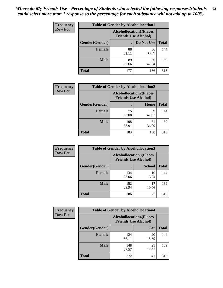| <b>Frequency</b> | <b>Table of Gender by Alcohollocation1</b> |                                                               |             |              |
|------------------|--------------------------------------------|---------------------------------------------------------------|-------------|--------------|
| <b>Row Pct</b>   |                                            | <b>Alcohollocation1(Places</b><br><b>Friends Use Alcohol)</b> |             |              |
|                  | Gender(Gender)                             |                                                               | Do Not Use  | <b>Total</b> |
|                  | <b>Female</b>                              | 88<br>61.11                                                   | 56<br>38.89 | 144          |
|                  | <b>Male</b>                                | 89<br>52.66                                                   | 80<br>47.34 | 169          |
|                  | <b>Total</b>                               | 177                                                           | 136         | 313          |

| <b>Frequency</b> | <b>Table of Gender by Alcohollocation2</b> |                                                               |             |              |
|------------------|--------------------------------------------|---------------------------------------------------------------|-------------|--------------|
| <b>Row Pct</b>   |                                            | <b>Alcohollocation2(Places</b><br><b>Friends Use Alcohol)</b> |             |              |
|                  | Gender(Gender)                             |                                                               | Home        | <b>Total</b> |
|                  | <b>Female</b>                              | 75<br>52.08                                                   | 69<br>47.92 | 144          |
|                  | <b>Male</b>                                | 108<br>63.91                                                  | 61<br>36.09 | 169          |
|                  | <b>Total</b>                               | 183                                                           | 130         | 313          |

| Frequency      | <b>Table of Gender by Alcohollocation3</b> |              |                                                               |              |
|----------------|--------------------------------------------|--------------|---------------------------------------------------------------|--------------|
| <b>Row Pct</b> |                                            |              | <b>Alcohollocation3(Places</b><br><b>Friends Use Alcohol)</b> |              |
|                | Gender(Gender)                             |              | <b>School</b>                                                 | <b>Total</b> |
|                | <b>Female</b>                              | 134<br>93.06 | 10<br>6.94                                                    | 144          |
|                | <b>Male</b>                                | 152<br>89.94 | 17<br>10.06                                                   | 169          |
|                | <b>Total</b>                               | 286          | 27                                                            | 313          |

| <b>Frequency</b> | <b>Table of Gender by Alcohollocation4</b> |                                                               |             |              |
|------------------|--------------------------------------------|---------------------------------------------------------------|-------------|--------------|
| <b>Row Pct</b>   |                                            | <b>Alcohollocation4(Places</b><br><b>Friends Use Alcohol)</b> |             |              |
|                  | <b>Gender</b> (Gender)                     |                                                               | Car         | <b>Total</b> |
|                  | <b>Female</b>                              | 124<br>86.11                                                  | 20<br>13.89 | 144          |
|                  | <b>Male</b>                                | 148<br>87.57                                                  | 21<br>12.43 | 169          |
|                  | <b>Total</b>                               | 272                                                           | 41          | 313          |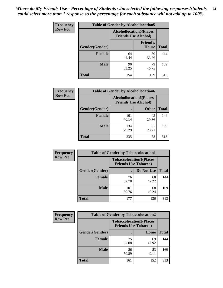| <b>Frequency</b> | <b>Table of Gender by Alcohollocation5</b> |                                |                                 |              |
|------------------|--------------------------------------------|--------------------------------|---------------------------------|--------------|
| <b>Row Pct</b>   |                                            | <b>Alcohollocation5(Places</b> | <b>Friends Use Alcohol)</b>     |              |
|                  | Gender(Gender)                             | $\bullet$                      | <b>Friend's</b><br><b>House</b> | <b>Total</b> |
|                  | <b>Female</b>                              | 64<br>44.44                    | 80<br>55.56                     | 144          |
|                  | <b>Male</b>                                | 90<br>53.25                    | 79<br>46.75                     | 169          |
|                  | <b>Total</b>                               | 154                            | 159                             | 313          |

| Frequency      | <b>Table of Gender by Alcohollocation6</b> |                                                               |              |              |  |
|----------------|--------------------------------------------|---------------------------------------------------------------|--------------|--------------|--|
| <b>Row Pct</b> |                                            | <b>Alcohollocation6(Places</b><br><b>Friends Use Alcohol)</b> |              |              |  |
|                | Gender(Gender)                             |                                                               | <b>Other</b> | <b>Total</b> |  |
|                | Female                                     | 101<br>70.14                                                  | 43<br>29.86  | 144          |  |
|                | <b>Male</b>                                | 134<br>79.29                                                  | 35<br>20.71  | 169          |  |
|                | <b>Total</b>                               | 235                                                           | 78           | 313          |  |

| Frequency      | <b>Table of Gender by Tobaccolocation1</b> |                                                               |             |              |  |
|----------------|--------------------------------------------|---------------------------------------------------------------|-------------|--------------|--|
| <b>Row Pct</b> |                                            | <b>Tobaccolocation1(Places</b><br><b>Friends Use Tobacco)</b> |             |              |  |
|                | Gender(Gender)                             |                                                               | Do Not Use  | <b>Total</b> |  |
|                | Female                                     | 76<br>52.78                                                   | 68<br>47.22 | 144          |  |
|                | <b>Male</b>                                | 101<br>59.76                                                  | 68<br>40.24 | 169          |  |
|                | <b>Total</b>                               | 177                                                           | 136         | 313          |  |

| <b>Frequency</b> | <b>Table of Gender by Tobaccolocation2</b> |                                                               |             |              |
|------------------|--------------------------------------------|---------------------------------------------------------------|-------------|--------------|
| <b>Row Pct</b>   |                                            | <b>Tobaccolocation2(Places</b><br><b>Friends Use Tobacco)</b> |             |              |
|                  | Gender(Gender)                             |                                                               | Home        | <b>Total</b> |
|                  | Female                                     | 75<br>52.08                                                   | 69<br>47.92 | 144          |
|                  | <b>Male</b>                                | 86<br>50.89                                                   | 83<br>49.11 | 169          |
|                  | <b>Total</b>                               | 161                                                           | 152         | 313          |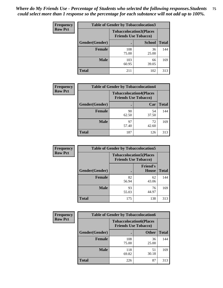| <b>Frequency</b> | <b>Table of Gender by Tobaccolocation3</b> |              |                                                               |              |
|------------------|--------------------------------------------|--------------|---------------------------------------------------------------|--------------|
| <b>Row Pct</b>   |                                            |              | <b>Tobaccolocation3(Places</b><br><b>Friends Use Tobacco)</b> |              |
|                  | Gender(Gender)                             |              | <b>School</b>                                                 | <b>Total</b> |
|                  | <b>Female</b>                              | 108<br>75.00 | 36<br>25.00                                                   | 144          |
|                  | <b>Male</b>                                | 103<br>60.95 | 66<br>39.05                                                   | 169          |
|                  | Total                                      | 211          | 102                                                           | 313          |

| <b>Frequency</b> | <b>Table of Gender by Tobaccolocation4</b> |             |                                                               |              |
|------------------|--------------------------------------------|-------------|---------------------------------------------------------------|--------------|
| <b>Row Pct</b>   |                                            |             | <b>Tobaccolocation4(Places</b><br><b>Friends Use Tobacco)</b> |              |
|                  | Gender(Gender)                             |             | Car                                                           | <b>Total</b> |
|                  | <b>Female</b>                              | 90<br>62.50 | 54<br>37.50                                                   | 144          |
|                  | <b>Male</b>                                | 97<br>57.40 | 72<br>42.60                                                   | 169          |
|                  | <b>Total</b>                               | 187         | 126                                                           | 313          |

| <b>Frequency</b> | <b>Table of Gender by Tobaccolocation5</b> |                             |                                |              |
|------------------|--------------------------------------------|-----------------------------|--------------------------------|--------------|
| <b>Row Pct</b>   |                                            | <b>Friends Use Tobacco)</b> | <b>Tobaccolocation5(Places</b> |              |
|                  | Gender(Gender)                             |                             | <b>Friend's</b><br>House       | <b>Total</b> |
|                  | <b>Female</b>                              | 82<br>56.94                 | 62<br>43.06                    | 144          |
|                  | <b>Male</b>                                | 93<br>55.03                 | 76<br>44.97                    | 169          |
|                  | <b>Total</b>                               | 175                         | 138                            | 313          |

| <b>Frequency</b> | <b>Table of Gender by Tobaccolocation6</b> |                                                               |              |              |
|------------------|--------------------------------------------|---------------------------------------------------------------|--------------|--------------|
| <b>Row Pct</b>   |                                            | <b>Tobaccolocation6(Places</b><br><b>Friends Use Tobacco)</b> |              |              |
|                  | Gender(Gender)                             |                                                               | <b>Other</b> | <b>Total</b> |
|                  | Female                                     | 108<br>75.00                                                  | 36<br>25.00  | 144          |
|                  | <b>Male</b>                                | 118<br>69.82                                                  | 51<br>30.18  | 169          |
|                  | <b>Total</b>                               | 226                                                           | 87           | 313          |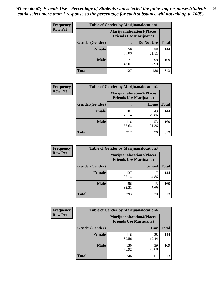| <b>Frequency</b> | <b>Table of Gender by Marijuanalocation1</b> |                                                                    |             |              |
|------------------|----------------------------------------------|--------------------------------------------------------------------|-------------|--------------|
| <b>Row Pct</b>   |                                              | <b>Marijuanalocation1(Places</b><br><b>Friends Use Marijuana</b> ) |             |              |
|                  | Gender(Gender)                               |                                                                    | Do Not Use  | <b>Total</b> |
|                  | <b>Female</b>                                | 56<br>38.89                                                        | 88<br>61.11 | 144          |
|                  | <b>Male</b>                                  | 71<br>42.01                                                        | 98<br>57.99 | 169          |
|                  | <b>Total</b>                                 | 127                                                                | 186         | 313          |

| <b>Frequency</b> | <b>Table of Gender by Marijuanalocation2</b> |                                                                    |             |              |
|------------------|----------------------------------------------|--------------------------------------------------------------------|-------------|--------------|
| <b>Row Pct</b>   |                                              | <b>Marijuanalocation2(Places</b><br><b>Friends Use Marijuana</b> ) |             |              |
|                  | Gender(Gender)                               |                                                                    | Home        | <b>Total</b> |
|                  | Female                                       | 101<br>70.14                                                       | 43<br>29.86 | 144          |
|                  | <b>Male</b>                                  | 116<br>68.64                                                       | 53<br>31.36 | 169          |
|                  | <b>Total</b>                                 | 217                                                                | 96          | 313          |

| Frequency      | <b>Table of Gender by Marijuanalocation3</b> |                                                                    |               |              |
|----------------|----------------------------------------------|--------------------------------------------------------------------|---------------|--------------|
| <b>Row Pct</b> |                                              | <b>Marijuanalocation3(Places</b><br><b>Friends Use Marijuana</b> ) |               |              |
|                | Gender(Gender)                               |                                                                    | <b>School</b> | <b>Total</b> |
|                | Female                                       | 137<br>95.14                                                       | 4.86          | 144          |
|                | <b>Male</b>                                  | 156<br>92.31                                                       | 13<br>7.69    | 169          |
|                | <b>Total</b>                                 | 293                                                                | 20            | 313          |

| <b>Frequency</b> | <b>Table of Gender by Marijuanalocation4</b> |                                |                                  |              |
|------------------|----------------------------------------------|--------------------------------|----------------------------------|--------------|
| <b>Row Pct</b>   |                                              | <b>Friends Use Marijuana</b> ) | <b>Marijuanalocation4(Places</b> |              |
|                  | Gender(Gender)                               |                                | Car                              | <b>Total</b> |
|                  | <b>Female</b>                                | 116<br>80.56                   | 28<br>19.44                      | 144          |
|                  | <b>Male</b>                                  | 130<br>76.92                   | 39<br>23.08                      | 169          |
|                  | <b>Total</b>                                 | 246                            | 67                               | 313          |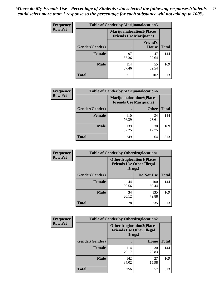| <b>Frequency</b> | <b>Table of Gender by Marijuanalocation5</b> |                                                                     |                                 |              |
|------------------|----------------------------------------------|---------------------------------------------------------------------|---------------------------------|--------------|
| <b>Row Pct</b>   |                                              | <b>Marijuanalocation5</b> (Places<br><b>Friends Use Marijuana</b> ) |                                 |              |
|                  | Gender(Gender)                               |                                                                     | <b>Friend's</b><br><b>House</b> | <b>Total</b> |
|                  | <b>Female</b>                                | 97<br>67.36                                                         | 47<br>32.64                     | 144          |
|                  | <b>Male</b>                                  | 114<br>67.46                                                        | 55<br>32.54                     | 169          |
|                  | <b>Total</b>                                 | 211                                                                 | 102                             | 313          |

| <b>Frequency</b> | <b>Table of Gender by Marijuanalocation6</b> |                                |                                  |              |
|------------------|----------------------------------------------|--------------------------------|----------------------------------|--------------|
| <b>Row Pct</b>   |                                              | <b>Friends Use Marijuana</b> ) | <b>Marijuanalocation6(Places</b> |              |
|                  | <b>Gender</b> (Gender)                       |                                | <b>Other</b>                     | <b>Total</b> |
|                  | <b>Female</b>                                | 110<br>76.39                   | 34<br>23.61                      | 144          |
|                  | <b>Male</b>                                  | 139<br>82.25                   | 30<br>17.75                      | 169          |
|                  | <b>Total</b>                                 | 249                            | 64                               | 313          |

| <b>Frequency</b> | <b>Table of Gender by Otherdruglocation1</b> |                                                                                |              |              |
|------------------|----------------------------------------------|--------------------------------------------------------------------------------|--------------|--------------|
| <b>Row Pct</b>   |                                              | <b>Otherdruglocation1(Places</b><br><b>Friends Use Other Illegal</b><br>Drugs) |              |              |
|                  | Gender(Gender)                               |                                                                                | Do Not Use   | <b>Total</b> |
|                  | <b>Female</b>                                | 44<br>30.56                                                                    | 100<br>69.44 | 144          |
|                  | <b>Male</b>                                  | 34<br>20.12                                                                    | 135<br>79.88 | 169          |
|                  | <b>Total</b>                                 | 78                                                                             | 235          | 313          |

| <b>Frequency</b> | <b>Table of Gender by Otherdruglocation2</b> |                                            |                                  |              |
|------------------|----------------------------------------------|--------------------------------------------|----------------------------------|--------------|
| <b>Row Pct</b>   |                                              | <b>Friends Use Other Illegal</b><br>Drugs) | <b>Otherdruglocation2(Places</b> |              |
|                  | Gender(Gender)                               |                                            | Home                             | <b>Total</b> |
|                  | Female                                       | 114<br>79.17                               | 30<br>20.83                      | 144          |
|                  | <b>Male</b>                                  | 142<br>84.02                               | 27<br>15.98                      | 169          |
|                  | <b>Total</b>                                 | 256                                        | 57                               | 313          |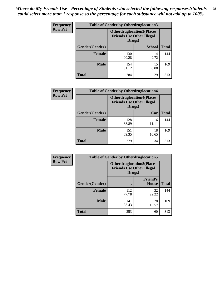| <b>Frequency</b> | <b>Table of Gender by Otherdruglocation3</b> |                                                                                |               |              |
|------------------|----------------------------------------------|--------------------------------------------------------------------------------|---------------|--------------|
| <b>Row Pct</b>   |                                              | <b>Otherdruglocation3(Places</b><br><b>Friends Use Other Illegal</b><br>Drugs) |               |              |
|                  | Gender(Gender)                               |                                                                                | <b>School</b> | <b>Total</b> |
|                  | <b>Female</b>                                | 130<br>90.28                                                                   | 14<br>9.72    | 144          |
|                  | <b>Male</b>                                  | 154<br>91.12                                                                   | 15<br>8.88    | 169          |
|                  | <b>Total</b>                                 | 284                                                                            | 29            | 313          |

| <b>Frequency</b> | <b>Table of Gender by Otherdruglocation4</b> |                                                                                |             |              |
|------------------|----------------------------------------------|--------------------------------------------------------------------------------|-------------|--------------|
| <b>Row Pct</b>   |                                              | <b>Otherdruglocation4(Places</b><br><b>Friends Use Other Illegal</b><br>Drugs) |             |              |
|                  | Gender(Gender)                               |                                                                                | Car         | <b>Total</b> |
|                  | <b>Female</b>                                | 128<br>88.89                                                                   | 16<br>11.11 | 144          |
|                  | <b>Male</b>                                  | 151<br>89.35                                                                   | 18<br>10.65 | 169          |
|                  | <b>Total</b>                                 | 279                                                                            | 34          | 313          |

| <b>Frequency</b> | <b>Table of Gender by Otherdruglocation5</b>                                   |              |                                 |              |
|------------------|--------------------------------------------------------------------------------|--------------|---------------------------------|--------------|
| <b>Row Pct</b>   | <b>Otherdruglocation5(Places</b><br><b>Friends Use Other Illegal</b><br>Drugs) |              |                                 |              |
|                  | Gender(Gender)                                                                 |              | <b>Friend's</b><br><b>House</b> | <b>Total</b> |
|                  | <b>Female</b>                                                                  | 112<br>77.78 | 32<br>22.22                     | 144          |
|                  | <b>Male</b>                                                                    | 141<br>83.43 | 28<br>16.57                     | 169          |
|                  | <b>Total</b>                                                                   | 253          | 60                              | 313          |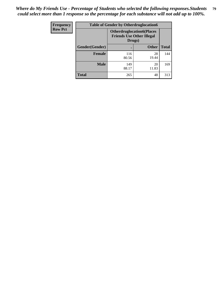| Frequency      | <b>Table of Gender by Otherdruglocation6</b> |                                            |                                  |              |
|----------------|----------------------------------------------|--------------------------------------------|----------------------------------|--------------|
| <b>Row Pct</b> |                                              | <b>Friends Use Other Illegal</b><br>Drugs) | <b>Otherdruglocation6(Places</b> |              |
|                | Gender(Gender)                               |                                            | <b>Other</b>                     | <b>Total</b> |
|                | <b>Female</b>                                | 116<br>80.56                               | 28<br>19.44                      | 144          |
|                | <b>Male</b>                                  | 149<br>88.17                               | 20<br>11.83                      | 169          |
|                | <b>Total</b>                                 | 265                                        | 48                               | 313          |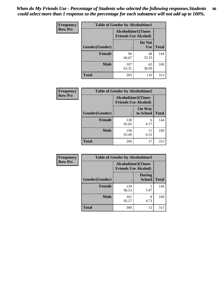| <b>Frequency</b> | <b>Table of Gender by Alcoholtime1</b> |                                                          |                      |              |
|------------------|----------------------------------------|----------------------------------------------------------|----------------------|--------------|
| <b>Row Pct</b>   |                                        | <b>Alcoholtime1(Times</b><br><b>Friends Use Alcohol)</b> |                      |              |
|                  | Gender(Gender)                         | $\bullet$                                                | Do Not<br><b>Use</b> | <b>Total</b> |
|                  | <b>Female</b>                          | 96<br>66.67                                              | 48<br>33.33          | 144          |
|                  | <b>Male</b>                            | 107<br>63.31                                             | 62<br>36.69          | 169          |
|                  | <b>Total</b>                           | 203                                                      | 110                  | 313          |

| <b>Frequency</b> | <b>Table of Gender by Alcoholtime2</b> |                                                          |                            |              |
|------------------|----------------------------------------|----------------------------------------------------------|----------------------------|--------------|
| <b>Row Pct</b>   |                                        | <b>Alcoholtime2(Times</b><br><b>Friends Use Alcohol)</b> |                            |              |
|                  | Gender(Gender)                         |                                                          | <b>On Way</b><br>to School | <b>Total</b> |
|                  | <b>Female</b>                          | 138<br>95.83                                             | 6<br>4.17                  | 144          |
|                  | <b>Male</b>                            | 158<br>93.49                                             | 11<br>6.51                 | 169          |
|                  | <b>Total</b>                           | 296                                                      | 17                         | 313          |

| Frequency      | <b>Table of Gender by Alcoholtime3</b> |                                                          |                                |              |
|----------------|----------------------------------------|----------------------------------------------------------|--------------------------------|--------------|
| <b>Row Pct</b> |                                        | <b>Alcoholtime3(Times</b><br><b>Friends Use Alcohol)</b> |                                |              |
|                | Gender(Gender)                         |                                                          | <b>During</b><br><b>School</b> | <b>Total</b> |
|                | Female                                 | 139<br>96.53                                             | 5<br>3.47                      | 144          |
|                | <b>Male</b>                            | 161<br>95.27                                             | 8<br>4.73                      | 169          |
|                | <b>Total</b>                           | 300                                                      | 13                             | 313          |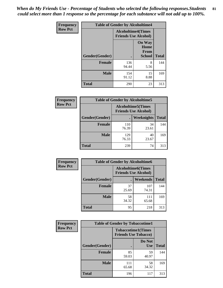*When do My Friends Use - Percentage of Students who selected the following responses.Students could select more than 1 response so the percentage for each substance will not add up to 100%.* **81**

| <b>Frequency</b> | <b>Table of Gender by Alcoholtime4</b> |                                                          |                                                |              |
|------------------|----------------------------------------|----------------------------------------------------------|------------------------------------------------|--------------|
| <b>Row Pct</b>   |                                        | <b>Alcoholtime4(Times</b><br><b>Friends Use Alcohol)</b> |                                                |              |
|                  | Gender(Gender)                         |                                                          | <b>On Way</b><br>Home<br>From<br><b>School</b> | <b>Total</b> |
|                  | <b>Female</b>                          | 136<br>94.44                                             | 8<br>5.56                                      | 144          |
|                  | <b>Male</b>                            | 154<br>91.12                                             | 15<br>8.88                                     | 169          |
|                  | <b>Total</b>                           | 290                                                      | 23                                             | 313          |

| <b>Frequency</b> | <b>Table of Gender by Alcoholtime5</b> |                                                           |             |              |
|------------------|----------------------------------------|-----------------------------------------------------------|-------------|--------------|
| <b>Row Pct</b>   |                                        | <b>Alcoholtime5</b> (Times<br><b>Friends Use Alcohol)</b> |             |              |
|                  | Gender(Gender)                         |                                                           | Weeknights  | <b>Total</b> |
|                  | <b>Female</b>                          | 110<br>76.39                                              | 34<br>23.61 | 144          |
|                  | <b>Male</b>                            | 129<br>76.33                                              | 40<br>23.67 | 169          |
|                  | <b>Total</b>                           | 239                                                       | 74          | 313          |

| <b>Frequency</b> | <b>Table of Gender by Alcoholtime6</b> |             |                                                           |              |  |
|------------------|----------------------------------------|-------------|-----------------------------------------------------------|--------------|--|
| <b>Row Pct</b>   |                                        |             | <b>Alcoholtime6</b> (Times<br><b>Friends Use Alcohol)</b> |              |  |
|                  | Gender(Gender)                         |             | Weekends                                                  | <b>Total</b> |  |
|                  | Female                                 | 37<br>25.69 | 107<br>74.31                                              | 144          |  |
|                  | <b>Male</b>                            | 58<br>34.32 | 111<br>65.68                                              | 169          |  |
|                  | <b>Total</b>                           | 95          | 218                                                       | 313          |  |

| <b>Frequency</b> | <b>Table of Gender by Tobaccotime1</b> |                                                          |                      |              |
|------------------|----------------------------------------|----------------------------------------------------------|----------------------|--------------|
| <b>Row Pct</b>   |                                        | <b>Tobaccotime1(Times</b><br><b>Friends Use Tobacco)</b> |                      |              |
|                  | Gender(Gender)                         |                                                          | Do Not<br><b>Use</b> | <b>Total</b> |
|                  | Female                                 | 85<br>59.03                                              | 59<br>40.97          | 144          |
|                  | <b>Male</b>                            | 111<br>65.68                                             | 58<br>34.32          | 169          |
|                  | <b>Total</b>                           | 196                                                      | 117                  | 313          |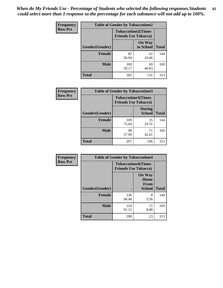| <b>Frequency</b> | <b>Table of Gender by Tobaccotime2</b> |                             |                            |              |
|------------------|----------------------------------------|-----------------------------|----------------------------|--------------|
| <b>Row Pct</b>   |                                        | <b>Friends Use Tobacco)</b> | <b>Tobaccotime2(Times</b>  |              |
|                  | Gender(Gender)                         |                             | <b>On Way</b><br>to School | <b>Total</b> |
|                  | <b>Female</b>                          | 82<br>56.94                 | 62<br>43.06                | 144          |
|                  | <b>Male</b>                            | 100<br>59.17                | 69<br>40.83                | 169          |
|                  | <b>Total</b>                           | 182                         | 131                        | 313          |

| <b>Frequency</b> | <b>Table of Gender by Tobaccotime3</b> |                             |                                |              |
|------------------|----------------------------------------|-----------------------------|--------------------------------|--------------|
| <b>Row Pct</b>   |                                        | <b>Friends Use Tobacco)</b> | <b>Tobaccotime3(Times</b>      |              |
|                  | Gender(Gender)                         |                             | <b>During</b><br><b>School</b> | <b>Total</b> |
|                  | <b>Female</b>                          | 109<br>75.69                | 35<br>24.31                    | 144          |
|                  | <b>Male</b>                            | 98<br>57.99                 | 71<br>42.01                    | 169          |
|                  | <b>Total</b>                           | 207                         | 106                            | 313          |

| <b>Frequency</b> | <b>Table of Gender by Tobaccotime4</b> |                                                          |                                                       |              |
|------------------|----------------------------------------|----------------------------------------------------------|-------------------------------------------------------|--------------|
| <b>Row Pct</b>   |                                        | <b>Tobaccotime4(Times</b><br><b>Friends Use Tobacco)</b> |                                                       |              |
|                  | Gender(Gender)                         |                                                          | <b>On Way</b><br>Home<br><b>From</b><br><b>School</b> | <b>Total</b> |
|                  | <b>Female</b>                          | 136<br>94.44                                             | 8<br>5.56                                             | 144          |
|                  | <b>Male</b>                            | 154<br>91.12                                             | 15<br>8.88                                            | 169          |
|                  | <b>Total</b>                           | 290                                                      | 23                                                    | 313          |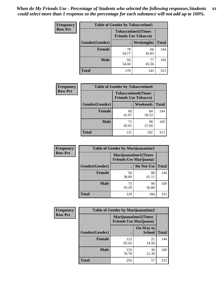| <b>Frequency</b> | <b>Table of Gender by Tobaccotime5</b> |                                                           |             |              |  |
|------------------|----------------------------------------|-----------------------------------------------------------|-------------|--------------|--|
| <b>Row Pct</b>   |                                        | <b>Tobaccotime5</b> (Times<br><b>Friends Use Tobacco)</b> |             |              |  |
|                  | <b>Gender</b> (Gender)                 |                                                           | Weeknights  | <b>Total</b> |  |
|                  | <b>Female</b>                          | 78<br>54.17                                               | 66<br>45.83 | 144          |  |
|                  | <b>Male</b>                            | 92<br>54.44                                               | 77<br>45.56 | 169          |  |
|                  | <b>Total</b>                           | 170                                                       | 143         | 313          |  |

| <b>Frequency</b> | <b>Table of Gender by Tobaccotime6</b> |                                                          |                 |              |
|------------------|----------------------------------------|----------------------------------------------------------|-----------------|--------------|
| <b>Row Pct</b>   |                                        | <b>Tobaccotime6(Times</b><br><b>Friends Use Tobacco)</b> |                 |              |
|                  | Gender(Gender)                         |                                                          | <b>Weekends</b> | <b>Total</b> |
|                  | Female                                 | 60<br>41.67                                              | 84<br>58.33     | 144          |
|                  | <b>Male</b>                            | 71<br>42.01                                              | 98<br>57.99     | 169          |
|                  | <b>Total</b>                           | 131                                                      | 182             | 313          |

| <b>Frequency</b> | <b>Table of Gender by Marijuanatime1</b> |                                |                             |              |
|------------------|------------------------------------------|--------------------------------|-----------------------------|--------------|
| <b>Row Pct</b>   |                                          | <b>Friends Use Marijuana</b> ) | <b>Marijuanatime1(Times</b> |              |
|                  | Gender(Gender)                           |                                | Do Not Use                  | <b>Total</b> |
|                  | <b>Female</b>                            | 56<br>38.89                    | 88<br>61.11                 | 144          |
|                  | <b>Male</b>                              | 73<br>43.20                    | 96<br>56.80                 | 169          |
|                  | <b>Total</b>                             | 129                            | 184                         | 313          |

| <b>Frequency</b> | <b>Table of Gender by Marijuanatime2</b> |                                                        |                            |              |
|------------------|------------------------------------------|--------------------------------------------------------|----------------------------|--------------|
| <b>Row Pct</b>   |                                          | Marijuanatime2(Times<br><b>Friends Use Marijuana</b> ) |                            |              |
|                  | Gender(Gender)                           |                                                        | On Way to<br><b>School</b> | <b>Total</b> |
|                  | <b>Female</b>                            | 123<br>85.42                                           | 21<br>14.58                | 144          |
|                  | <b>Male</b>                              | 133<br>78.70                                           | 36<br>21.30                | 169          |
|                  | <b>Total</b>                             | 256                                                    | 57                         | 313          |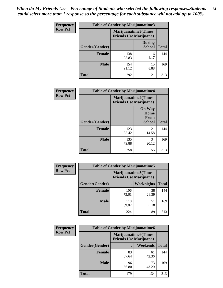*When do My Friends Use - Percentage of Students who selected the following responses.Students could select more than 1 response so the percentage for each substance will not add up to 100%.* **84**

| <b>Frequency</b> | Table of Gender by Marijuanatime3 |                                                        |                                |              |
|------------------|-----------------------------------|--------------------------------------------------------|--------------------------------|--------------|
| <b>Row Pct</b>   |                                   | Marijuanatime3(Times<br><b>Friends Use Marijuana</b> ) |                                |              |
|                  | Gender(Gender)                    |                                                        | <b>During</b><br><b>School</b> | <b>Total</b> |
|                  | <b>Female</b>                     | 138<br>95.83                                           | 6<br>4.17                      | 144          |
|                  | <b>Male</b>                       | 154<br>91.12                                           | 15<br>8.88                     | 169          |
|                  | <b>Total</b>                      | 292                                                    | 21                             | 313          |

| Frequency      | <b>Table of Gender by Marijuanatime4</b> |                                                               |                                                       |              |
|----------------|------------------------------------------|---------------------------------------------------------------|-------------------------------------------------------|--------------|
| <b>Row Pct</b> |                                          | <b>Marijuanatime4(Times</b><br><b>Friends Use Marijuana</b> ) |                                                       |              |
|                | Gender(Gender)                           |                                                               | <b>On Way</b><br>Home<br><b>From</b><br><b>School</b> | <b>Total</b> |
|                | <b>Female</b>                            | 123<br>85.42                                                  | 21<br>14.58                                           | 144          |
|                | <b>Male</b>                              | 135<br>79.88                                                  | 34<br>20.12                                           | 169          |
|                | <b>Total</b>                             | 258                                                           | 55                                                    | 313          |

| Frequency      | <b>Table of Gender by Marijuanatime5</b> |                                                                |             |              |  |
|----------------|------------------------------------------|----------------------------------------------------------------|-------------|--------------|--|
| <b>Row Pct</b> |                                          | <b>Marijuanatime5</b> (Times<br><b>Friends Use Marijuana</b> ) |             |              |  |
|                | Gender(Gender)                           | $\blacksquare$                                                 | Weeknights  | <b>Total</b> |  |
|                | <b>Female</b>                            | 106<br>73.61                                                   | 38<br>26.39 | 144          |  |
|                | <b>Male</b>                              | 118<br>69.82                                                   | 51<br>30.18 | 169          |  |
|                | <b>Total</b>                             | 224                                                            | 89          | 313          |  |

| <b>Frequency</b> | <b>Table of Gender by Marijuanatime6</b> |                                |                             |              |  |
|------------------|------------------------------------------|--------------------------------|-----------------------------|--------------|--|
| <b>Row Pct</b>   |                                          | <b>Friends Use Marijuana</b> ) | <b>Marijuanatime6(Times</b> |              |  |
|                  | Gender(Gender)                           |                                | Weekends                    | <b>Total</b> |  |
|                  | <b>Female</b>                            | 83<br>57.64                    | 61<br>42.36                 | 144          |  |
|                  | <b>Male</b>                              | 96<br>56.80                    | 73<br>43.20                 | 169          |  |
|                  | <b>Total</b>                             | 179                            | 134                         | 313          |  |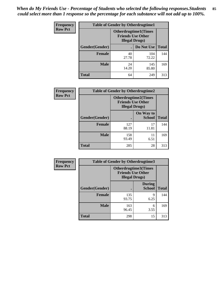*When do My Friends Use - Percentage of Students who selected the following responses.Students could select more than 1 response so the percentage for each substance will not add up to 100%.* **85**

| <b>Frequency</b> | <b>Table of Gender by Otherdrugtime1</b> |                        |                                                         |              |  |
|------------------|------------------------------------------|------------------------|---------------------------------------------------------|--------------|--|
| <b>Row Pct</b>   |                                          | <b>Illegal Drugs</b> ) | <b>Otherdrugtime1(Times</b><br><b>Friends Use Other</b> |              |  |
|                  | Gender(Gender)                           |                        | Do Not Use                                              | <b>Total</b> |  |
|                  | <b>Female</b>                            | 40<br>27.78            | 104<br>72.22                                            | 144          |  |
|                  | <b>Male</b>                              | 24<br>14.20            | 145<br>85.80                                            | 169          |  |
|                  | <b>Total</b>                             | 64                     | 249                                                     | 313          |  |

| Frequency      | <b>Table of Gender by Otherdrugtime2</b> |                                                                                   |                            |              |
|----------------|------------------------------------------|-----------------------------------------------------------------------------------|----------------------------|--------------|
| <b>Row Pct</b> |                                          | <b>Otherdrugtime2(Times</b><br><b>Friends Use Other</b><br><b>Illegal Drugs</b> ) |                            |              |
|                | Gender(Gender)                           |                                                                                   | On Way to<br><b>School</b> | <b>Total</b> |
|                | <b>Female</b>                            | 127<br>88.19                                                                      | 17<br>11.81                | 144          |
|                | <b>Male</b>                              | 158<br>93.49                                                                      | 11<br>6.51                 | 169          |
|                | <b>Total</b>                             | 285                                                                               | 28                         | 313          |

| Frequency      |                | <b>Table of Gender by Otherdrugtime3</b> |                                                         |              |  |
|----------------|----------------|------------------------------------------|---------------------------------------------------------|--------------|--|
| <b>Row Pct</b> |                | <b>Illegal Drugs)</b>                    | <b>Otherdrugtime3(Times</b><br><b>Friends Use Other</b> |              |  |
|                | Gender(Gender) |                                          | <b>During</b><br><b>School</b>                          | <b>Total</b> |  |
|                | <b>Female</b>  | 135<br>93.75                             | 9<br>6.25                                               | 144          |  |
|                | <b>Male</b>    | 163<br>96.45                             | 6<br>3.55                                               | 169          |  |
|                | <b>Total</b>   | 298                                      | 15                                                      | 313          |  |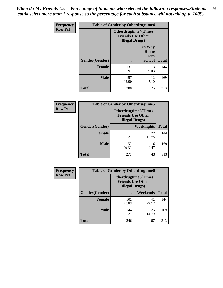*When do My Friends Use - Percentage of Students who selected the following responses.Students could select more than 1 response so the percentage for each substance will not add up to 100%.* **86**

| <b>Frequency</b> | <b>Table of Gender by Otherdrugtime4</b> |                                                    |                                                       |              |
|------------------|------------------------------------------|----------------------------------------------------|-------------------------------------------------------|--------------|
| <b>Row Pct</b>   |                                          | <b>Friends Use Other</b><br><b>Illegal Drugs</b> ) | <b>Otherdrugtime4(Times</b>                           |              |
|                  | Gender(Gender)                           |                                                    | <b>On Way</b><br>Home<br><b>From</b><br><b>School</b> | <b>Total</b> |
|                  | <b>Female</b>                            | 131<br>90.97                                       | 13<br>9.03                                            | 144          |
|                  | <b>Male</b>                              | 157<br>92.90                                       | 12<br>7.10                                            | 169          |
|                  | <b>Total</b>                             | 288                                                | 25                                                    | 313          |

| Frequency      | <b>Table of Gender by Otherdrugtime5</b> |                                                                                    |                   |              |
|----------------|------------------------------------------|------------------------------------------------------------------------------------|-------------------|--------------|
| <b>Row Pct</b> |                                          | <b>Otherdrugtime5</b> (Times<br><b>Friends Use Other</b><br><b>Illegal Drugs</b> ) |                   |              |
|                | Gender(Gender)                           |                                                                                    | <b>Weeknights</b> | <b>Total</b> |
|                | <b>Female</b>                            | 117<br>81.25                                                                       | 27<br>18.75       | 144          |
|                | <b>Male</b>                              | 153<br>90.53                                                                       | 16<br>9.47        | 169          |
|                | <b>Total</b>                             | 270                                                                                | 43                | 313          |

| <b>Frequency</b> | <b>Table of Gender by Otherdrugtime6</b> |                                                                                   |             |              |
|------------------|------------------------------------------|-----------------------------------------------------------------------------------|-------------|--------------|
| <b>Row Pct</b>   |                                          | <b>Otherdrugtime6(Times</b><br><b>Friends Use Other</b><br><b>Illegal Drugs</b> ) |             |              |
|                  | Gender(Gender)                           |                                                                                   | Weekends    | <b>Total</b> |
|                  | <b>Female</b>                            | 102<br>70.83                                                                      | 42<br>29.17 | 144          |
|                  | <b>Male</b>                              | 144<br>85.21                                                                      | 25<br>14.79 | 169          |
|                  | <b>Total</b>                             | 246                                                                               | 67          | 313          |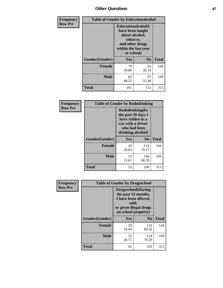# *Other Questions* **87**

| Frequency      | <b>Table of Gender by Educationalcohol</b> |                                                                                                                               |                |              |
|----------------|--------------------------------------------|-------------------------------------------------------------------------------------------------------------------------------|----------------|--------------|
| <b>Row Pct</b> |                                            | Educationalcohol(I<br>have been taught<br>about alcohol,<br>tobacco,<br>and other drugs<br>within the last year<br>at school) |                |              |
|                | Gender(Gender)                             | <b>Yes</b>                                                                                                                    | N <sub>0</sub> | <b>Total</b> |
|                | <b>Female</b>                              | 79<br>54.86                                                                                                                   | 65<br>45.14    | 144          |
|                | <b>Male</b>                                | 82<br>48.52                                                                                                                   | 87<br>51.48    | 169          |
|                | <b>Total</b>                               | 161                                                                                                                           | 152            | 313          |

| Frequency      | <b>Table of Gender by Rodedrinking</b> |                                                                                                                     |              |              |  |
|----------------|----------------------------------------|---------------------------------------------------------------------------------------------------------------------|--------------|--------------|--|
| <b>Row Pct</b> |                                        | Rodedrinking(In<br>the past 30 days I<br>have ridden in a<br>car with a driver<br>who had been<br>drinking alcohol) |              |              |  |
|                | Gender(Gender)                         | Yes                                                                                                                 | $\bf N_0$    | <b>Total</b> |  |
|                | <b>Female</b>                          | 30<br>20.83                                                                                                         | 114<br>79.17 | 144          |  |
|                | <b>Male</b>                            | 23<br>13.61                                                                                                         | 146<br>86.39 | 169          |  |
|                | <b>Total</b>                           | 53                                                                                                                  | 260          | 313          |  |

| Frequency      | <b>Table of Gender by Drugsschool</b> |                                                                                                                                     |                |              |  |
|----------------|---------------------------------------|-------------------------------------------------------------------------------------------------------------------------------------|----------------|--------------|--|
| <b>Row Pct</b> |                                       | <b>Drugsschool</b> (During<br>the past 12 months,<br>I have been offered,<br>sold,<br>or given illegal drugs<br>on school property) |                |              |  |
|                | Gender(Gender)                        | <b>Yes</b>                                                                                                                          | N <sub>0</sub> | <b>Total</b> |  |
|                | <b>Female</b>                         | 28<br>19.44                                                                                                                         | 116<br>80.56   | 144          |  |
|                | <b>Male</b>                           | 35<br>20.71                                                                                                                         | 134<br>79.29   | 169          |  |
|                | <b>Total</b>                          | 63                                                                                                                                  | 250            | 313          |  |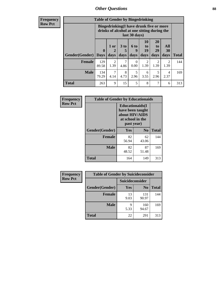## *Other Questions* **88**

**Frequency Row Pct**

| <b>Table of Gender by Bingedrinking</b> |                         |                                                                                                         |                   |                   |                        |                               |                        |              |
|-----------------------------------------|-------------------------|---------------------------------------------------------------------------------------------------------|-------------------|-------------------|------------------------|-------------------------------|------------------------|--------------|
|                                         |                         | Bingedrinking(I have drunk five or more<br>drinks of alcohol at one sitting during the<br>last 30 days) |                   |                   |                        |                               |                        |              |
| <b>Gender</b> (Gender)                  | $\bf{0}$<br><b>Days</b> | 1 or<br>days                                                                                            | 3 to<br>5<br>days | 6 to<br>9<br>days | 10<br>to<br>19<br>days | <b>20</b><br>to<br>29<br>days | All<br>30<br>days      | <b>Total</b> |
| <b>Female</b>                           | 129<br>89.58            | $\mathfrak{D}$<br>1.39                                                                                  | 7<br>4.86         | 0.00              | $\mathfrak{D}$<br>1.39 | 2<br>1.39                     | $\mathfrak{D}$<br>1.39 | 144          |
| <b>Male</b>                             | 134<br>79.29            | 7<br>4.14                                                                                               | 8<br>4.73         | 5<br>2.96         | 6<br>3.55              | 5<br>2.96                     | 4<br>2.37              | 169          |
| <b>Total</b>                            | 263                     | 9                                                                                                       | 15                | 5                 | 8                      | 7                             | 6                      | 313          |

| Frequency      | <b>Table of Gender by Educationaids</b> |                                                                                                 |             |              |  |
|----------------|-----------------------------------------|-------------------------------------------------------------------------------------------------|-------------|--------------|--|
| <b>Row Pct</b> |                                         | <b>Educationaids</b> (I<br>have been taught<br>about HIV/AIDS<br>at school in the<br>past year) |             |              |  |
|                | Gender(Gender)                          | Yes                                                                                             | $\bf N_0$   | <b>Total</b> |  |
|                | <b>Female</b>                           | 82<br>56.94                                                                                     | 62<br>43.06 | 144          |  |
|                | <b>Male</b>                             | 82<br>48.52                                                                                     | 87<br>51.48 | 169          |  |
|                | <b>Total</b>                            | 164                                                                                             | 149         | 313          |  |

| <b>Frequency</b> | <b>Table of Gender by Suicideconsider</b> |                 |                |              |
|------------------|-------------------------------------------|-----------------|----------------|--------------|
| <b>Row Pct</b>   |                                           | Suicideconsider |                |              |
|                  | Gender(Gender)                            | <b>Yes</b>      | N <sub>0</sub> | <b>Total</b> |
|                  | <b>Female</b>                             | 13<br>9.03      | 131<br>90.97   | 144          |
|                  | <b>Male</b>                               | q<br>5.33       | 160<br>94.67   | 169          |
|                  | <b>Total</b>                              | 22              | 291            | 313          |